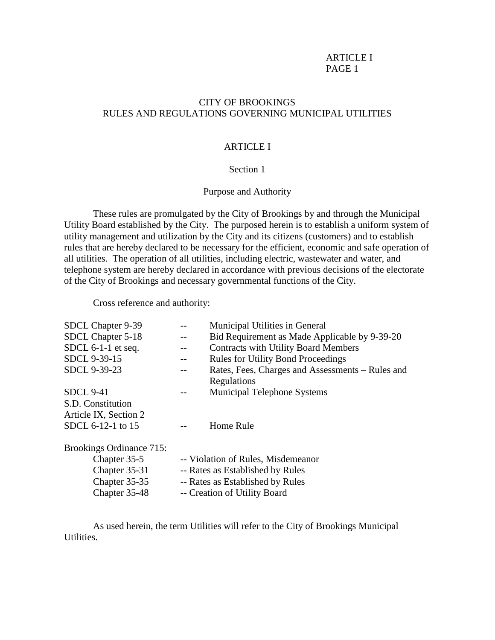# CITY OF BROOKINGS RULES AND REGULATIONS GOVERNING MUNICIPAL UTILITIES

### ARTICLE I

# Section 1

# Purpose and Authority

These rules are promulgated by the City of Brookings by and through the Municipal Utility Board established by the City. The purposed herein is to establish a uniform system of utility management and utilization by the City and its citizens (customers) and to establish rules that are hereby declared to be necessary for the efficient, economic and safe operation of all utilities. The operation of all utilities, including electric, wastewater and water, and telephone system are hereby declared in accordance with previous decisions of the electorate of the City of Brookings and necessary governmental functions of the City.

Cross reference and authority:

| SDCL Chapter 9-39        |                                    | Municipal Utilities in General                   |
|--------------------------|------------------------------------|--------------------------------------------------|
| SDCL Chapter 5-18        |                                    | Bid Requirement as Made Applicable by 9-39-20    |
| SDCL $6-1-1$ et seq.     |                                    | <b>Contracts with Utility Board Members</b>      |
| SDCL 9-39-15             |                                    | <b>Rules for Utility Bond Proceedings</b>        |
| SDCL 9-39-23             |                                    | Rates, Fees, Charges and Assessments – Rules and |
|                          |                                    | Regulations                                      |
| <b>SDCL 9-41</b>         |                                    | Municipal Telephone Systems                      |
| S.D. Constitution        |                                    |                                                  |
| Article IX, Section 2    |                                    |                                                  |
| SDCL 6-12-1 to 15        |                                    | Home Rule                                        |
| Brookings Ordinance 715: |                                    |                                                  |
| Chapter 35-5             | -- Violation of Rules, Misdemeanor |                                                  |
| Chapter 35-31            | -- Rates as Established by Rules   |                                                  |
| Chapter 35-35            | -- Rates as Established by Rules   |                                                  |
| Chapter 35-48            | -- Creation of Utility Board       |                                                  |

As used herein, the term Utilities will refer to the City of Brookings Municipal Utilities.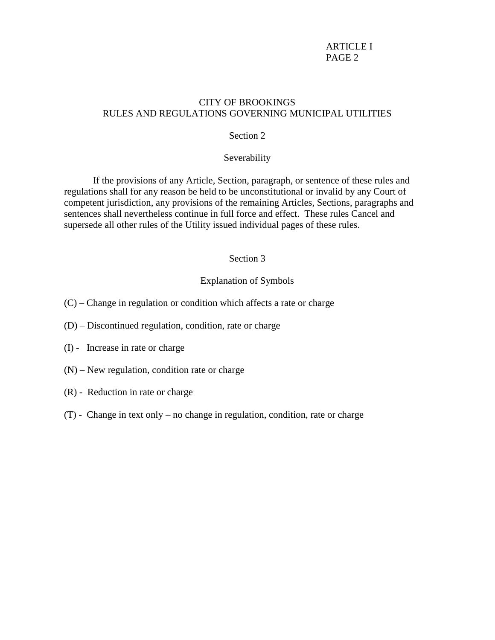# CITY OF BROOKINGS RULES AND REGULATIONS GOVERNING MUNICIPAL UTILITIES

# Section 2

### Severability

If the provisions of any Article, Section, paragraph, or sentence of these rules and regulations shall for any reason be held to be unconstitutional or invalid by any Court of competent jurisdiction, any provisions of the remaining Articles, Sections, paragraphs and sentences shall nevertheless continue in full force and effect. These rules Cancel and supersede all other rules of the Utility issued individual pages of these rules.

### Section 3

#### Explanation of Symbols

- (C) Change in regulation or condition which affects a rate or charge
- (D) Discontinued regulation, condition, rate or charge
- (I) Increase in rate or charge
- (N) New regulation, condition rate or charge
- (R) Reduction in rate or charge
- (T) Change in text only no change in regulation, condition, rate or charge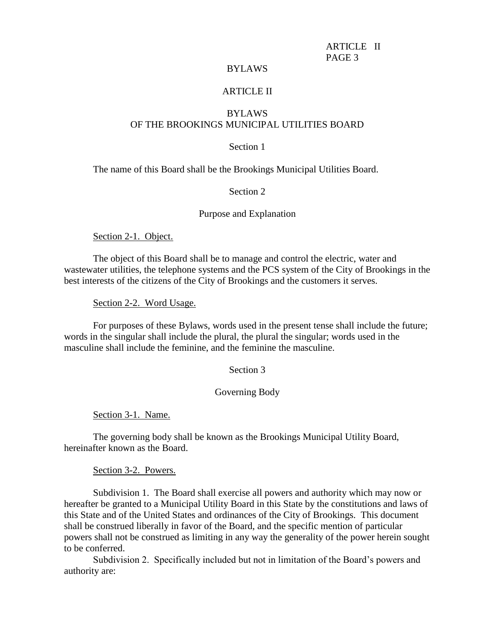## BYLAWS

#### ARTICLE II

# BYLAWS OF THE BROOKINGS MUNICIPAL UTILITIES BOARD

## Section 1

The name of this Board shall be the Brookings Municipal Utilities Board.

## Section 2

#### Purpose and Explanation

Section 2-1. Object.

The object of this Board shall be to manage and control the electric, water and wastewater utilities, the telephone systems and the PCS system of the City of Brookings in the best interests of the citizens of the City of Brookings and the customers it serves.

Section 2-2. Word Usage.

For purposes of these Bylaws, words used in the present tense shall include the future; words in the singular shall include the plural, the plural the singular; words used in the masculine shall include the feminine, and the feminine the masculine.

## Section 3

#### Governing Body

Section 3-1. Name.

The governing body shall be known as the Brookings Municipal Utility Board, hereinafter known as the Board.

Section 3-2. Powers.

Subdivision 1. The Board shall exercise all powers and authority which may now or hereafter be granted to a Municipal Utility Board in this State by the constitutions and laws of this State and of the United States and ordinances of the City of Brookings. This document shall be construed liberally in favor of the Board, and the specific mention of particular powers shall not be construed as limiting in any way the generality of the power herein sought to be conferred.

Subdivision 2. Specifically included but not in limitation of the Board's powers and authority are: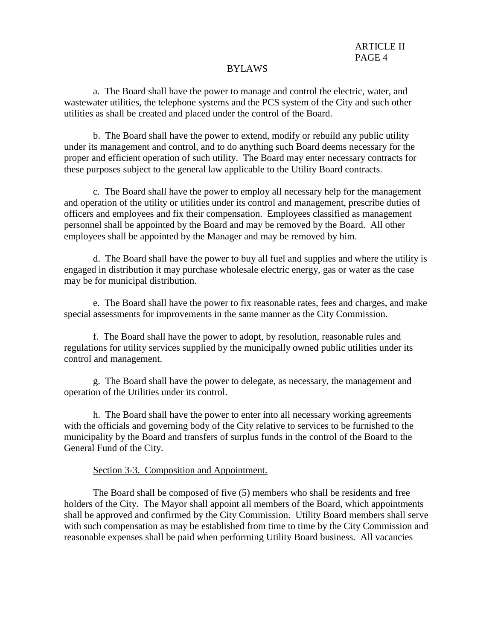### BYLAWS

a. The Board shall have the power to manage and control the electric, water, and wastewater utilities, the telephone systems and the PCS system of the City and such other utilities as shall be created and placed under the control of the Board.

b. The Board shall have the power to extend, modify or rebuild any public utility under its management and control, and to do anything such Board deems necessary for the proper and efficient operation of such utility. The Board may enter necessary contracts for these purposes subject to the general law applicable to the Utility Board contracts.

c. The Board shall have the power to employ all necessary help for the management and operation of the utility or utilities under its control and management, prescribe duties of officers and employees and fix their compensation. Employees classified as management personnel shall be appointed by the Board and may be removed by the Board. All other employees shall be appointed by the Manager and may be removed by him.

d. The Board shall have the power to buy all fuel and supplies and where the utility is engaged in distribution it may purchase wholesale electric energy, gas or water as the case may be for municipal distribution.

e. The Board shall have the power to fix reasonable rates, fees and charges, and make special assessments for improvements in the same manner as the City Commission.

f. The Board shall have the power to adopt, by resolution, reasonable rules and regulations for utility services supplied by the municipally owned public utilities under its control and management.

g. The Board shall have the power to delegate, as necessary, the management and operation of the Utilities under its control.

h. The Board shall have the power to enter into all necessary working agreements with the officials and governing body of the City relative to services to be furnished to the municipality by the Board and transfers of surplus funds in the control of the Board to the General Fund of the City.

### Section 3-3. Composition and Appointment.

The Board shall be composed of five (5) members who shall be residents and free holders of the City. The Mayor shall appoint all members of the Board, which appointments shall be approved and confirmed by the City Commission. Utility Board members shall serve with such compensation as may be established from time to time by the City Commission and reasonable expenses shall be paid when performing Utility Board business. All vacancies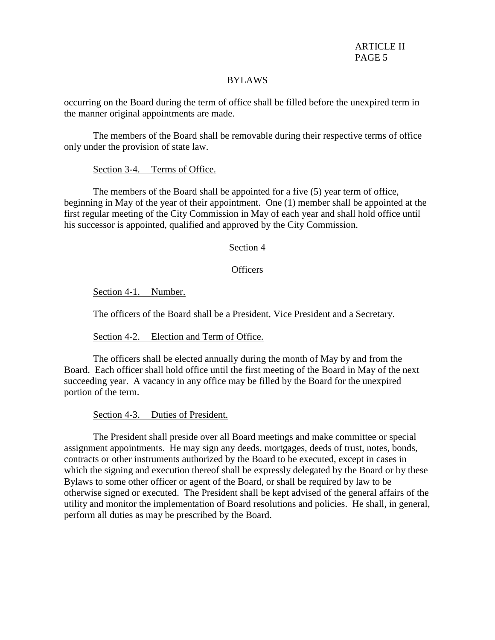### BYLAWS

occurring on the Board during the term of office shall be filled before the unexpired term in the manner original appointments are made.

The members of the Board shall be removable during their respective terms of office only under the provision of state law.

## Section 3-4. Terms of Office.

The members of the Board shall be appointed for a five (5) year term of office, beginning in May of the year of their appointment. One (1) member shall be appointed at the first regular meeting of the City Commission in May of each year and shall hold office until his successor is appointed, qualified and approved by the City Commission.

Section 4

Officers

Section 4-1. Number.

The officers of the Board shall be a President, Vice President and a Secretary.

Section 4-2. Election and Term of Office.

The officers shall be elected annually during the month of May by and from the Board. Each officer shall hold office until the first meeting of the Board in May of the next succeeding year. A vacancy in any office may be filled by the Board for the unexpired portion of the term.

Section 4-3. Duties of President.

The President shall preside over all Board meetings and make committee or special assignment appointments. He may sign any deeds, mortgages, deeds of trust, notes, bonds, contracts or other instruments authorized by the Board to be executed, except in cases in which the signing and execution thereof shall be expressly delegated by the Board or by these Bylaws to some other officer or agent of the Board, or shall be required by law to be otherwise signed or executed. The President shall be kept advised of the general affairs of the utility and monitor the implementation of Board resolutions and policies. He shall, in general, perform all duties as may be prescribed by the Board.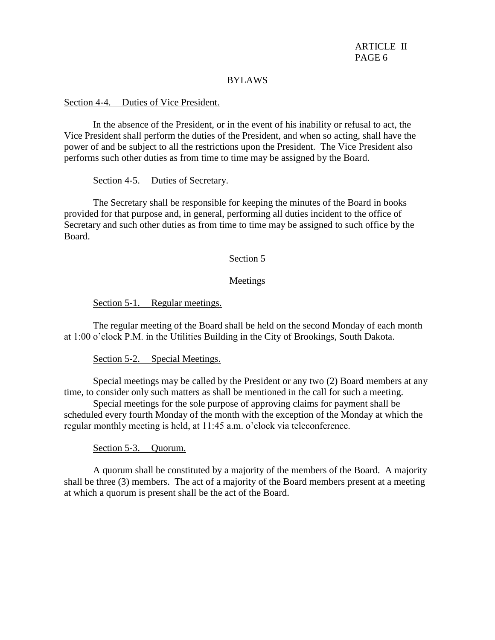### BYLAWS

#### Section 4-4. Duties of Vice President.

In the absence of the President, or in the event of his inability or refusal to act, the Vice President shall perform the duties of the President, and when so acting, shall have the power of and be subject to all the restrictions upon the President. The Vice President also performs such other duties as from time to time may be assigned by the Board.

#### Section 4-5. Duties of Secretary.

The Secretary shall be responsible for keeping the minutes of the Board in books provided for that purpose and, in general, performing all duties incident to the office of Secretary and such other duties as from time to time may be assigned to such office by the Board.

### Section 5

### Meetings

Section 5-1. Regular meetings.

The regular meeting of the Board shall be held on the second Monday of each month at 1:00 o'clock P.M. in the Utilities Building in the City of Brookings, South Dakota.

Section 5-2. Special Meetings.

Special meetings may be called by the President or any two (2) Board members at any time, to consider only such matters as shall be mentioned in the call for such a meeting.

Special meetings for the sole purpose of approving claims for payment shall be scheduled every fourth Monday of the month with the exception of the Monday at which the regular monthly meeting is held, at 11:45 a.m. o'clock via teleconference.

Section 5-3. Quorum.

A quorum shall be constituted by a majority of the members of the Board. A majority shall be three (3) members. The act of a majority of the Board members present at a meeting at which a quorum is present shall be the act of the Board.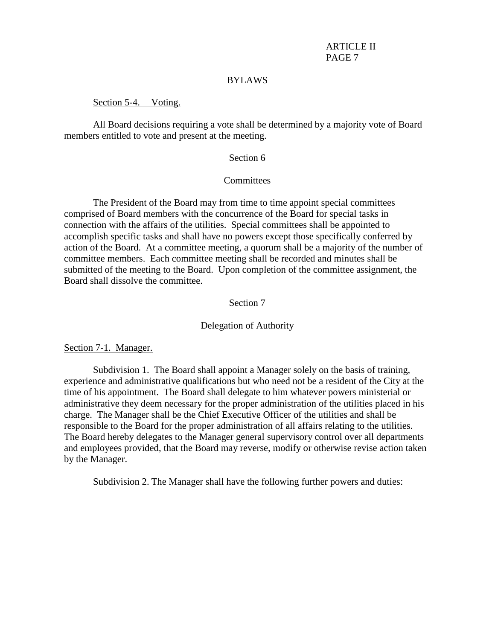#### BYLAWS

#### Section 5-4. Voting.

All Board decisions requiring a vote shall be determined by a majority vote of Board members entitled to vote and present at the meeting.

### Section 6

#### **Committees**

The President of the Board may from time to time appoint special committees comprised of Board members with the concurrence of the Board for special tasks in connection with the affairs of the utilities. Special committees shall be appointed to accomplish specific tasks and shall have no powers except those specifically conferred by action of the Board. At a committee meeting, a quorum shall be a majority of the number of committee members. Each committee meeting shall be recorded and minutes shall be submitted of the meeting to the Board. Upon completion of the committee assignment, the Board shall dissolve the committee.

## Section 7

#### Delegation of Authority

### Section 7-1. Manager.

Subdivision 1. The Board shall appoint a Manager solely on the basis of training, experience and administrative qualifications but who need not be a resident of the City at the time of his appointment. The Board shall delegate to him whatever powers ministerial or administrative they deem necessary for the proper administration of the utilities placed in his charge. The Manager shall be the Chief Executive Officer of the utilities and shall be responsible to the Board for the proper administration of all affairs relating to the utilities. The Board hereby delegates to the Manager general supervisory control over all departments and employees provided, that the Board may reverse, modify or otherwise revise action taken by the Manager.

Subdivision 2. The Manager shall have the following further powers and duties: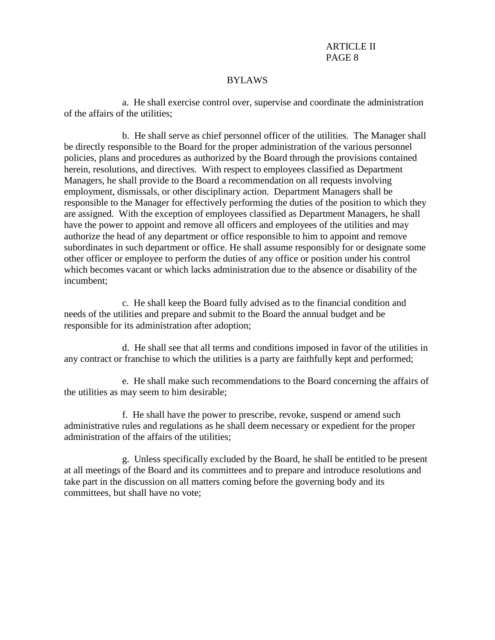### BYLAWS

a. He shall exercise control over, supervise and coordinate the administration of the affairs of the utilities;

b. He shall serve as chief personnel officer of the utilities. The Manager shall be directly responsible to the Board for the proper administration of the various personnel policies, plans and procedures as authorized by the Board through the provisions contained herein, resolutions, and directives. With respect to employees classified as Department Managers, he shall provide to the Board a recommendation on all requests involving employment, dismissals, or other disciplinary action. Department Managers shall be responsible to the Manager for effectively performing the duties of the position to which they are assigned. With the exception of employees classified as Department Managers, he shall have the power to appoint and remove all officers and employees of the utilities and may authorize the head of any department or office responsible to him to appoint and remove subordinates in such department or office. He shall assume responsibly for or designate some other officer or employee to perform the duties of any office or position under his control which becomes vacant or which lacks administration due to the absence or disability of the incumbent;

c. He shall keep the Board fully advised as to the financial condition and needs of the utilities and prepare and submit to the Board the annual budget and be responsible for its administration after adoption;

d. He shall see that all terms and conditions imposed in favor of the utilities in any contract or franchise to which the utilities is a party are faithfully kept and performed;

e. He shall make such recommendations to the Board concerning the affairs of the utilities as may seem to him desirable;

f. He shall have the power to prescribe, revoke, suspend or amend such administrative rules and regulations as he shall deem necessary or expedient for the proper administration of the affairs of the utilities;

g. Unless specifically excluded by the Board, he shall be entitled to be present at all meetings of the Board and its committees and to prepare and introduce resolutions and take part in the discussion on all matters coming before the governing body and its committees, but shall have no vote;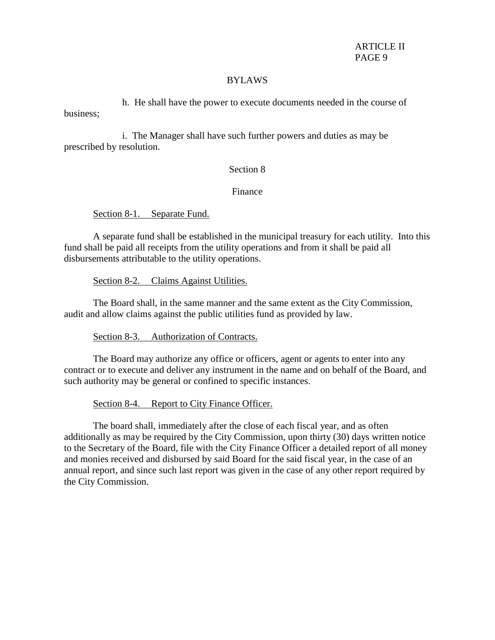### BYLAWS

h. He shall have the power to execute documents needed in the course of business;

i. The Manager shall have such further powers and duties as may be prescribed by resolution.

# Section 8

# Finance

Section 8-1. Separate Fund.

A separate fund shall be established in the municipal treasury for each utility. Into this fund shall be paid all receipts from the utility operations and from it shall be paid all disbursements attributable to the utility operations.

Section 8-2. Claims Against Utilities.

 The Board shall, in the same manner and the same extent as the City Commission, audit and allow claims against the public utilities fund as provided by law.

Section 8-3. Authorization of Contracts.

The Board may authorize any office or officers, agent or agents to enter into any contract or to execute and deliver any instrument in the name and on behalf of the Board, and such authority may be general or confined to specific instances.

Section 8-4. Report to City Finance Officer.

The board shall, immediately after the close of each fiscal year, and as often additionally as may be required by the City Commission, upon thirty (30) days written notice to the Secretary of the Board, file with the City Finance Officer a detailed report of all money and monies received and disbursed by said Board for the said fiscal year, in the case of an annual report, and since such last report was given in the case of any other report required by the City Commission.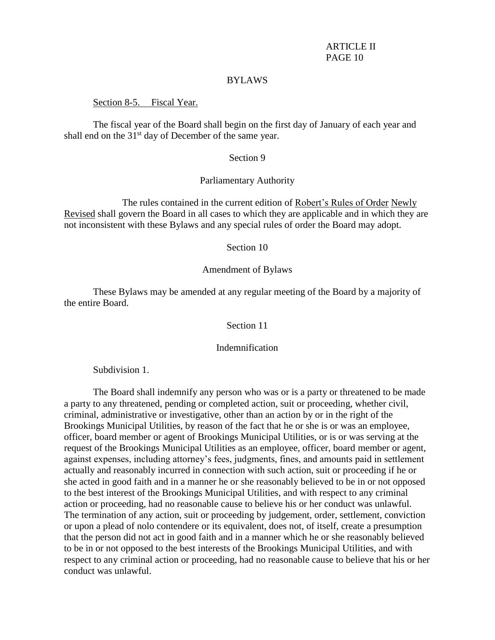#### BYLAWS

#### Section 8-5. Fiscal Year.

The fiscal year of the Board shall begin on the first day of January of each year and shall end on the  $31<sup>st</sup>$  day of December of the same year.

### Section 9

### Parliamentary Authority

The rules contained in the current edition of Robert's Rules of Order Newly Revised shall govern the Board in all cases to which they are applicable and in which they are not inconsistent with these Bylaws and any special rules of order the Board may adopt.

### Section 10

### Amendment of Bylaws

These Bylaws may be amended at any regular meeting of the Board by a majority of the entire Board.

## Section 11

### Indemnification

Subdivision 1.

The Board shall indemnify any person who was or is a party or threatened to be made a party to any threatened, pending or completed action, suit or proceeding, whether civil, criminal, administrative or investigative, other than an action by or in the right of the Brookings Municipal Utilities, by reason of the fact that he or she is or was an employee, officer, board member or agent of Brookings Municipal Utilities, or is or was serving at the request of the Brookings Municipal Utilities as an employee, officer, board member or agent, against expenses, including attorney's fees, judgments, fines, and amounts paid in settlement actually and reasonably incurred in connection with such action, suit or proceeding if he or she acted in good faith and in a manner he or she reasonably believed to be in or not opposed to the best interest of the Brookings Municipal Utilities, and with respect to any criminal action or proceeding, had no reasonable cause to believe his or her conduct was unlawful. The termination of any action, suit or proceeding by judgement, order, settlement, conviction or upon a plead of nolo contendere or its equivalent, does not, of itself, create a presumption that the person did not act in good faith and in a manner which he or she reasonably believed to be in or not opposed to the best interests of the Brookings Municipal Utilities, and with respect to any criminal action or proceeding, had no reasonable cause to believe that his or her conduct was unlawful.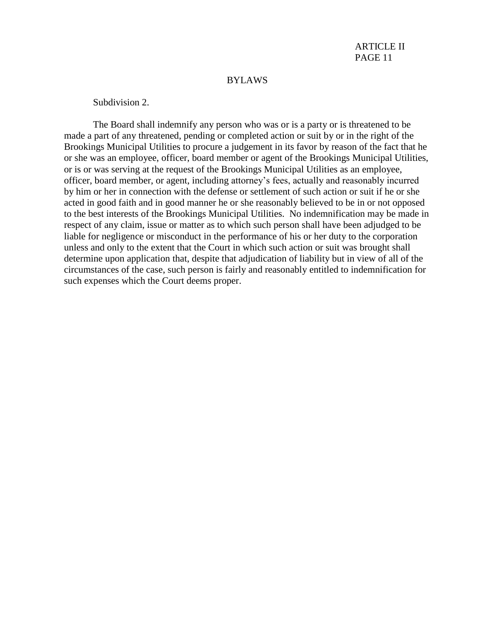## BYLAWS

Subdivision 2.

The Board shall indemnify any person who was or is a party or is threatened to be made a part of any threatened, pending or completed action or suit by or in the right of the Brookings Municipal Utilities to procure a judgement in its favor by reason of the fact that he or she was an employee, officer, board member or agent of the Brookings Municipal Utilities, or is or was serving at the request of the Brookings Municipal Utilities as an employee, officer, board member, or agent, including attorney's fees, actually and reasonably incurred by him or her in connection with the defense or settlement of such action or suit if he or she acted in good faith and in good manner he or she reasonably believed to be in or not opposed to the best interests of the Brookings Municipal Utilities. No indemnification may be made in respect of any claim, issue or matter as to which such person shall have been adjudged to be liable for negligence or misconduct in the performance of his or her duty to the corporation unless and only to the extent that the Court in which such action or suit was brought shall determine upon application that, despite that adjudication of liability but in view of all of the circumstances of the case, such person is fairly and reasonably entitled to indemnification for such expenses which the Court deems proper.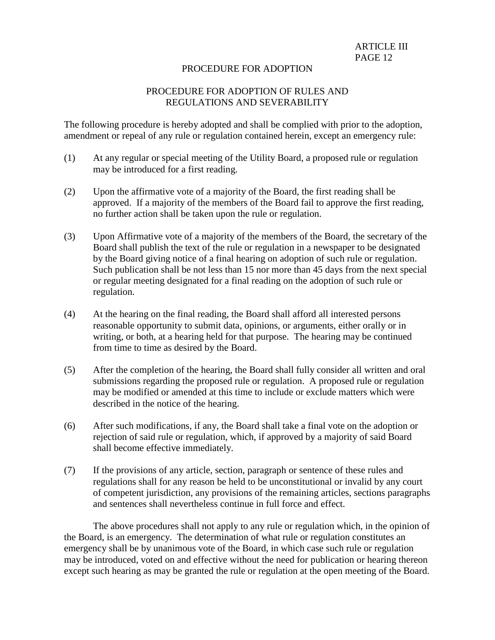## PROCEDURE FOR ADOPTION

# PROCEDURE FOR ADOPTION OF RULES AND REGULATIONS AND SEVERABILITY

The following procedure is hereby adopted and shall be complied with prior to the adoption, amendment or repeal of any rule or regulation contained herein, except an emergency rule:

- (1) At any regular or special meeting of the Utility Board, a proposed rule or regulation may be introduced for a first reading.
- (2) Upon the affirmative vote of a majority of the Board, the first reading shall be approved. If a majority of the members of the Board fail to approve the first reading, no further action shall be taken upon the rule or regulation.
- (3) Upon Affirmative vote of a majority of the members of the Board, the secretary of the Board shall publish the text of the rule or regulation in a newspaper to be designated by the Board giving notice of a final hearing on adoption of such rule or regulation. Such publication shall be not less than 15 nor more than 45 days from the next special or regular meeting designated for a final reading on the adoption of such rule or regulation.
- (4) At the hearing on the final reading, the Board shall afford all interested persons reasonable opportunity to submit data, opinions, or arguments, either orally or in writing, or both, at a hearing held for that purpose. The hearing may be continued from time to time as desired by the Board.
- (5) After the completion of the hearing, the Board shall fully consider all written and oral submissions regarding the proposed rule or regulation. A proposed rule or regulation may be modified or amended at this time to include or exclude matters which were described in the notice of the hearing.
- (6) After such modifications, if any, the Board shall take a final vote on the adoption or rejection of said rule or regulation, which, if approved by a majority of said Board shall become effective immediately.
- (7) If the provisions of any article, section, paragraph or sentence of these rules and regulations shall for any reason be held to be unconstitutional or invalid by any court of competent jurisdiction, any provisions of the remaining articles, sections paragraphs and sentences shall nevertheless continue in full force and effect.

The above procedures shall not apply to any rule or regulation which, in the opinion of the Board, is an emergency. The determination of what rule or regulation constitutes an emergency shall be by unanimous vote of the Board, in which case such rule or regulation may be introduced, voted on and effective without the need for publication or hearing thereon except such hearing as may be granted the rule or regulation at the open meeting of the Board.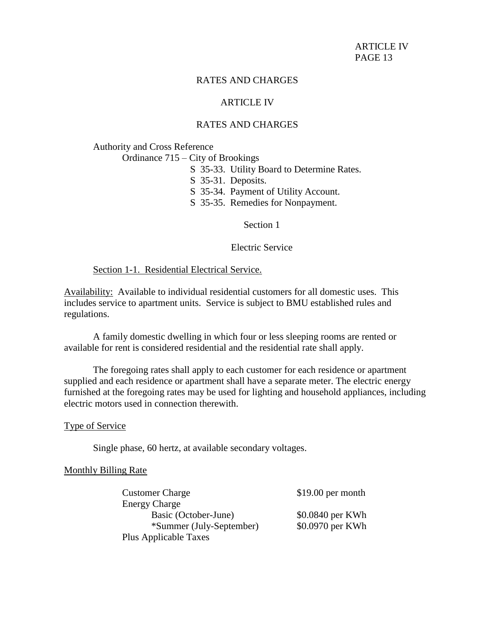## ARTICLE IV

# RATES AND CHARGES

Authority and Cross Reference

Ordinance 715 – City of Brookings

- S 35-33. Utility Board to Determine Rates.
- S 35-31. Deposits.
- S 35-34. Payment of Utility Account.
- S 35-35. Remedies for Nonpayment.

Section 1

Electric Service

Section 1-1. Residential Electrical Service.

Availability: Available to individual residential customers for all domestic uses. This includes service to apartment units. Service is subject to BMU established rules and regulations.

A family domestic dwelling in which four or less sleeping rooms are rented or available for rent is considered residential and the residential rate shall apply.

The foregoing rates shall apply to each customer for each residence or apartment supplied and each residence or apartment shall have a separate meter. The electric energy furnished at the foregoing rates may be used for lighting and household appliances, including electric motors used in connection therewith.

#### Type of Service

Single phase, 60 hertz, at available secondary voltages.

#### Monthly Billing Rate

| <b>Customer Charge</b>   | $$19.00$ per month |
|--------------------------|--------------------|
| <b>Energy Charge</b>     |                    |
| Basic (October-June)     | \$0.0840 per KWh   |
| *Summer (July-September) | \$0.0970 per KWh   |
| Plus Applicable Taxes    |                    |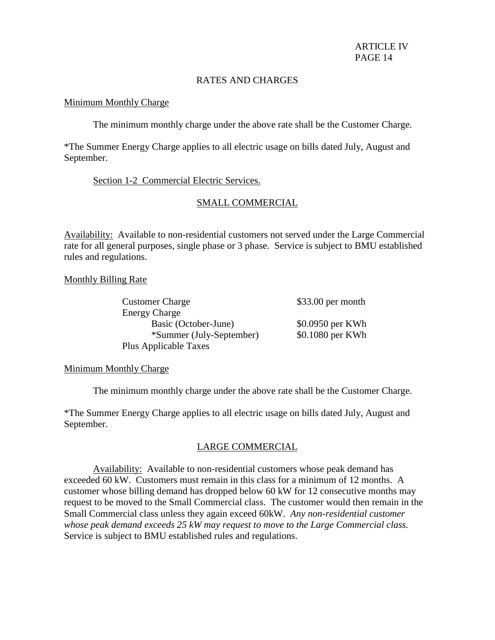## Minimum Monthly Charge

The minimum monthly charge under the above rate shall be the Customer Charge.

\*The Summer Energy Charge applies to all electric usage on bills dated July, August and September.

# Section 1-2 Commercial Electric Services.

# SMALL COMMERCIAL

Availability: Available to non-residential customers not served under the Large Commercial rate for all general purposes, single phase or 3 phase. Service is subject to BMU established rules and regulations.

Monthly Billing Rate

| <b>Customer Charge</b>       | $$33.00$ per month |
|------------------------------|--------------------|
| <b>Energy Charge</b>         |                    |
| Basic (October-June)         | \$0.0950 per KWh   |
| *Summer (July-September)     | \$0.1080 per KWh   |
| <b>Plus Applicable Taxes</b> |                    |

# Minimum Monthly Charge

The minimum monthly charge under the above rate shall be the Customer Charge.

\*The Summer Energy Charge applies to all electric usage on bills dated July, August and September.

# LARGE COMMERCIAL

Availability: Available to non-residential customers whose peak demand has exceeded 60 kW. Customers must remain in this class for a minimum of 12 months. A customer whose billing demand has dropped below 60 kW for 12 consecutive months may request to be moved to the Small Commercial class. The customer would then remain in the Small Commercial class unless they again exceed 60kW. *Any non-residential customer whose peak demand exceeds 25 kW may request to move to the Large Commercial class.* Service is subject to BMU established rules and regulations.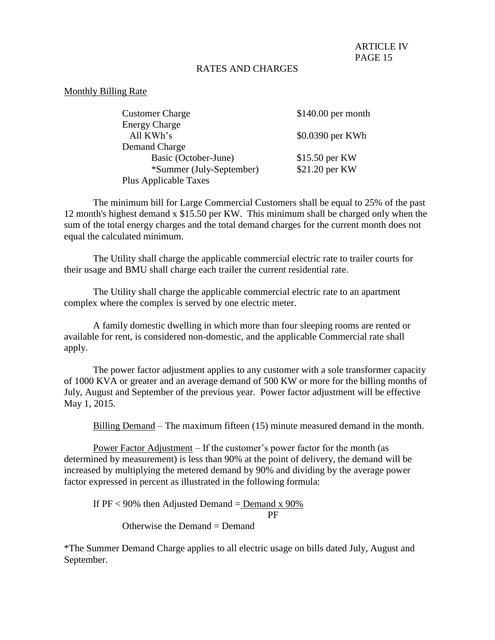### Monthly Billing Rate

| <b>Customer Charge</b>   | $$140.00$ per month |
|--------------------------|---------------------|
| <b>Energy Charge</b>     |                     |
| All KWh's                | \$0.0390 per KWh    |
| Demand Charge            |                     |
| Basic (October-June)     | \$15.50 per KW      |
| *Summer (July-September) | \$21.20 per KW      |
| Plus Applicable Taxes    |                     |

The minimum bill for Large Commercial Customers shall be equal to 25% of the past 12 month's highest demand x \$15.50 per KW. This minimum shall be charged only when the sum of the total energy charges and the total demand charges for the current month does not equal the calculated minimum.

 The Utility shall charge the applicable commercial electric rate to trailer courts for their usage and BMU shall charge each trailer the current residential rate.

 The Utility shall charge the applicable commercial electric rate to an apartment complex where the complex is served by one electric meter.

 A family domestic dwelling in which more than four sleeping rooms are rented or available for rent, is considered non-domestic, and the applicable Commercial rate shall apply.

The power factor adjustment applies to any customer with a sole transformer capacity of 1000 KVA or greater and an average demand of 500 KW or more for the billing months of July, August and September of the previous year. Power factor adjustment will be effective May 1, 2015.

Billing Demand – The maximum fifteen (15) minute measured demand in the month.

Power Factor Adjustment – If the customer's power factor for the month (as determined by measurement) is less than 90% at the point of delivery, the demand will be increased by multiplying the metered demand by 90% and dividing by the average power factor expressed in percent as illustrated in the following formula:

If  $PF < 90\%$  then Adjusted Demand = Demand x 90% PF

Otherwise the Demand  $=$  Demand

\*The Summer Demand Charge applies to all electric usage on bills dated July, August and September.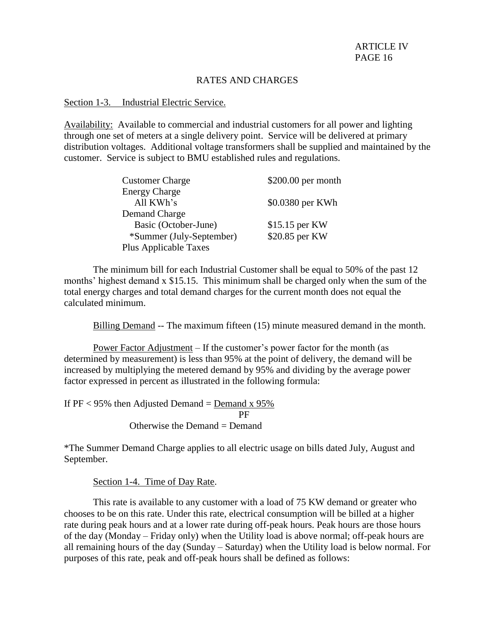### Section 1-3. Industrial Electric Service.

Availability: Available to commercial and industrial customers for all power and lighting through one set of meters at a single delivery point. Service will be delivered at primary distribution voltages. Additional voltage transformers shall be supplied and maintained by the customer. Service is subject to BMU established rules and regulations.

| <b>Customer Charge</b>       | \$200.00 per month |
|------------------------------|--------------------|
| <b>Energy Charge</b>         |                    |
| All KWh's                    | \$0.0380 per KWh   |
| Demand Charge                |                    |
| Basic (October-June)         | \$15.15 per KW     |
| *Summer (July-September)     | \$20.85 per KW     |
| <b>Plus Applicable Taxes</b> |                    |

The minimum bill for each Industrial Customer shall be equal to 50% of the past 12 months' highest demand x \$15.15. This minimum shall be charged only when the sum of the total energy charges and total demand charges for the current month does not equal the calculated minimum.

Billing Demand -- The maximum fifteen (15) minute measured demand in the month.

Power Factor Adjustment – If the customer's power factor for the month (as determined by measurement) is less than 95% at the point of delivery, the demand will be increased by multiplying the metered demand by 95% and dividing by the average power factor expressed in percent as illustrated in the following formula:

If  $PF < 95\%$  then Adjusted Demand = Demand x  $95\%$ **PF** Otherwise the Demand = Demand

\*The Summer Demand Charge applies to all electric usage on bills dated July, August and September.

Section 1-4. Time of Day Rate.

This rate is available to any customer with a load of 75 KW demand or greater who chooses to be on this rate. Under this rate, electrical consumption will be billed at a higher rate during peak hours and at a lower rate during off-peak hours. Peak hours are those hours of the day (Monday – Friday only) when the Utility load is above normal; off-peak hours are all remaining hours of the day (Sunday – Saturday) when the Utility load is below normal. For purposes of this rate, peak and off-peak hours shall be defined as follows: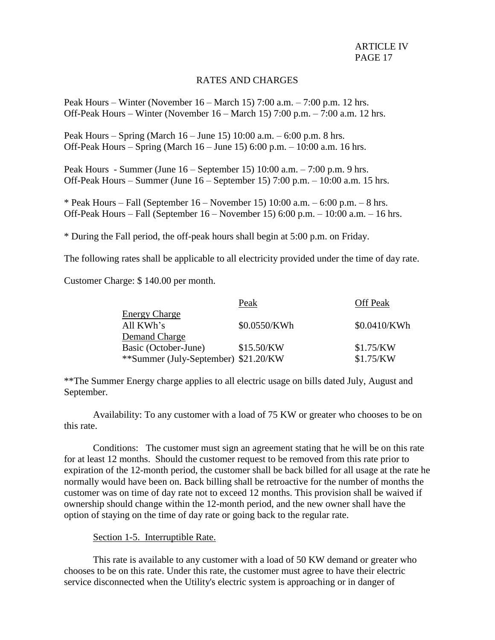## RATES AND CHARGES

Peak Hours – Winter (November 16 – March 15) 7:00 a.m. – 7:00 p.m. 12 hrs. Off-Peak Hours – Winter (November 16 – March 15) 7:00 p.m. – 7:00 a.m. 12 hrs.

Peak Hours – Spring (March 16 – June 15) 10:00 a.m. – 6:00 p.m. 8 hrs. Off-Peak Hours – Spring (March 16 – June 15) 6:00 p.m. – 10:00 a.m. 16 hrs.

Peak Hours - Summer (June 16 – September 15) 10:00 a.m. – 7:00 p.m. 9 hrs. Off-Peak Hours – Summer (June 16 – September 15) 7:00 p.m. – 10:00 a.m. 15 hrs.

\* Peak Hours – Fall (September  $16$  – November 15) 10:00 a.m. – 6:00 p.m. – 8 hrs. Off-Peak Hours – Fall (September 16 – November 15) 6:00 p.m. – 10:00 a.m. – 16 hrs.

\* During the Fall period, the off-peak hours shall begin at 5:00 p.m. on Friday.

The following rates shall be applicable to all electricity provided under the time of day rate.

Customer Charge: \$ 140.00 per month.

|                                      | Peak         | <b>Off Peak</b> |
|--------------------------------------|--------------|-----------------|
| <b>Energy Charge</b>                 |              |                 |
| All KWh's                            | \$0.0550/KWh | \$0.0410/KWh    |
| Demand Charge                        |              |                 |
| Basic (October-June)                 | \$15.50/KW   | \$1.75/KW       |
| **Summer (July-September) \$21.20/KW |              | \$1.75/KW       |

\*\*The Summer Energy charge applies to all electric usage on bills dated July, August and September.

Availability: To any customer with a load of 75 KW or greater who chooses to be on this rate.

Conditions: The customer must sign an agreement stating that he will be on this rate for at least 12 months. Should the customer request to be removed from this rate prior to expiration of the 12-month period, the customer shall be back billed for all usage at the rate he normally would have been on. Back billing shall be retroactive for the number of months the customer was on time of day rate not to exceed 12 months. This provision shall be waived if ownership should change within the 12-month period, and the new owner shall have the option of staying on the time of day rate or going back to the regular rate.

### Section 1-5. Interruptible Rate.

This rate is available to any customer with a load of 50 KW demand or greater who chooses to be on this rate. Under this rate, the customer must agree to have their electric service disconnected when the Utility's electric system is approaching or in danger of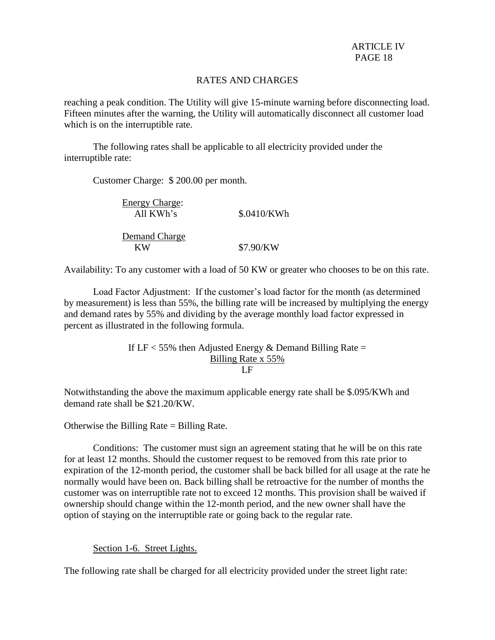## RATES AND CHARGES

reaching a peak condition. The Utility will give 15-minute warning before disconnecting load. Fifteen minutes after the warning, the Utility will automatically disconnect all customer load which is on the interruptible rate.

The following rates shall be applicable to all electricity provided under the interruptible rate:

Customer Charge: \$ 200.00 per month.

| <b>Energy Charge:</b><br>All KWh's | \$.0410/KWh |
|------------------------------------|-------------|
| Demand Charge<br>КW                | \$7.90/KW   |

Availability: To any customer with a load of 50 KW or greater who chooses to be on this rate.

Load Factor Adjustment: If the customer's load factor for the month (as determined by measurement) is less than 55%, the billing rate will be increased by multiplying the energy and demand rates by 55% and dividing by the average monthly load factor expressed in percent as illustrated in the following formula.

> If  $LF < 55\%$  then Adjusted Energy & Demand Billing Rate = Billing Rate x 55% LF

Notwithstanding the above the maximum applicable energy rate shall be \$.095/KWh and demand rate shall be \$21.20/KW.

Otherwise the Billing Rate = Billing Rate.

Conditions: The customer must sign an agreement stating that he will be on this rate for at least 12 months. Should the customer request to be removed from this rate prior to expiration of the 12-month period, the customer shall be back billed for all usage at the rate he normally would have been on. Back billing shall be retroactive for the number of months the customer was on interruptible rate not to exceed 12 months. This provision shall be waived if ownership should change within the 12-month period, and the new owner shall have the option of staying on the interruptible rate or going back to the regular rate.

### Section 1-6. Street Lights.

The following rate shall be charged for all electricity provided under the street light rate: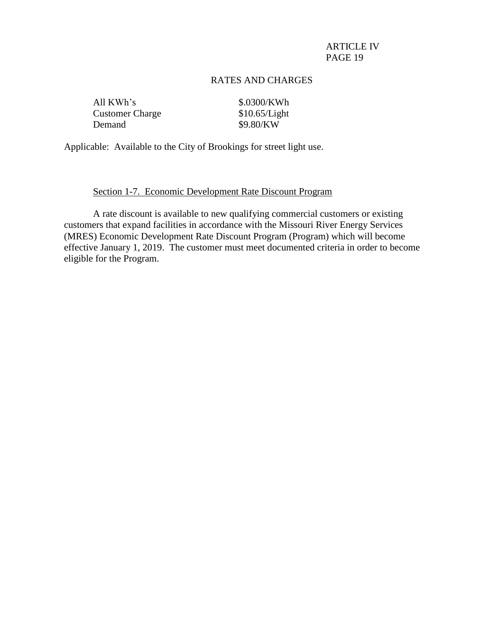## RATES AND CHARGES

| All KWh's              |  |
|------------------------|--|
| <b>Customer Charge</b> |  |
| Demand                 |  |

\$.0300/KWh  $$10.65/Light$ \$9.80/KW

Applicable: Available to the City of Brookings for street light use.

### Section 1-7. Economic Development Rate Discount Program

A rate discount is available to new qualifying commercial customers or existing customers that expand facilities in accordance with the Missouri River Energy Services (MRES) Economic Development Rate Discount Program (Program) which will become effective January 1, 2019. The customer must meet documented criteria in order to become eligible for the Program.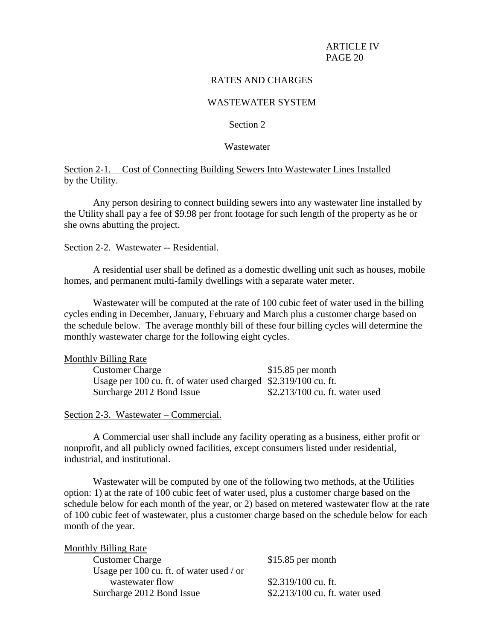## RATES AND CHARGES

## WASTEWATER SYSTEM

## Section 2

#### Wastewater

Section 2-1. Cost of Connecting Building Sewers Into Wastewater Lines Installed by the Utility.

Any person desiring to connect building sewers into any wastewater line installed by the Utility shall pay a fee of \$9.98 per front footage for such length of the property as he or she owns abutting the project.

#### Section 2-2. Wastewater -- Residential.

A residential user shall be defined as a domestic dwelling unit such as houses, mobile homes, and permanent multi-family dwellings with a separate water meter.

Wastewater will be computed at the rate of 100 cubic feet of water used in the billing cycles ending in December, January, February and March plus a customer charge based on the schedule below. The average monthly bill of these four billing cycles will determine the monthly wastewater charge for the following eight cycles.

| <b>Monthly Billing Rate</b>                                     |                                 |
|-----------------------------------------------------------------|---------------------------------|
| <b>Customer Charge</b>                                          | $$15.85$ per month              |
| Usage per 100 cu. ft. of water used charged \$2.319/100 cu. ft. |                                 |
| Surcharge 2012 Bond Issue                                       | $$2.213/100$ cu. ft. water used |

Section 2-3. Wastewater – Commercial.

A Commercial user shall include any facility operating as a business, either profit or nonprofit, and all publicly owned facilities, except consumers listed under residential, industrial, and institutional.

Wastewater will be computed by one of the following two methods, at the Utilities option: 1) at the rate of 100 cubic feet of water used, plus a customer charge based on the schedule below for each month of the year, or 2) based on metered wastewater flow at the rate of 100 cubic feet of wastewater, plus a customer charge based on the schedule below for each month of the year.

| <b>Monthly Billing Rate</b>              |                                |
|------------------------------------------|--------------------------------|
| <b>Customer Charge</b>                   | $$15.85$ per month             |
| Usage per 100 cu. ft. of water used / or |                                |
| wastewater flow                          | \$2.319/100 cu. ft.            |
| Surcharge 2012 Bond Issue                | \$2.213/100 cu. ft. water used |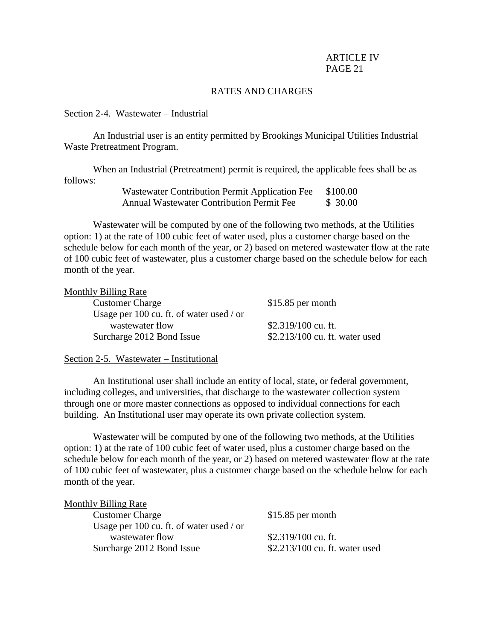# RATES AND CHARGES

### Section 2-4. Wastewater – Industrial

An Industrial user is an entity permitted by Brookings Municipal Utilities Industrial Waste Pretreatment Program.

When an Industrial (Pretreatment) permit is required, the applicable fees shall be as follows:

| Wastewater Contribution Permit Application Fee   | \$100.00 |
|--------------------------------------------------|----------|
| <b>Annual Wastewater Contribution Permit Fee</b> | \$30.00  |

Wastewater will be computed by one of the following two methods, at the Utilities option: 1) at the rate of 100 cubic feet of water used, plus a customer charge based on the schedule below for each month of the year, or 2) based on metered wastewater flow at the rate of 100 cubic feet of wastewater, plus a customer charge based on the schedule below for each month of the year.

| <b>Monthly Billing Rate</b>              |                                |
|------------------------------------------|--------------------------------|
| <b>Customer Charge</b>                   | $$15.85$ per month             |
| Usage per 100 cu. ft. of water used / or |                                |
| wastewater flow                          | $$2.319/100$ cu. ft.           |
| Surcharge 2012 Bond Issue                | \$2.213/100 cu. ft. water used |
|                                          |                                |

#### Section 2-5. Wastewater – Institutional

An Institutional user shall include an entity of local, state, or federal government, including colleges, and universities, that discharge to the wastewater collection system through one or more master connections as opposed to individual connections for each building. An Institutional user may operate its own private collection system.

Wastewater will be computed by one of the following two methods, at the Utilities option: 1) at the rate of 100 cubic feet of water used, plus a customer charge based on the schedule below for each month of the year, or 2) based on metered wastewater flow at the rate of 100 cubic feet of wastewater, plus a customer charge based on the schedule below for each month of the year.

| $$15.85$ per month             |
|--------------------------------|
|                                |
| $$2.319/100$ cu. ft.           |
| \$2.213/100 cu. ft. water used |
|                                |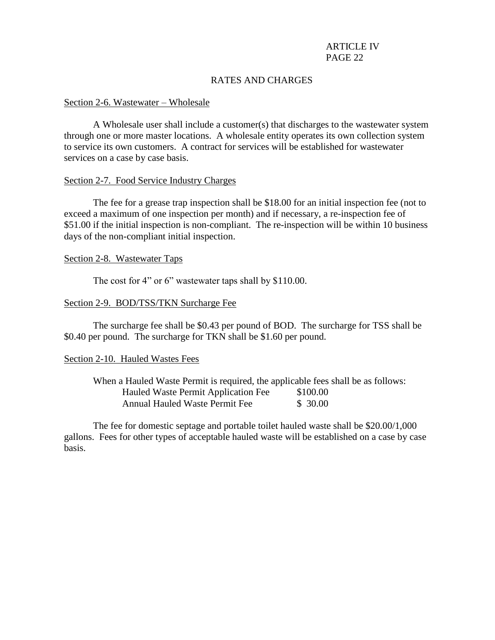# RATES AND CHARGES

#### Section 2-6. Wastewater – Wholesale

A Wholesale user shall include a customer(s) that discharges to the wastewater system through one or more master locations. A wholesale entity operates its own collection system to service its own customers. A contract for services will be established for wastewater services on a case by case basis.

#### Section 2-7. Food Service Industry Charges

The fee for a grease trap inspection shall be \$18.00 for an initial inspection fee (not to exceed a maximum of one inspection per month) and if necessary, a re-inspection fee of \$51.00 if the initial inspection is non-compliant. The re-inspection will be within 10 business days of the non-compliant initial inspection.

Section 2-8. Wastewater Taps

The cost for 4" or 6" wastewater taps shall by \$110.00.

#### Section 2-9. BOD/TSS/TKN Surcharge Fee

The surcharge fee shall be \$0.43 per pound of BOD. The surcharge for TSS shall be \$0.40 per pound. The surcharge for TKN shall be \$1.60 per pound.

### Section 2-10. Hauled Wastes Fees

| When a Hauled Waste Permit is required, the applicable fees shall be as follows: |          |
|----------------------------------------------------------------------------------|----------|
| Hauled Waste Permit Application Fee                                              | \$100.00 |
| <b>Annual Hauled Waste Permit Fee</b>                                            | \$30.00  |

The fee for domestic septage and portable toilet hauled waste shall be \$20.00/1,000 gallons. Fees for other types of acceptable hauled waste will be established on a case by case basis.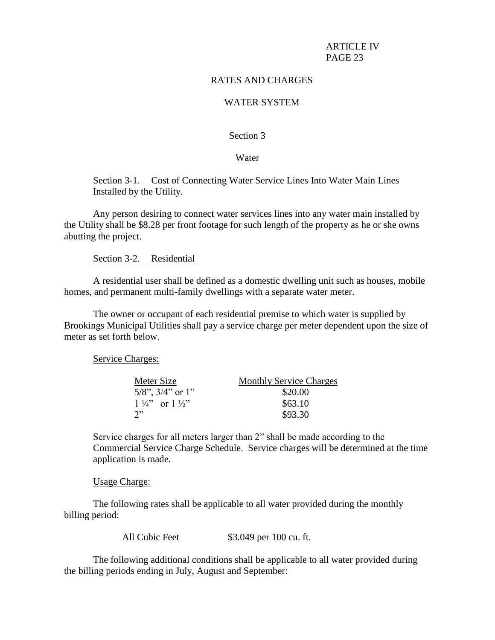# RATES AND CHARGES

# WATER SYSTEM

### Section 3

#### Water

# Section 3-1. Cost of Connecting Water Service Lines Into Water Main Lines Installed by the Utility.

Any person desiring to connect water services lines into any water main installed by the Utility shall be \$8.28 per front footage for such length of the property as he or she owns abutting the project.

#### Section 3-2. Residential

A residential user shall be defined as a domestic dwelling unit such as houses, mobile homes, and permanent multi-family dwellings with a separate water meter.

The owner or occupant of each residential premise to which water is supplied by Brookings Municipal Utilities shall pay a service charge per meter dependent upon the size of meter as set forth below.

Service Charges:

| Meter Size                       | <b>Monthly Service Charges</b> |
|----------------------------------|--------------------------------|
| $5/8$ ", $3/4$ " or 1"           | \$20.00                        |
| $1\frac{1}{4}$ or $1\frac{1}{2}$ | \$63.10                        |
| າ"                               | \$93.30                        |

Service charges for all meters larger than 2" shall be made according to the Commercial Service Charge Schedule. Service charges will be determined at the time application is made.

Usage Charge:

The following rates shall be applicable to all water provided during the monthly billing period:

All Cubic Feet \$3.049 per 100 cu. ft.

The following additional conditions shall be applicable to all water provided during the billing periods ending in July, August and September: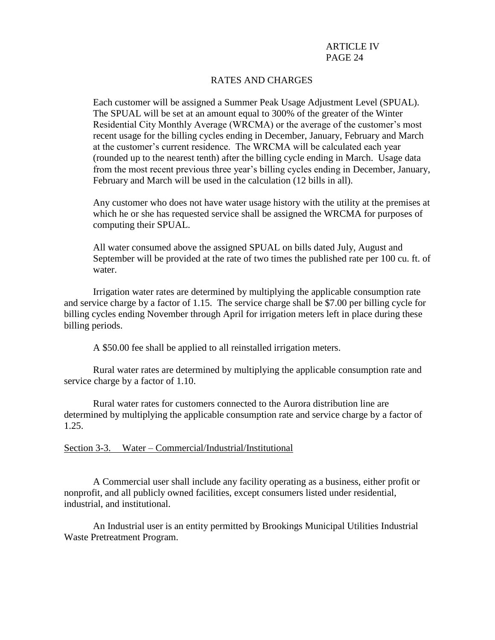# RATES AND CHARGES

Each customer will be assigned a Summer Peak Usage Adjustment Level (SPUAL). The SPUAL will be set at an amount equal to 300% of the greater of the Winter Residential City Monthly Average (WRCMA) or the average of the customer's most recent usage for the billing cycles ending in December, January, February and March at the customer's current residence. The WRCMA will be calculated each year (rounded up to the nearest tenth) after the billing cycle ending in March. Usage data from the most recent previous three year's billing cycles ending in December, January, February and March will be used in the calculation (12 bills in all).

Any customer who does not have water usage history with the utility at the premises at which he or she has requested service shall be assigned the WRCMA for purposes of computing their SPUAL.

All water consumed above the assigned SPUAL on bills dated July, August and September will be provided at the rate of two times the published rate per 100 cu. ft. of water.

Irrigation water rates are determined by multiplying the applicable consumption rate and service charge by a factor of 1.15. The service charge shall be \$7.00 per billing cycle for billing cycles ending November through April for irrigation meters left in place during these billing periods.

A \$50.00 fee shall be applied to all reinstalled irrigation meters.

Rural water rates are determined by multiplying the applicable consumption rate and service charge by a factor of 1.10.

Rural water rates for customers connected to the Aurora distribution line are determined by multiplying the applicable consumption rate and service charge by a factor of 1.25.

### Section 3-3. Water – Commercial/Industrial/Institutional

A Commercial user shall include any facility operating as a business, either profit or nonprofit, and all publicly owned facilities, except consumers listed under residential, industrial, and institutional.

An Industrial user is an entity permitted by Brookings Municipal Utilities Industrial Waste Pretreatment Program.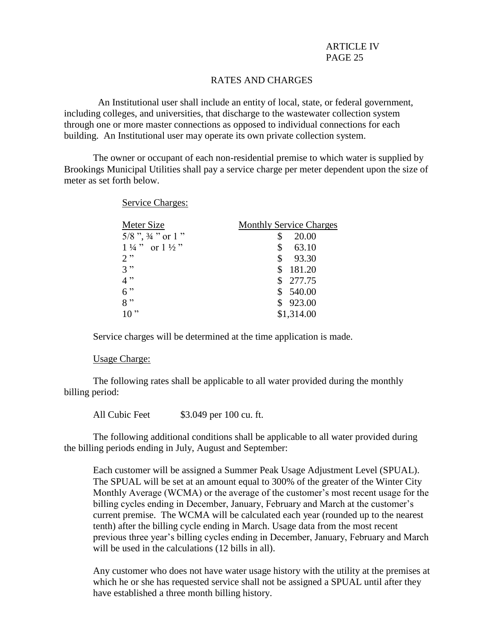# RATES AND CHARGES

 An Institutional user shall include an entity of local, state, or federal government, including colleges, and universities, that discharge to the wastewater collection system through one or more master connections as opposed to individual connections for each building. An Institutional user may operate its own private collection system.

The owner or occupant of each non-residential premise to which water is supplied by Brookings Municipal Utilities shall pay a service charge per meter dependent upon the size of meter as set forth below.

Service Charges:

| <b>Monthly Service Charges</b> |
|--------------------------------|
| 20.00                          |
| \$<br>63.10                    |
| 93.30<br>\$                    |
| 181.20                         |
| \$277.75                       |
| \$540.00                       |
| \$923.00                       |
| \$1,314.00                     |
|                                |

Service charges will be determined at the time application is made.

#### Usage Charge:

The following rates shall be applicable to all water provided during the monthly billing period:

All Cubic Feet  $$3.049$  per 100 cu. ft.

The following additional conditions shall be applicable to all water provided during the billing periods ending in July, August and September:

Each customer will be assigned a Summer Peak Usage Adjustment Level (SPUAL). The SPUAL will be set at an amount equal to 300% of the greater of the Winter City Monthly Average (WCMA) or the average of the customer's most recent usage for the billing cycles ending in December, January, February and March at the customer's current premise. The WCMA will be calculated each year (rounded up to the nearest tenth) after the billing cycle ending in March. Usage data from the most recent previous three year's billing cycles ending in December, January, February and March will be used in the calculations (12 bills in all).

Any customer who does not have water usage history with the utility at the premises at which he or she has requested service shall not be assigned a SPUAL until after they have established a three month billing history.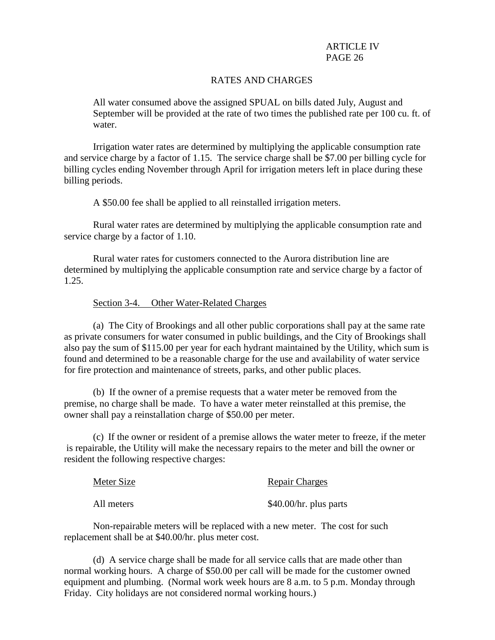## RATES AND CHARGES

All water consumed above the assigned SPUAL on bills dated July, August and September will be provided at the rate of two times the published rate per 100 cu. ft. of water.

Irrigation water rates are determined by multiplying the applicable consumption rate and service charge by a factor of 1.15. The service charge shall be \$7.00 per billing cycle for billing cycles ending November through April for irrigation meters left in place during these billing periods.

A \$50.00 fee shall be applied to all reinstalled irrigation meters.

Rural water rates are determined by multiplying the applicable consumption rate and service charge by a factor of 1.10.

Rural water rates for customers connected to the Aurora distribution line are determined by multiplying the applicable consumption rate and service charge by a factor of 1.25.

### Section 3-4. Other Water-Related Charges

(a) The City of Brookings and all other public corporations shall pay at the same rate as private consumers for water consumed in public buildings, and the City of Brookings shall also pay the sum of \$115.00 per year for each hydrant maintained by the Utility, which sum is found and determined to be a reasonable charge for the use and availability of water service for fire protection and maintenance of streets, parks, and other public places.

(b) If the owner of a premise requests that a water meter be removed from the premise, no charge shall be made. To have a water meter reinstalled at this premise, the owner shall pay a reinstallation charge of \$50.00 per meter.

(c) If the owner or resident of a premise allows the water meter to freeze, if the meter is repairable, the Utility will make the necessary repairs to the meter and bill the owner or resident the following respective charges:

| Meter Size | <b>Repair Charges</b>  |
|------------|------------------------|
| All meters | \$40.00/hr. plus parts |

Non-repairable meters will be replaced with a new meter. The cost for such replacement shall be at \$40.00/hr. plus meter cost.

(d) A service charge shall be made for all service calls that are made other than normal working hours. A charge of \$50.00 per call will be made for the customer owned equipment and plumbing. (Normal work week hours are 8 a.m. to 5 p.m. Monday through Friday. City holidays are not considered normal working hours.)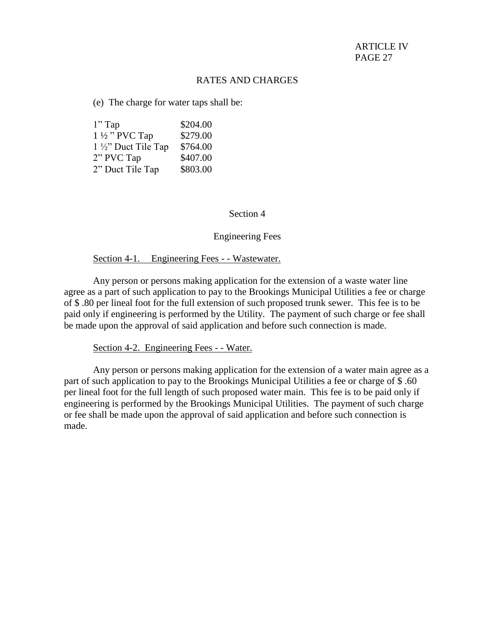(e) The charge for water taps shall be:

| $1"$ Tap                       | \$204.00 |
|--------------------------------|----------|
| $1\frac{1}{2}$ " PVC Tap       | \$279.00 |
| $1\frac{1}{2}$ " Duct Tile Tap | \$764.00 |
| 2" PVC Tap                     | \$407.00 |
| 2" Duct Tile Tap               | \$803.00 |

### Section 4

# Engineering Fees

#### Section 4-1. Engineering Fees - - Wastewater.

Any person or persons making application for the extension of a waste water line agree as a part of such application to pay to the Brookings Municipal Utilities a fee or charge of \$ .80 per lineal foot for the full extension of such proposed trunk sewer. This fee is to be paid only if engineering is performed by the Utility. The payment of such charge or fee shall be made upon the approval of said application and before such connection is made.

#### Section 4-2. Engineering Fees - - Water.

Any person or persons making application for the extension of a water main agree as a part of such application to pay to the Brookings Municipal Utilities a fee or charge of \$ .60 per lineal foot for the full length of such proposed water main. This fee is to be paid only if engineering is performed by the Brookings Municipal Utilities. The payment of such charge or fee shall be made upon the approval of said application and before such connection is made.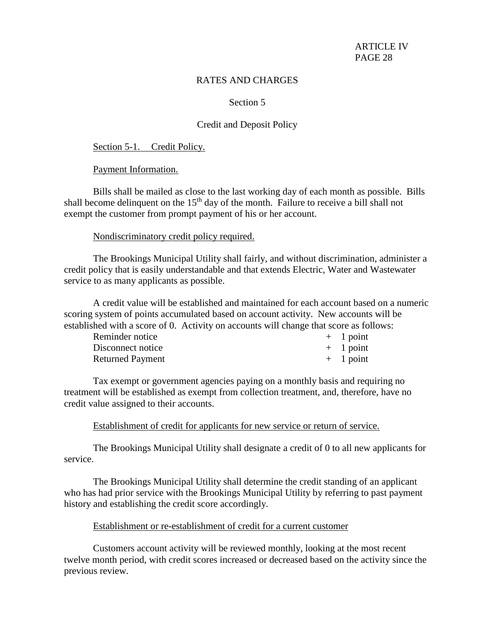## RATES AND CHARGES

## Section 5

# Credit and Deposit Policy

#### Section 5-1. Credit Policy.

Payment Information.

Bills shall be mailed as close to the last working day of each month as possible. Bills shall become delinquent on the  $15<sup>th</sup>$  day of the month. Failure to receive a bill shall not exempt the customer from prompt payment of his or her account.

### Nondiscriminatory credit policy required.

The Brookings Municipal Utility shall fairly, and without discrimination, administer a credit policy that is easily understandable and that extends Electric, Water and Wastewater service to as many applicants as possible.

A credit value will be established and maintained for each account based on a numeric scoring system of points accumulated based on account activity. New accounts will be established with a score of 0. Activity on accounts will change that score as follows:

| Reminder notice         | $+$ 1 point |
|-------------------------|-------------|
| Disconnect notice       | $+$ 1 point |
| <b>Returned Payment</b> | $+$ 1 point |

Tax exempt or government agencies paying on a monthly basis and requiring no treatment will be established as exempt from collection treatment, and, therefore, have no credit value assigned to their accounts.

## Establishment of credit for applicants for new service or return of service.

The Brookings Municipal Utility shall designate a credit of 0 to all new applicants for service.

The Brookings Municipal Utility shall determine the credit standing of an applicant who has had prior service with the Brookings Municipal Utility by referring to past payment history and establishing the credit score accordingly.

## Establishment or re-establishment of credit for a current customer

Customers account activity will be reviewed monthly, looking at the most recent twelve month period, with credit scores increased or decreased based on the activity since the previous review.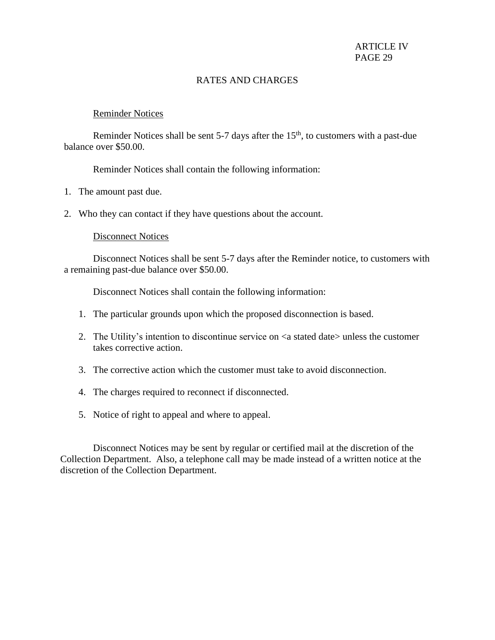# RATES AND CHARGES

## Reminder Notices

Reminder Notices shall be sent  $5-7$  days after the  $15<sup>th</sup>$ , to customers with a past-due balance over \$50.00.

Reminder Notices shall contain the following information:

- 1. The amount past due.
- 2. Who they can contact if they have questions about the account.

## Disconnect Notices

Disconnect Notices shall be sent 5-7 days after the Reminder notice, to customers with a remaining past-due balance over \$50.00.

Disconnect Notices shall contain the following information:

- 1. The particular grounds upon which the proposed disconnection is based.
- 2. The Utility's intention to discontinue service on  $\leq a$  stated date unless the customer takes corrective action.
- 3. The corrective action which the customer must take to avoid disconnection.
- 4. The charges required to reconnect if disconnected.
- 5. Notice of right to appeal and where to appeal.

Disconnect Notices may be sent by regular or certified mail at the discretion of the Collection Department. Also, a telephone call may be made instead of a written notice at the discretion of the Collection Department.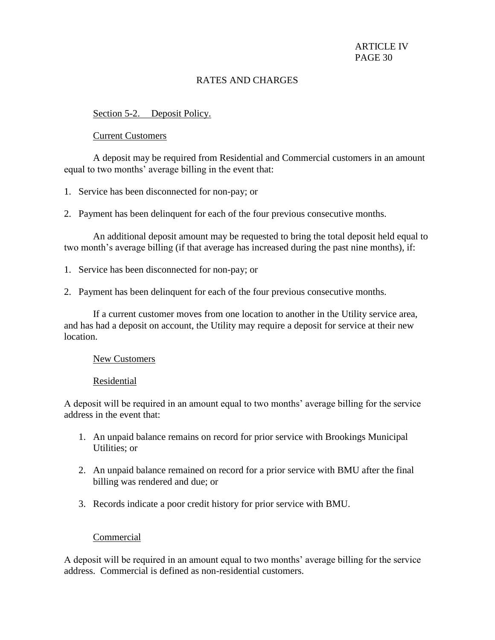# RATES AND CHARGES

# Section 5-2. Deposit Policy.

## Current Customers

A deposit may be required from Residential and Commercial customers in an amount equal to two months' average billing in the event that:

1. Service has been disconnected for non-pay; or

2. Payment has been delinquent for each of the four previous consecutive months.

An additional deposit amount may be requested to bring the total deposit held equal to two month's average billing (if that average has increased during the past nine months), if:

- 1. Service has been disconnected for non-pay; or
- 2. Payment has been delinquent for each of the four previous consecutive months.

If a current customer moves from one location to another in the Utility service area, and has had a deposit on account, the Utility may require a deposit for service at their new location.

### New Customers

### Residential

A deposit will be required in an amount equal to two months' average billing for the service address in the event that:

- 1. An unpaid balance remains on record for prior service with Brookings Municipal Utilities; or
- 2. An unpaid balance remained on record for a prior service with BMU after the final billing was rendered and due; or
- 3. Records indicate a poor credit history for prior service with BMU.

# Commercial

A deposit will be required in an amount equal to two months' average billing for the service address. Commercial is defined as non-residential customers.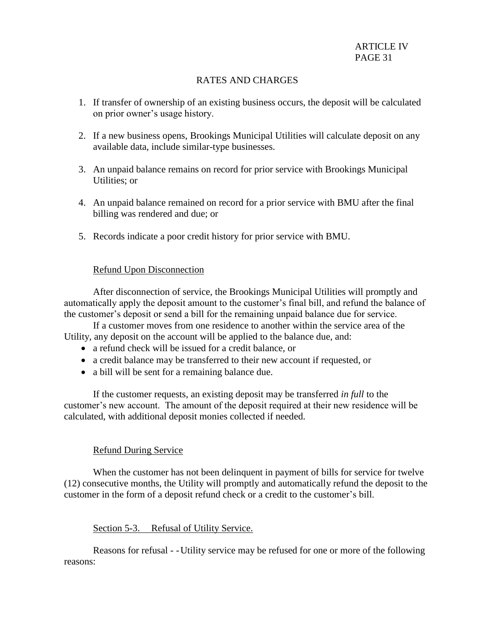# RATES AND CHARGES

- 1. If transfer of ownership of an existing business occurs, the deposit will be calculated on prior owner's usage history.
- 2. If a new business opens, Brookings Municipal Utilities will calculate deposit on any available data, include similar-type businesses.
- 3. An unpaid balance remains on record for prior service with Brookings Municipal Utilities; or
- 4. An unpaid balance remained on record for a prior service with BMU after the final billing was rendered and due; or
- 5. Records indicate a poor credit history for prior service with BMU.

# Refund Upon Disconnection

After disconnection of service, the Brookings Municipal Utilities will promptly and automatically apply the deposit amount to the customer's final bill, and refund the balance of the customer's deposit or send a bill for the remaining unpaid balance due for service.

If a customer moves from one residence to another within the service area of the Utility, any deposit on the account will be applied to the balance due, and:

- a refund check will be issued for a credit balance, or
- a credit balance may be transferred to their new account if requested, or
- a bill will be sent for a remaining balance due.

If the customer requests, an existing deposit may be transferred *in full* to the customer's new account. The amount of the deposit required at their new residence will be calculated, with additional deposit monies collected if needed.

# Refund During Service

When the customer has not been delinquent in payment of bills for service for twelve (12) consecutive months, the Utility will promptly and automatically refund the deposit to the customer in the form of a deposit refund check or a credit to the customer's bill.

# Section 5-3. Refusal of Utility Service.

Reasons for refusal - -Utility service may be refused for one or more of the following reasons: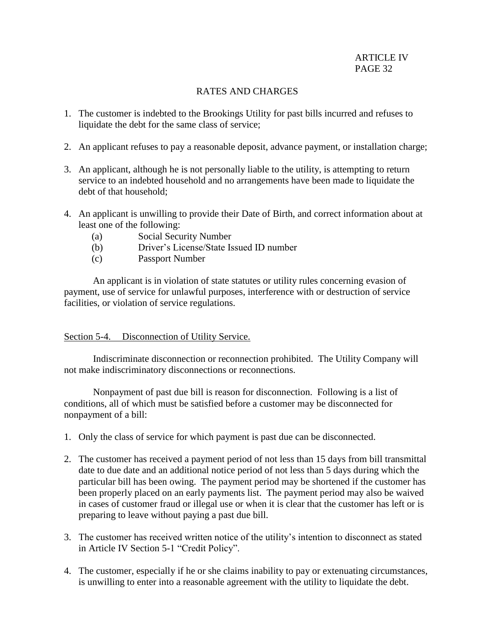- 1. The customer is indebted to the Brookings Utility for past bills incurred and refuses to liquidate the debt for the same class of service;
- 2. An applicant refuses to pay a reasonable deposit, advance payment, or installation charge;
- 3. An applicant, although he is not personally liable to the utility, is attempting to return service to an indebted household and no arrangements have been made to liquidate the debt of that household;
- 4. An applicant is unwilling to provide their Date of Birth, and correct information about at least one of the following:
	- (a) Social Security Number
	- (b) Driver's License/State Issued ID number
	- (c) Passport Number

 An applicant is in violation of state statutes or utility rules concerning evasion of payment, use of service for unlawful purposes, interference with or destruction of service facilities, or violation of service regulations.

# Section 5-4. Disconnection of Utility Service.

Indiscriminate disconnection or reconnection prohibited. The Utility Company will not make indiscriminatory disconnections or reconnections.

Nonpayment of past due bill is reason for disconnection. Following is a list of conditions, all of which must be satisfied before a customer may be disconnected for nonpayment of a bill:

- 1. Only the class of service for which payment is past due can be disconnected.
- 2. The customer has received a payment period of not less than 15 days from bill transmittal date to due date and an additional notice period of not less than 5 days during which the particular bill has been owing. The payment period may be shortened if the customer has been properly placed on an early payments list. The payment period may also be waived in cases of customer fraud or illegal use or when it is clear that the customer has left or is preparing to leave without paying a past due bill.
- 3. The customer has received written notice of the utility's intention to disconnect as stated in Article IV Section 5-1 "Credit Policy".
- 4. The customer, especially if he or she claims inability to pay or extenuating circumstances, is unwilling to enter into a reasonable agreement with the utility to liquidate the debt.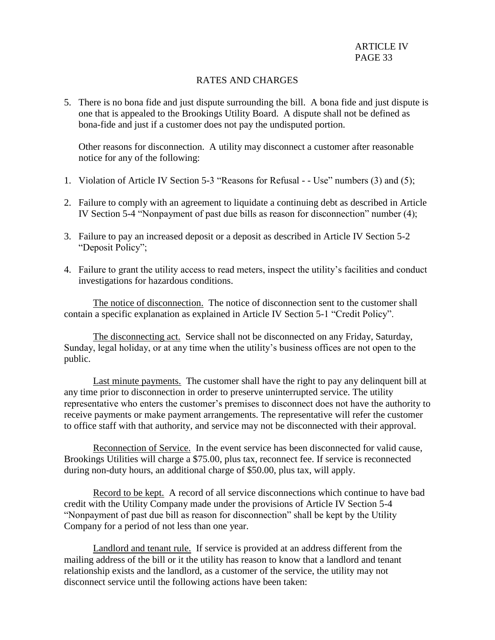5. There is no bona fide and just dispute surrounding the bill. A bona fide and just dispute is one that is appealed to the Brookings Utility Board. A dispute shall not be defined as bona-fide and just if a customer does not pay the undisputed portion.

Other reasons for disconnection. A utility may disconnect a customer after reasonable notice for any of the following:

- 1. Violation of Article IV Section 5-3 "Reasons for Refusal - Use" numbers (3) and (5);
- 2. Failure to comply with an agreement to liquidate a continuing debt as described in Article IV Section 5-4 "Nonpayment of past due bills as reason for disconnection" number (4);
- 3. Failure to pay an increased deposit or a deposit as described in Article IV Section 5-2 "Deposit Policy";
- 4. Failure to grant the utility access to read meters, inspect the utility's facilities and conduct investigations for hazardous conditions.

The notice of disconnection. The notice of disconnection sent to the customer shall contain a specific explanation as explained in Article IV Section 5-1 "Credit Policy".

The disconnecting act. Service shall not be disconnected on any Friday, Saturday, Sunday, legal holiday, or at any time when the utility's business offices are not open to the public.

Last minute payments. The customer shall have the right to pay any delinquent bill at any time prior to disconnection in order to preserve uninterrupted service. The utility representative who enters the customer's premises to disconnect does not have the authority to receive payments or make payment arrangements. The representative will refer the customer to office staff with that authority, and service may not be disconnected with their approval.

Reconnection of Service. In the event service has been disconnected for valid cause, Brookings Utilities will charge a \$75.00, plus tax, reconnect fee. If service is reconnected during non-duty hours, an additional charge of \$50.00, plus tax, will apply.

Record to be kept. A record of all service disconnections which continue to have bad credit with the Utility Company made under the provisions of Article IV Section 5-4 "Nonpayment of past due bill as reason for disconnection" shall be kept by the Utility Company for a period of not less than one year.

Landlord and tenant rule. If service is provided at an address different from the mailing address of the bill or it the utility has reason to know that a landlord and tenant relationship exists and the landlord, as a customer of the service, the utility may not disconnect service until the following actions have been taken: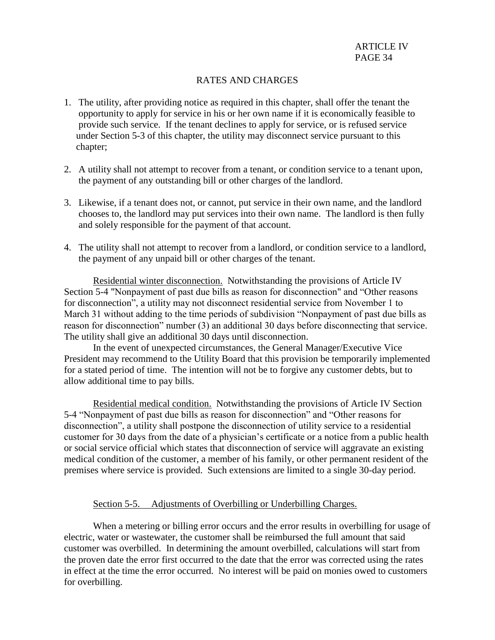- 1. The utility, after providing notice as required in this chapter, shall offer the tenant the opportunity to apply for service in his or her own name if it is economically feasible to provide such service. If the tenant declines to apply for service, or is refused service under Section 5-3 of this chapter, the utility may disconnect service pursuant to this chapter;
- 2. A utility shall not attempt to recover from a tenant, or condition service to a tenant upon, the payment of any outstanding bill or other charges of the landlord.
- 3. Likewise, if a tenant does not, or cannot, put service in their own name, and the landlord chooses to, the landlord may put services into their own name. The landlord is then fully and solely responsible for the payment of that account.
- 4. The utility shall not attempt to recover from a landlord, or condition service to a landlord, the payment of any unpaid bill or other charges of the tenant.

Residential winter disconnection. Notwithstanding the provisions of Article IV Section 5-4 "Nonpayment of past due bills as reason for disconnection" and "Other reasons for disconnection", a utility may not disconnect residential service from November 1 to March 31 without adding to the time periods of subdivision "Nonpayment of past due bills as reason for disconnection" number (3) an additional 30 days before disconnecting that service. The utility shall give an additional 30 days until disconnection.

In the event of unexpected circumstances, the General Manager/Executive Vice President may recommend to the Utility Board that this provision be temporarily implemented for a stated period of time. The intention will not be to forgive any customer debts, but to allow additional time to pay bills.

Residential medical condition. Notwithstanding the provisions of Article IV Section 5-4 "Nonpayment of past due bills as reason for disconnection" and "Other reasons for disconnection", a utility shall postpone the disconnection of utility service to a residential customer for 30 days from the date of a physician's certificate or a notice from a public health or social service official which states that disconnection of service will aggravate an existing medical condition of the customer, a member of his family, or other permanent resident of the premises where service is provided. Such extensions are limited to a single 30-day period.

### Section 5-5. Adjustments of Overbilling or Underbilling Charges.

When a metering or billing error occurs and the error results in overbilling for usage of electric, water or wastewater, the customer shall be reimbursed the full amount that said customer was overbilled. In determining the amount overbilled, calculations will start from the proven date the error first occurred to the date that the error was corrected using the rates in effect at the time the error occurred. No interest will be paid on monies owed to customers for overbilling.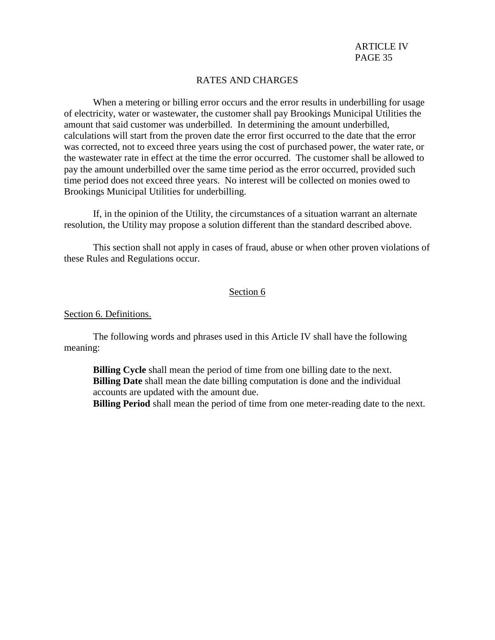When a metering or billing error occurs and the error results in underbilling for usage of electricity, water or wastewater, the customer shall pay Brookings Municipal Utilities the amount that said customer was underbilled. In determining the amount underbilled, calculations will start from the proven date the error first occurred to the date that the error was corrected, not to exceed three years using the cost of purchased power, the water rate, or the wastewater rate in effect at the time the error occurred. The customer shall be allowed to pay the amount underbilled over the same time period as the error occurred, provided such time period does not exceed three years. No interest will be collected on monies owed to Brookings Municipal Utilities for underbilling.

If, in the opinion of the Utility, the circumstances of a situation warrant an alternate resolution, the Utility may propose a solution different than the standard described above.

This section shall not apply in cases of fraud, abuse or when other proven violations of these Rules and Regulations occur.

### Section 6

#### Section 6. Definitions.

The following words and phrases used in this Article IV shall have the following meaning:

**Billing Cycle** shall mean the period of time from one billing date to the next. **Billing Date** shall mean the date billing computation is done and the individual accounts are updated with the amount due.

**Billing Period** shall mean the period of time from one meter-reading date to the next.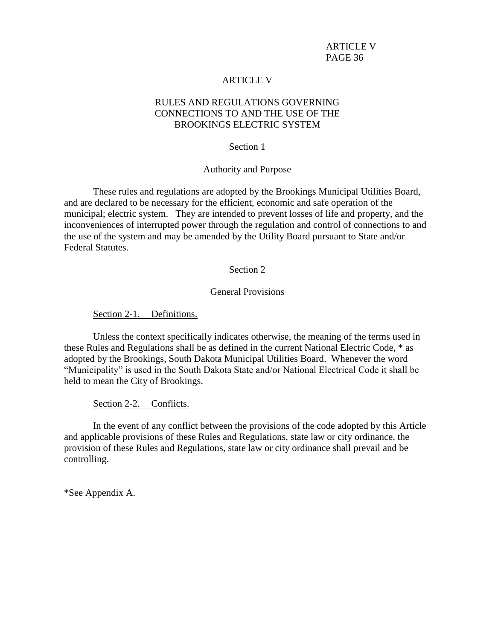### ARTICLE V

# RULES AND REGULATIONS GOVERNING CONNECTIONS TO AND THE USE OF THE BROOKINGS ELECTRIC SYSTEM

#### Section 1

### Authority and Purpose

These rules and regulations are adopted by the Brookings Municipal Utilities Board, and are declared to be necessary for the efficient, economic and safe operation of the municipal; electric system. They are intended to prevent losses of life and property, and the inconveniences of interrupted power through the regulation and control of connections to and the use of the system and may be amended by the Utility Board pursuant to State and/or Federal Statutes.

#### Section 2

### General Provisions

Section 2-1. Definitions.

Unless the context specifically indicates otherwise, the meaning of the terms used in these Rules and Regulations shall be as defined in the current National Electric Code, \* as adopted by the Brookings, South Dakota Municipal Utilities Board. Whenever the word "Municipality" is used in the South Dakota State and/or National Electrical Code it shall be held to mean the City of Brookings.

Section 2-2. Conflicts.

In the event of any conflict between the provisions of the code adopted by this Article and applicable provisions of these Rules and Regulations, state law or city ordinance, the provision of these Rules and Regulations, state law or city ordinance shall prevail and be controlling.

\*See Appendix A.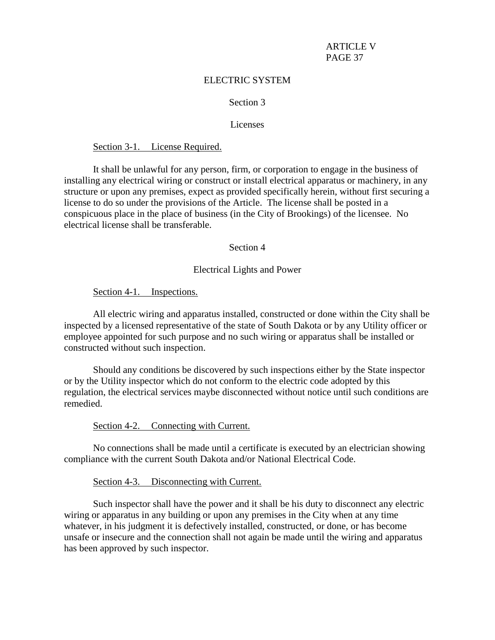### ELECTRIC SYSTEM

## Section 3

### Licenses

#### Section 3-1. License Required.

It shall be unlawful for any person, firm, or corporation to engage in the business of installing any electrical wiring or construct or install electrical apparatus or machinery, in any structure or upon any premises, expect as provided specifically herein, without first securing a license to do so under the provisions of the Article. The license shall be posted in a conspicuous place in the place of business (in the City of Brookings) of the licensee. No electrical license shall be transferable.

#### Section 4

### Electrical Lights and Power

Section 4-1. Inspections.

All electric wiring and apparatus installed, constructed or done within the City shall be inspected by a licensed representative of the state of South Dakota or by any Utility officer or employee appointed for such purpose and no such wiring or apparatus shall be installed or constructed without such inspection.

Should any conditions be discovered by such inspections either by the State inspector or by the Utility inspector which do not conform to the electric code adopted by this regulation, the electrical services maybe disconnected without notice until such conditions are remedied.

#### Section 4-2. Connecting with Current.

No connections shall be made until a certificate is executed by an electrician showing compliance with the current South Dakota and/or National Electrical Code.

Section 4-3. Disconnecting with Current.

Such inspector shall have the power and it shall be his duty to disconnect any electric wiring or apparatus in any building or upon any premises in the City when at any time whatever, in his judgment it is defectively installed, constructed, or done, or has become unsafe or insecure and the connection shall not again be made until the wiring and apparatus has been approved by such inspector.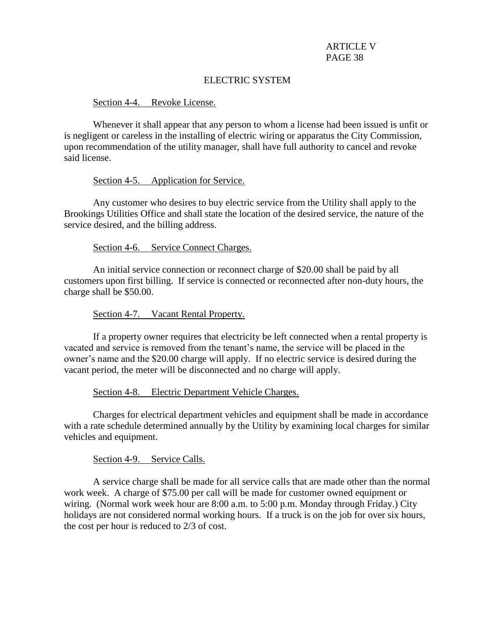# ELECTRIC SYSTEM

### Section 4-4. Revoke License.

Whenever it shall appear that any person to whom a license had been issued is unfit or is negligent or careless in the installing of electric wiring or apparatus the City Commission, upon recommendation of the utility manager, shall have full authority to cancel and revoke said license.

### Section 4-5. Application for Service.

Any customer who desires to buy electric service from the Utility shall apply to the Brookings Utilities Office and shall state the location of the desired service, the nature of the service desired, and the billing address.

### Section 4-6. Service Connect Charges.

An initial service connection or reconnect charge of \$20.00 shall be paid by all customers upon first billing. If service is connected or reconnected after non-duty hours, the charge shall be \$50.00.

### Section 4-7. Vacant Rental Property.

If a property owner requires that electricity be left connected when a rental property is vacated and service is removed from the tenant's name, the service will be placed in the owner's name and the \$20.00 charge will apply. If no electric service is desired during the vacant period, the meter will be disconnected and no charge will apply.

### Section 4-8. Electric Department Vehicle Charges.

Charges for electrical department vehicles and equipment shall be made in accordance with a rate schedule determined annually by the Utility by examining local charges for similar vehicles and equipment.

### Section 4-9. Service Calls.

A service charge shall be made for all service calls that are made other than the normal work week. A charge of \$75.00 per call will be made for customer owned equipment or wiring. (Normal work week hour are 8:00 a.m. to 5:00 p.m. Monday through Friday.) City holidays are not considered normal working hours. If a truck is on the job for over six hours, the cost per hour is reduced to 2/3 of cost.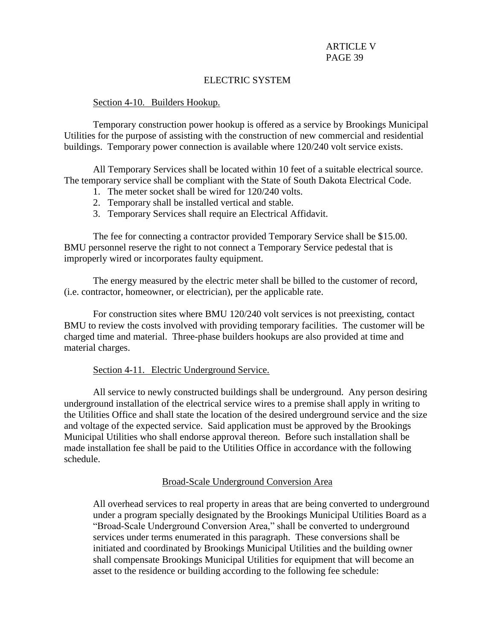# ELECTRIC SYSTEM

### Section 4-10. Builders Hookup.

Temporary construction power hookup is offered as a service by Brookings Municipal Utilities for the purpose of assisting with the construction of new commercial and residential buildings. Temporary power connection is available where 120/240 volt service exists.

All Temporary Services shall be located within 10 feet of a suitable electrical source. The temporary service shall be compliant with the State of South Dakota Electrical Code.

- 1. The meter socket shall be wired for 120/240 volts.
- 2. Temporary shall be installed vertical and stable.
- 3. Temporary Services shall require an Electrical Affidavit.

The fee for connecting a contractor provided Temporary Service shall be \$15.00. BMU personnel reserve the right to not connect a Temporary Service pedestal that is improperly wired or incorporates faulty equipment.

The energy measured by the electric meter shall be billed to the customer of record, (i.e. contractor, homeowner, or electrician), per the applicable rate.

For construction sites where BMU 120/240 volt services is not preexisting, contact BMU to review the costs involved with providing temporary facilities. The customer will be charged time and material. Three-phase builders hookups are also provided at time and material charges.

# Section 4-11. Electric Underground Service.

All service to newly constructed buildings shall be underground. Any person desiring underground installation of the electrical service wires to a premise shall apply in writing to the Utilities Office and shall state the location of the desired underground service and the size and voltage of the expected service. Said application must be approved by the Brookings Municipal Utilities who shall endorse approval thereon. Before such installation shall be made installation fee shall be paid to the Utilities Office in accordance with the following schedule.

# Broad-Scale Underground Conversion Area

All overhead services to real property in areas that are being converted to underground under a program specially designated by the Brookings Municipal Utilities Board as a "Broad-Scale Underground Conversion Area," shall be converted to underground services under terms enumerated in this paragraph. These conversions shall be initiated and coordinated by Brookings Municipal Utilities and the building owner shall compensate Brookings Municipal Utilities for equipment that will become an asset to the residence or building according to the following fee schedule: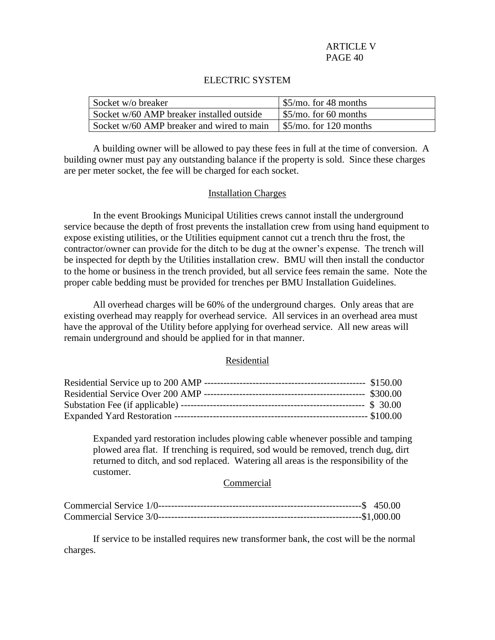### ELECTRIC SYSTEM

| Socket w/o breaker                        | $\frac{55}{\text{mo}}$ . for 48 months |
|-------------------------------------------|----------------------------------------|
| Socket w/60 AMP breaker installed outside | $\frac{55}{\text{mo}}$ , for 60 months |
| Socket w/60 AMP breaker and wired to main |                                        |

A building owner will be allowed to pay these fees in full at the time of conversion. A building owner must pay any outstanding balance if the property is sold. Since these charges are per meter socket, the fee will be charged for each socket.

### Installation Charges

In the event Brookings Municipal Utilities crews cannot install the underground service because the depth of frost prevents the installation crew from using hand equipment to expose existing utilities, or the Utilities equipment cannot cut a trench thru the frost, the contractor/owner can provide for the ditch to be dug at the owner's expense. The trench will be inspected for depth by the Utilities installation crew. BMU will then install the conductor to the home or business in the trench provided, but all service fees remain the same. Note the proper cable bedding must be provided for trenches per BMU Installation Guidelines.

All overhead charges will be 60% of the underground charges. Only areas that are existing overhead may reapply for overhead service. All services in an overhead area must have the approval of the Utility before applying for overhead service. All new areas will remain underground and should be applied for in that manner.

### Residential

Expanded yard restoration includes plowing cable whenever possible and tamping plowed area flat. If trenching is required, sod would be removed, trench dug, dirt returned to ditch, and sod replaced. Watering all areas is the responsibility of the customer.

### **Commercial**

If service to be installed requires new transformer bank, the cost will be the normal charges.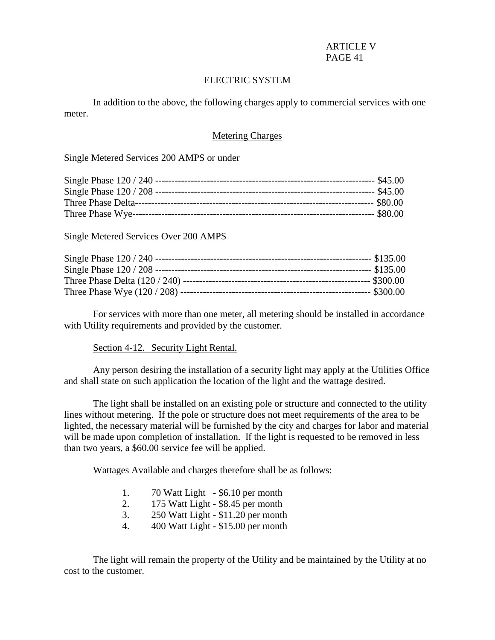# ELECTRIC SYSTEM

In addition to the above, the following charges apply to commercial services with one meter.

## Metering Charges

Single Metered Services 200 AMPS or under

Single Metered Services Over 200 AMPS

For services with more than one meter, all metering should be installed in accordance with Utility requirements and provided by the customer.

### Section 4-12. Security Light Rental.

Any person desiring the installation of a security light may apply at the Utilities Office and shall state on such application the location of the light and the wattage desired.

The light shall be installed on an existing pole or structure and connected to the utility lines without metering. If the pole or structure does not meet requirements of the area to be lighted, the necessary material will be furnished by the city and charges for labor and material will be made upon completion of installation. If the light is requested to be removed in less than two years, a \$60.00 service fee will be applied.

Wattages Available and charges therefore shall be as follows:

| 1. | 70 Watt Light - \$6.10 per month |  |  |
|----|----------------------------------|--|--|
|----|----------------------------------|--|--|

- 2. 175 Watt Light \$8.45 per month
- 3. 250 Watt Light \$11.20 per month
- 4. 400 Watt Light \$15.00 per month

The light will remain the property of the Utility and be maintained by the Utility at no cost to the customer.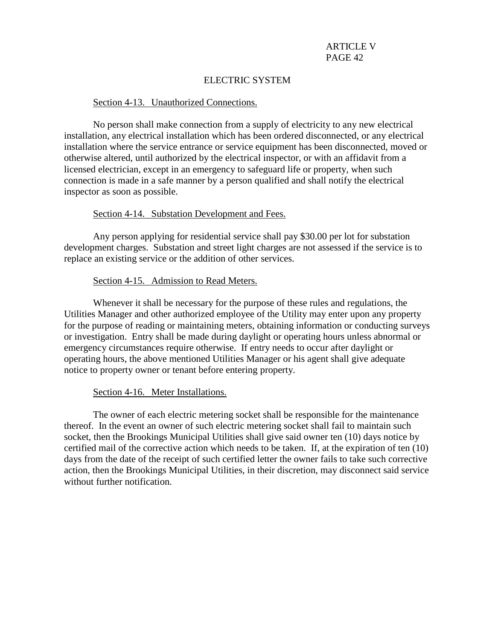# ELECTRIC SYSTEM

### Section 4-13. Unauthorized Connections.

No person shall make connection from a supply of electricity to any new electrical installation, any electrical installation which has been ordered disconnected, or any electrical installation where the service entrance or service equipment has been disconnected, moved or otherwise altered, until authorized by the electrical inspector, or with an affidavit from a licensed electrician, except in an emergency to safeguard life or property, when such connection is made in a safe manner by a person qualified and shall notify the electrical inspector as soon as possible.

### Section 4-14. Substation Development and Fees.

Any person applying for residential service shall pay \$30.00 per lot for substation development charges. Substation and street light charges are not assessed if the service is to replace an existing service or the addition of other services.

### Section 4-15. Admission to Read Meters.

Whenever it shall be necessary for the purpose of these rules and regulations, the Utilities Manager and other authorized employee of the Utility may enter upon any property for the purpose of reading or maintaining meters, obtaining information or conducting surveys or investigation. Entry shall be made during daylight or operating hours unless abnormal or emergency circumstances require otherwise. If entry needs to occur after daylight or operating hours, the above mentioned Utilities Manager or his agent shall give adequate notice to property owner or tenant before entering property.

### Section 4-16. Meter Installations.

The owner of each electric metering socket shall be responsible for the maintenance thereof. In the event an owner of such electric metering socket shall fail to maintain such socket, then the Brookings Municipal Utilities shall give said owner ten (10) days notice by certified mail of the corrective action which needs to be taken. If, at the expiration of ten (10) days from the date of the receipt of such certified letter the owner fails to take such corrective action, then the Brookings Municipal Utilities, in their discretion, may disconnect said service without further notification.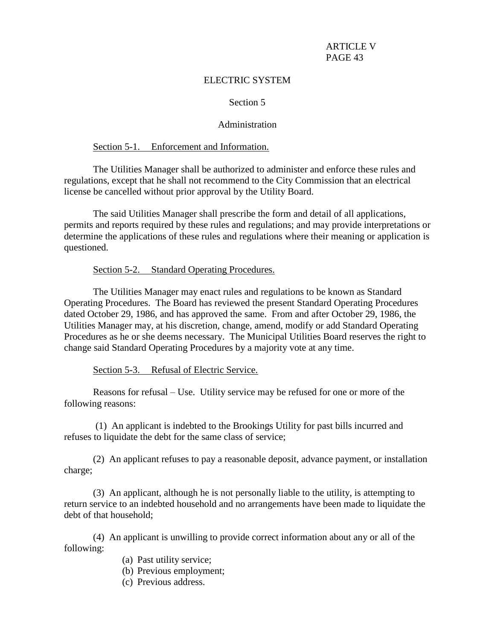# ELECTRIC SYSTEM

## Section 5

## Administration

### Section 5-1. Enforcement and Information.

The Utilities Manager shall be authorized to administer and enforce these rules and regulations, except that he shall not recommend to the City Commission that an electrical license be cancelled without prior approval by the Utility Board.

The said Utilities Manager shall prescribe the form and detail of all applications, permits and reports required by these rules and regulations; and may provide interpretations or determine the applications of these rules and regulations where their meaning or application is questioned.

### Section 5-2. Standard Operating Procedures.

The Utilities Manager may enact rules and regulations to be known as Standard Operating Procedures. The Board has reviewed the present Standard Operating Procedures dated October 29, 1986, and has approved the same. From and after October 29, 1986, the Utilities Manager may, at his discretion, change, amend, modify or add Standard Operating Procedures as he or she deems necessary. The Municipal Utilities Board reserves the right to change said Standard Operating Procedures by a majority vote at any time.

Section 5-3. Refusal of Electric Service.

Reasons for refusal – Use. Utility service may be refused for one or more of the following reasons:

(1) An applicant is indebted to the Brookings Utility for past bills incurred and refuses to liquidate the debt for the same class of service;

(2) An applicant refuses to pay a reasonable deposit, advance payment, or installation charge;

(3) An applicant, although he is not personally liable to the utility, is attempting to return service to an indebted household and no arrangements have been made to liquidate the debt of that household;

(4) An applicant is unwilling to provide correct information about any or all of the following:

- (a) Past utility service;
- (b) Previous employment;
- (c) Previous address.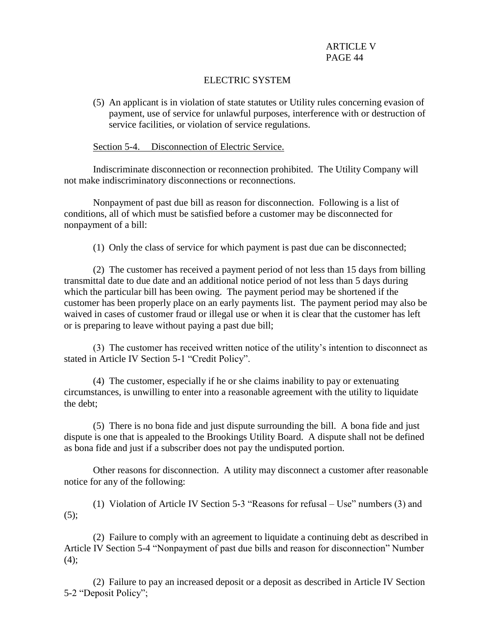# ELECTRIC SYSTEM

(5) An applicant is in violation of state statutes or Utility rules concerning evasion of payment, use of service for unlawful purposes, interference with or destruction of service facilities, or violation of service regulations.

### Section 5-4. Disconnection of Electric Service.

Indiscriminate disconnection or reconnection prohibited. The Utility Company will not make indiscriminatory disconnections or reconnections.

Nonpayment of past due bill as reason for disconnection. Following is a list of conditions, all of which must be satisfied before a customer may be disconnected for nonpayment of a bill:

(1) Only the class of service for which payment is past due can be disconnected;

(2) The customer has received a payment period of not less than 15 days from billing transmittal date to due date and an additional notice period of not less than 5 days during which the particular bill has been owing. The payment period may be shortened if the customer has been properly place on an early payments list. The payment period may also be waived in cases of customer fraud or illegal use or when it is clear that the customer has left or is preparing to leave without paying a past due bill;

(3) The customer has received written notice of the utility's intention to disconnect as stated in Article IV Section 5-1 "Credit Policy".

(4) The customer, especially if he or she claims inability to pay or extenuating circumstances, is unwilling to enter into a reasonable agreement with the utility to liquidate the debt;

(5) There is no bona fide and just dispute surrounding the bill. A bona fide and just dispute is one that is appealed to the Brookings Utility Board. A dispute shall not be defined as bona fide and just if a subscriber does not pay the undisputed portion.

Other reasons for disconnection. A utility may disconnect a customer after reasonable notice for any of the following:

(1) Violation of Article IV Section 5-3 "Reasons for refusal – Use" numbers (3) and (5);

(2) Failure to comply with an agreement to liquidate a continuing debt as described in Article IV Section 5-4 "Nonpayment of past due bills and reason for disconnection" Number (4);

(2) Failure to pay an increased deposit or a deposit as described in Article IV Section 5-2 "Deposit Policy";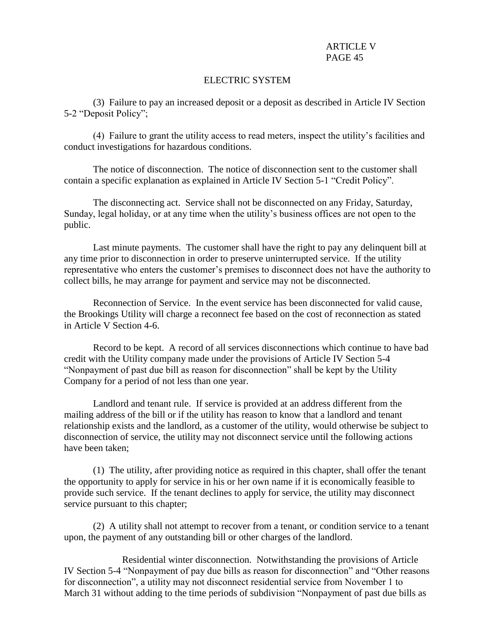# ELECTRIC SYSTEM

(3) Failure to pay an increased deposit or a deposit as described in Article IV Section 5-2 "Deposit Policy";

(4) Failure to grant the utility access to read meters, inspect the utility's facilities and conduct investigations for hazardous conditions.

The notice of disconnection. The notice of disconnection sent to the customer shall contain a specific explanation as explained in Article IV Section 5-1 "Credit Policy".

The disconnecting act. Service shall not be disconnected on any Friday, Saturday, Sunday, legal holiday, or at any time when the utility's business offices are not open to the public.

Last minute payments. The customer shall have the right to pay any delinquent bill at any time prior to disconnection in order to preserve uninterrupted service. If the utility representative who enters the customer's premises to disconnect does not have the authority to collect bills, he may arrange for payment and service may not be disconnected.

Reconnection of Service. In the event service has been disconnected for valid cause, the Brookings Utility will charge a reconnect fee based on the cost of reconnection as stated in Article V Section 4-6.

Record to be kept. A record of all services disconnections which continue to have bad credit with the Utility company made under the provisions of Article IV Section 5-4 "Nonpayment of past due bill as reason for disconnection" shall be kept by the Utility Company for a period of not less than one year.

Landlord and tenant rule. If service is provided at an address different from the mailing address of the bill or if the utility has reason to know that a landlord and tenant relationship exists and the landlord, as a customer of the utility, would otherwise be subject to disconnection of service, the utility may not disconnect service until the following actions have been taken;

(1) The utility, after providing notice as required in this chapter, shall offer the tenant the opportunity to apply for service in his or her own name if it is economically feasible to provide such service. If the tenant declines to apply for service, the utility may disconnect service pursuant to this chapter;

(2) A utility shall not attempt to recover from a tenant, or condition service to a tenant upon, the payment of any outstanding bill or other charges of the landlord.

Residential winter disconnection. Notwithstanding the provisions of Article IV Section 5-4 "Nonpayment of pay due bills as reason for disconnection" and "Other reasons for disconnection", a utility may not disconnect residential service from November 1 to March 31 without adding to the time periods of subdivision "Nonpayment of past due bills as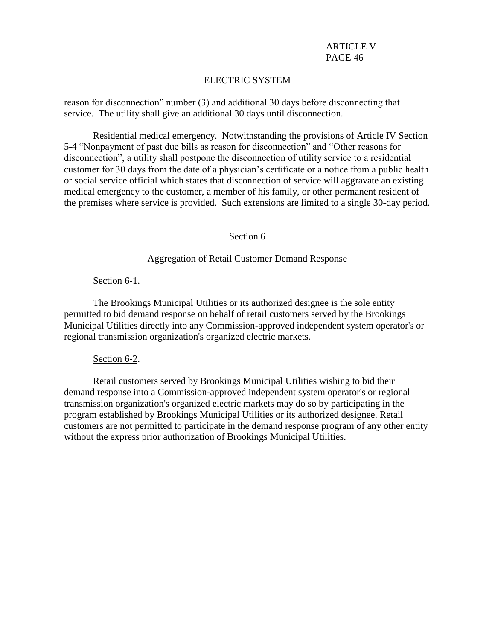# ELECTRIC SYSTEM

reason for disconnection" number (3) and additional 30 days before disconnecting that service. The utility shall give an additional 30 days until disconnection.

Residential medical emergency. Notwithstanding the provisions of Article IV Section 5-4 "Nonpayment of past due bills as reason for disconnection" and "Other reasons for disconnection", a utility shall postpone the disconnection of utility service to a residential customer for 30 days from the date of a physician's certificate or a notice from a public health or social service official which states that disconnection of service will aggravate an existing medical emergency to the customer, a member of his family, or other permanent resident of the premises where service is provided. Such extensions are limited to a single 30-day period.

### Section 6

### Aggregation of Retail Customer Demand Response

### Section 6-1.

The Brookings Municipal Utilities or its authorized designee is the sole entity permitted to bid demand response on behalf of retail customers served by the Brookings Municipal Utilities directly into any Commission-approved independent system operator's or regional transmission organization's organized electric markets.

### Section 6-2.

Retail customers served by Brookings Municipal Utilities wishing to bid their demand response into a Commission-approved independent system operator's or regional transmission organization's organized electric markets may do so by participating in the program established by Brookings Municipal Utilities or its authorized designee. Retail customers are not permitted to participate in the demand response program of any other entity without the express prior authorization of Brookings Municipal Utilities.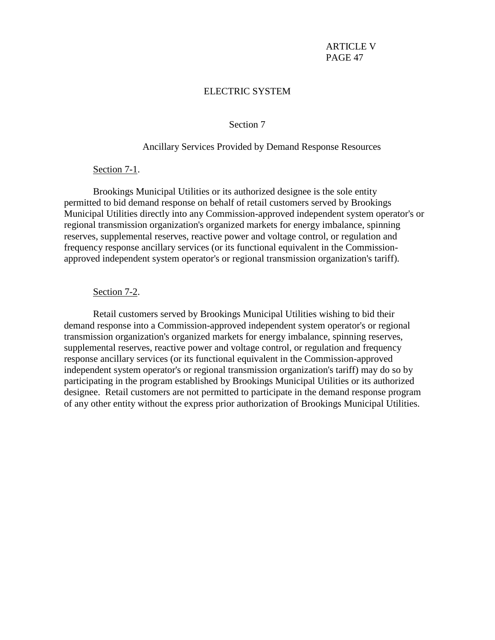### ELECTRIC SYSTEM

### Section 7

#### Ancillary Services Provided by Demand Response Resources

#### Section 7-1.

Brookings Municipal Utilities or its authorized designee is the sole entity permitted to bid demand response on behalf of retail customers served by Brookings Municipal Utilities directly into any Commission-approved independent system operator's or regional transmission organization's organized markets for energy imbalance, spinning reserves, supplemental reserves, reactive power and voltage control, or regulation and frequency response ancillary services (or its functional equivalent in the Commissionapproved independent system operator's or regional transmission organization's tariff).

#### Section 7-2.

Retail customers served by Brookings Municipal Utilities wishing to bid their demand response into a Commission-approved independent system operator's or regional transmission organization's organized markets for energy imbalance, spinning reserves, supplemental reserves, reactive power and voltage control, or regulation and frequency response ancillary services (or its functional equivalent in the Commission-approved independent system operator's or regional transmission organization's tariff) may do so by participating in the program established by Brookings Municipal Utilities or its authorized designee. Retail customers are not permitted to participate in the demand response program of any other entity without the express prior authorization of Brookings Municipal Utilities.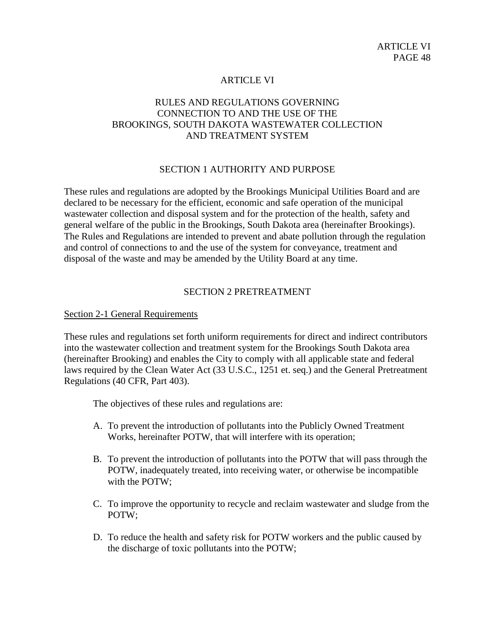# ARTICLE VI

# RULES AND REGULATIONS GOVERNING CONNECTION TO AND THE USE OF THE BROOKINGS, SOUTH DAKOTA WASTEWATER COLLECTION AND TREATMENT SYSTEM

# SECTION 1 AUTHORITY AND PURPOSE

These rules and regulations are adopted by the Brookings Municipal Utilities Board and are declared to be necessary for the efficient, economic and safe operation of the municipal wastewater collection and disposal system and for the protection of the health, safety and general welfare of the public in the Brookings, South Dakota area (hereinafter Brookings). The Rules and Regulations are intended to prevent and abate pollution through the regulation and control of connections to and the use of the system for conveyance, treatment and disposal of the waste and may be amended by the Utility Board at any time.

### SECTION 2 PRETREATMENT

### Section 2-1 General Requirements

These rules and regulations set forth uniform requirements for direct and indirect contributors into the wastewater collection and treatment system for the Brookings South Dakota area (hereinafter Brooking) and enables the City to comply with all applicable state and federal laws required by the Clean Water Act (33 U.S.C., 1251 et. seq.) and the General Pretreatment Regulations (40 CFR, Part 403).

The objectives of these rules and regulations are:

- A. To prevent the introduction of pollutants into the Publicly Owned Treatment Works, hereinafter POTW, that will interfere with its operation;
- B. To prevent the introduction of pollutants into the POTW that will pass through the POTW, inadequately treated, into receiving water, or otherwise be incompatible with the POTW;
- C. To improve the opportunity to recycle and reclaim wastewater and sludge from the POTW;
- D. To reduce the health and safety risk for POTW workers and the public caused by the discharge of toxic pollutants into the POTW;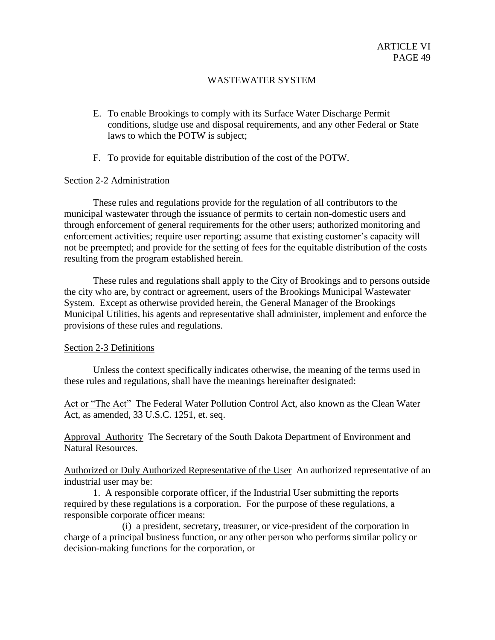- E. To enable Brookings to comply with its Surface Water Discharge Permit conditions, sludge use and disposal requirements, and any other Federal or State laws to which the POTW is subject;
- F. To provide for equitable distribution of the cost of the POTW.

### Section 2-2 Administration

These rules and regulations provide for the regulation of all contributors to the municipal wastewater through the issuance of permits to certain non-domestic users and through enforcement of general requirements for the other users; authorized monitoring and enforcement activities; require user reporting; assume that existing customer's capacity will not be preempted; and provide for the setting of fees for the equitable distribution of the costs resulting from the program established herein.

These rules and regulations shall apply to the City of Brookings and to persons outside the city who are, by contract or agreement, users of the Brookings Municipal Wastewater System. Except as otherwise provided herein, the General Manager of the Brookings Municipal Utilities, his agents and representative shall administer, implement and enforce the provisions of these rules and regulations.

### Section 2-3 Definitions

Unless the context specifically indicates otherwise, the meaning of the terms used in these rules and regulations, shall have the meanings hereinafter designated:

Act or "The Act" The Federal Water Pollution Control Act, also known as the Clean Water Act, as amended, 33 U.S.C. 1251, et. seq.

Approval Authority The Secretary of the South Dakota Department of Environment and Natural Resources.

Authorized or Duly Authorized Representative of the User An authorized representative of an industrial user may be:

1. A responsible corporate officer, if the Industrial User submitting the reports required by these regulations is a corporation. For the purpose of these regulations, a responsible corporate officer means:

(i) a president, secretary, treasurer, or vice-president of the corporation in charge of a principal business function, or any other person who performs similar policy or decision-making functions for the corporation, or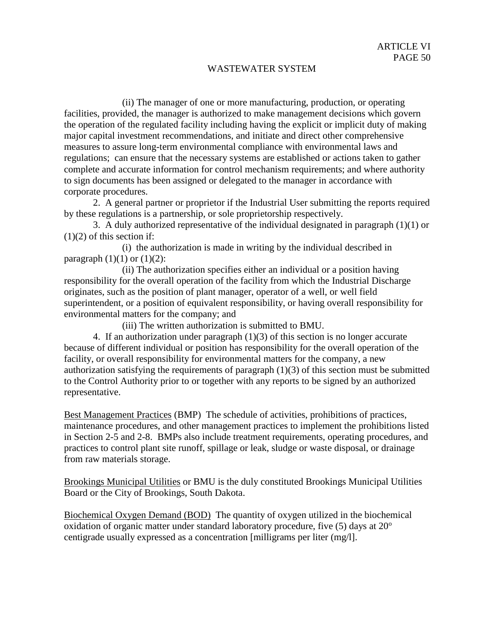(ii) The manager of one or more manufacturing, production, or operating facilities, provided, the manager is authorized to make management decisions which govern the operation of the regulated facility including having the explicit or implicit duty of making major capital investment recommendations, and initiate and direct other comprehensive measures to assure long-term environmental compliance with environmental laws and regulations; can ensure that the necessary systems are established or actions taken to gather complete and accurate information for control mechanism requirements; and where authority to sign documents has been assigned or delegated to the manager in accordance with corporate procedures.

2. A general partner or proprietor if the Industrial User submitting the reports required by these regulations is a partnership, or sole proprietorship respectively.

3. A duly authorized representative of the individual designated in paragraph (1)(1) or  $(1)(2)$  of this section if:

(i) the authorization is made in writing by the individual described in paragraph  $(1)(1)$  or  $(1)(2)$ :

(ii) The authorization specifies either an individual or a position having responsibility for the overall operation of the facility from which the Industrial Discharge originates, such as the position of plant manager, operator of a well, or well field superintendent, or a position of equivalent responsibility, or having overall responsibility for environmental matters for the company; and

(iii) The written authorization is submitted to BMU.

4. If an authorization under paragraph  $(1)(3)$  of this section is no longer accurate because of different individual or position has responsibility for the overall operation of the facility, or overall responsibility for environmental matters for the company, a new authorization satisfying the requirements of paragraph (1)(3) of this section must be submitted to the Control Authority prior to or together with any reports to be signed by an authorized representative.

Best Management Practices (BMP) The schedule of activities, prohibitions of practices, maintenance procedures, and other management practices to implement the prohibitions listed in Section 2-5 and 2-8. BMPs also include treatment requirements, operating procedures, and practices to control plant site runoff, spillage or leak, sludge or waste disposal, or drainage from raw materials storage.

Brookings Municipal Utilities or BMU is the duly constituted Brookings Municipal Utilities Board or the City of Brookings, South Dakota.

Biochemical Oxygen Demand (BOD) The quantity of oxygen utilized in the biochemical oxidation of organic matter under standard laboratory procedure, five  $(5)$  days at  $20^{\circ}$ centigrade usually expressed as a concentration [milligrams per liter (mg/l].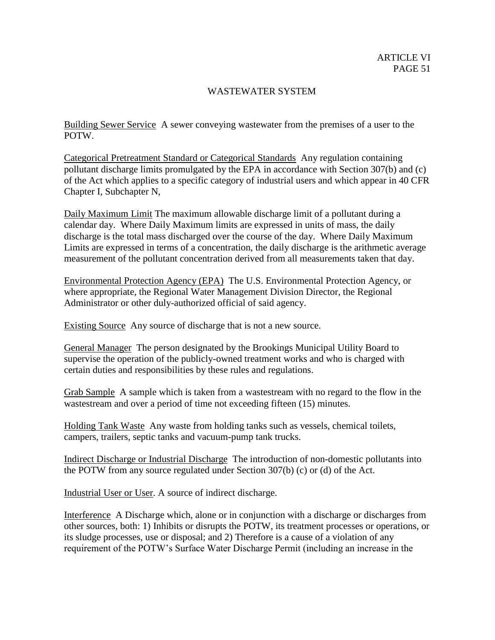Building Sewer Service A sewer conveying wastewater from the premises of a user to the POTW.

Categorical Pretreatment Standard or Categorical Standards Any regulation containing pollutant discharge limits promulgated by the EPA in accordance with Section 307(b) and (c) of the Act which applies to a specific category of industrial users and which appear in 40 CFR Chapter I, Subchapter N,

Daily Maximum Limit The maximum allowable discharge limit of a pollutant during a calendar day. Where Daily Maximum limits are expressed in units of mass, the daily discharge is the total mass discharged over the course of the day. Where Daily Maximum Limits are expressed in terms of a concentration, the daily discharge is the arithmetic average measurement of the pollutant concentration derived from all measurements taken that day.

Environmental Protection Agency (EPA) The U.S. Environmental Protection Agency, or where appropriate, the Regional Water Management Division Director, the Regional Administrator or other duly-authorized official of said agency.

Existing Source Any source of discharge that is not a new source.

General Manager The person designated by the Brookings Municipal Utility Board to supervise the operation of the publicly-owned treatment works and who is charged with certain duties and responsibilities by these rules and regulations.

Grab Sample A sample which is taken from a wastestream with no regard to the flow in the wastestream and over a period of time not exceeding fifteen (15) minutes.

Holding Tank Waste Any waste from holding tanks such as vessels, chemical toilets, campers, trailers, septic tanks and vacuum-pump tank trucks.

Indirect Discharge or Industrial Discharge The introduction of non-domestic pollutants into the POTW from any source regulated under Section 307(b) (c) or (d) of the Act.

Industrial User or User. A source of indirect discharge.

Interference A Discharge which, alone or in conjunction with a discharge or discharges from other sources, both: 1) Inhibits or disrupts the POTW, its treatment processes or operations, or its sludge processes, use or disposal; and 2) Therefore is a cause of a violation of any requirement of the POTW's Surface Water Discharge Permit (including an increase in the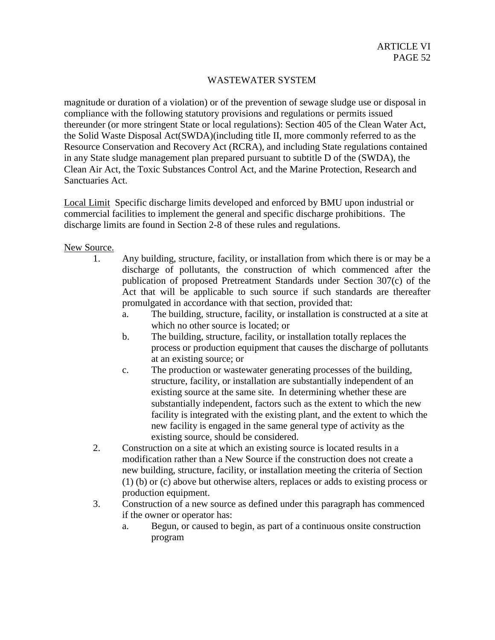magnitude or duration of a violation) or of the prevention of sewage sludge use or disposal in compliance with the following statutory provisions and regulations or permits issued thereunder (or more stringent State or local regulations): Section 405 of the Clean Water Act, the Solid Waste Disposal Act(SWDA)(including title II, more commonly referred to as the Resource Conservation and Recovery Act (RCRA), and including State regulations contained in any State sludge management plan prepared pursuant to subtitle D of the (SWDA), the Clean Air Act, the Toxic Substances Control Act, and the Marine Protection, Research and Sanctuaries Act.

Local Limit Specific discharge limits developed and enforced by BMU upon industrial or commercial facilities to implement the general and specific discharge prohibitions. The discharge limits are found in Section 2-8 of these rules and regulations.

New Source.

- 1. Any building, structure, facility, or installation from which there is or may be a discharge of pollutants, the construction of which commenced after the publication of proposed Pretreatment Standards under Section 307(c) of the Act that will be applicable to such source if such standards are thereafter promulgated in accordance with that section, provided that:
	- a. The building, structure, facility, or installation is constructed at a site at which no other source is located; or
	- b. The building, structure, facility, or installation totally replaces the process or production equipment that causes the discharge of pollutants at an existing source; or
	- c. The production or wastewater generating processes of the building, structure, facility, or installation are substantially independent of an existing source at the same site. In determining whether these are substantially independent, factors such as the extent to which the new facility is integrated with the existing plant, and the extent to which the new facility is engaged in the same general type of activity as the existing source, should be considered.
- 2. Construction on a site at which an existing source is located results in a modification rather than a New Source if the construction does not create a new building, structure, facility, or installation meeting the criteria of Section (1) (b) or (c) above but otherwise alters, replaces or adds to existing process or production equipment.
- 3. Construction of a new source as defined under this paragraph has commenced if the owner or operator has:
	- a. Begun, or caused to begin, as part of a continuous onsite construction program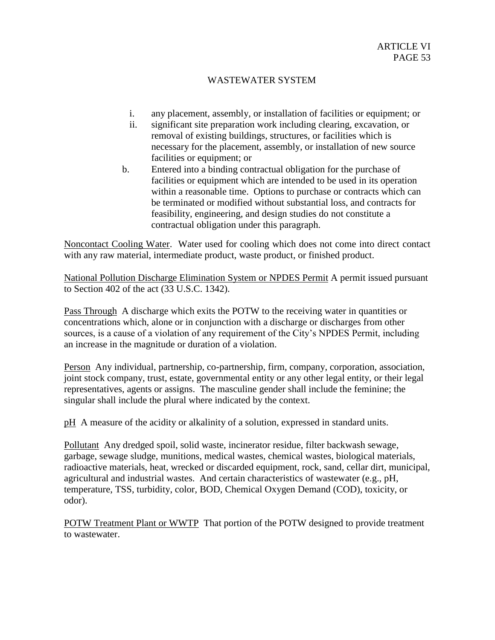- i. any placement, assembly, or installation of facilities or equipment; or
- ii. significant site preparation work including clearing, excavation, or removal of existing buildings, structures, or facilities which is necessary for the placement, assembly, or installation of new source facilities or equipment; or
- b. Entered into a binding contractual obligation for the purchase of facilities or equipment which are intended to be used in its operation within a reasonable time. Options to purchase or contracts which can be terminated or modified without substantial loss, and contracts for feasibility, engineering, and design studies do not constitute a contractual obligation under this paragraph.

Noncontact Cooling Water. Water used for cooling which does not come into direct contact with any raw material, intermediate product, waste product, or finished product.

National Pollution Discharge Elimination System or NPDES Permit A permit issued pursuant to Section 402 of the act (33 U.S.C. 1342).

Pass Through A discharge which exits the POTW to the receiving water in quantities or concentrations which, alone or in conjunction with a discharge or discharges from other sources, is a cause of a violation of any requirement of the City's NPDES Permit, including an increase in the magnitude or duration of a violation.

Person Any individual, partnership, co-partnership, firm, company, corporation, association, joint stock company, trust, estate, governmental entity or any other legal entity, or their legal representatives, agents or assigns. The masculine gender shall include the feminine; the singular shall include the plural where indicated by the context.

pH A measure of the acidity or alkalinity of a solution, expressed in standard units.

Pollutant Any dredged spoil, solid waste, incinerator residue, filter backwash sewage, garbage, sewage sludge, munitions, medical wastes, chemical wastes, biological materials, radioactive materials, heat, wrecked or discarded equipment, rock, sand, cellar dirt, municipal, agricultural and industrial wastes. And certain characteristics of wastewater (e.g., pH, temperature, TSS, turbidity, color, BOD, Chemical Oxygen Demand (COD), toxicity, or odor).

POTW Treatment Plant or WWTP That portion of the POTW designed to provide treatment to wastewater.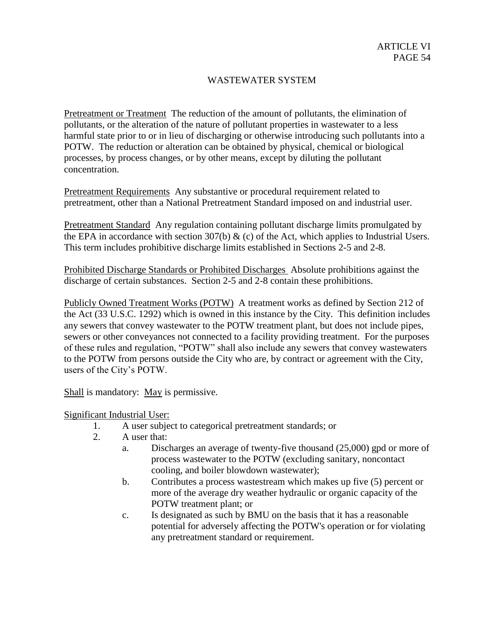Pretreatment or Treatment The reduction of the amount of pollutants, the elimination of pollutants, or the alteration of the nature of pollutant properties in wastewater to a less harmful state prior to or in lieu of discharging or otherwise introducing such pollutants into a POTW. The reduction or alteration can be obtained by physical, chemical or biological processes, by process changes, or by other means, except by diluting the pollutant concentration.

Pretreatment Requirements Any substantive or procedural requirement related to pretreatment, other than a National Pretreatment Standard imposed on and industrial user.

Pretreatment Standard Any regulation containing pollutant discharge limits promulgated by the EPA in accordance with section 307(b)  $\&$  (c) of the Act, which applies to Industrial Users. This term includes prohibitive discharge limits established in Sections 2-5 and 2-8.

Prohibited Discharge Standards or Prohibited Discharges Absolute prohibitions against the discharge of certain substances. Section 2-5 and 2-8 contain these prohibitions.

Publicly Owned Treatment Works (POTW) A treatment works as defined by Section 212 of the Act (33 U.S.C. 1292) which is owned in this instance by the City. This definition includes any sewers that convey wastewater to the POTW treatment plant, but does not include pipes, sewers or other conveyances not connected to a facility providing treatment. For the purposes of these rules and regulation, "POTW" shall also include any sewers that convey wastewaters to the POTW from persons outside the City who are, by contract or agreement with the City, users of the City's POTW.

Shall is mandatory: May is permissive.

Significant Industrial User:

- 1. A user subject to categorical pretreatment standards; or
- 2. A user that:
	- a. Discharges an average of twenty-five thousand (25,000) gpd or more of process wastewater to the POTW (excluding sanitary, noncontact cooling, and boiler blowdown wastewater);
	- b. Contributes a process wastestream which makes up five (5) percent or more of the average dry weather hydraulic or organic capacity of the POTW treatment plant; or
	- c. Is designated as such by BMU on the basis that it has a reasonable potential for adversely affecting the POTW's operation or for violating any pretreatment standard or requirement.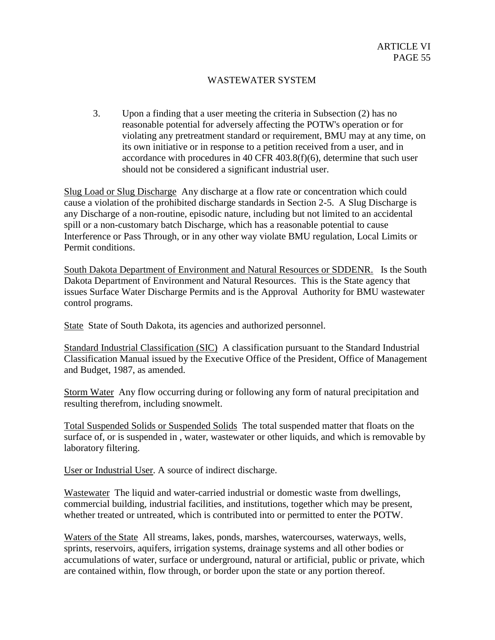3. Upon a finding that a user meeting the criteria in Subsection (2) has no reasonable potential for adversely affecting the POTW's operation or for violating any pretreatment standard or requirement, BMU may at any time, on its own initiative or in response to a petition received from a user, and in accordance with procedures in 40 CFR 403.8(f)(6), determine that such user should not be considered a significant industrial user.

Slug Load or Slug Discharge Any discharge at a flow rate or concentration which could cause a violation of the prohibited discharge standards in Section 2-5. A Slug Discharge is any Discharge of a non-routine, episodic nature, including but not limited to an accidental spill or a non-customary batch Discharge, which has a reasonable potential to cause Interference or Pass Through, or in any other way violate BMU regulation, Local Limits or Permit conditions.

South Dakota Department of Environment and Natural Resources or SDDENR. Is the South Dakota Department of Environment and Natural Resources. This is the State agency that issues Surface Water Discharge Permits and is the Approval Authority for BMU wastewater control programs.

State State of South Dakota, its agencies and authorized personnel.

Standard Industrial Classification (SIC) A classification pursuant to the Standard Industrial Classification Manual issued by the Executive Office of the President, Office of Management and Budget, 1987, as amended.

Storm Water Any flow occurring during or following any form of natural precipitation and resulting therefrom, including snowmelt.

Total Suspended Solids or Suspended Solids The total suspended matter that floats on the surface of, or is suspended in , water, wastewater or other liquids, and which is removable by laboratory filtering.

User or Industrial User. A source of indirect discharge.

Wastewater The liquid and water-carried industrial or domestic waste from dwellings, commercial building, industrial facilities, and institutions, together which may be present, whether treated or untreated, which is contributed into or permitted to enter the POTW.

Waters of the State All streams, lakes, ponds, marshes, watercourses, waterways, wells, sprints, reservoirs, aquifers, irrigation systems, drainage systems and all other bodies or accumulations of water, surface or underground, natural or artificial, public or private, which are contained within, flow through, or border upon the state or any portion thereof.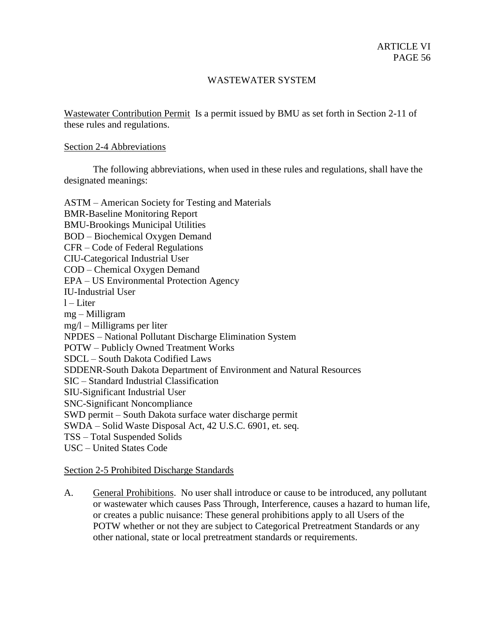Wastewater Contribution Permit Is a permit issued by BMU as set forth in Section 2-11 of these rules and regulations.

### Section 2-4 Abbreviations

The following abbreviations, when used in these rules and regulations, shall have the designated meanings:

ASTM – American Society for Testing and Materials BMR-Baseline Monitoring Report BMU-Brookings Municipal Utilities BOD – Biochemical Oxygen Demand CFR – Code of Federal Regulations CIU-Categorical Industrial User COD – Chemical Oxygen Demand EPA – US Environmental Protection Agency IU-Industrial User  $l$  – Liter mg – Milligram mg/l – Milligrams per liter NPDES – National Pollutant Discharge Elimination System POTW – Publicly Owned Treatment Works SDCL – South Dakota Codified Laws SDDENR-South Dakota Department of Environment and Natural Resources SIC – Standard Industrial Classification SIU-Significant Industrial User SNC-Significant Noncompliance SWD permit – South Dakota surface water discharge permit SWDA – Solid Waste Disposal Act, 42 U.S.C. 6901, et. seq. TSS – Total Suspended Solids USC – United States Code

### Section 2-5 Prohibited Discharge Standards

A. General Prohibitions. No user shall introduce or cause to be introduced, any pollutant or wastewater which causes Pass Through, Interference, causes a hazard to human life, or creates a public nuisance: These general prohibitions apply to all Users of the POTW whether or not they are subject to Categorical Pretreatment Standards or any other national, state or local pretreatment standards or requirements.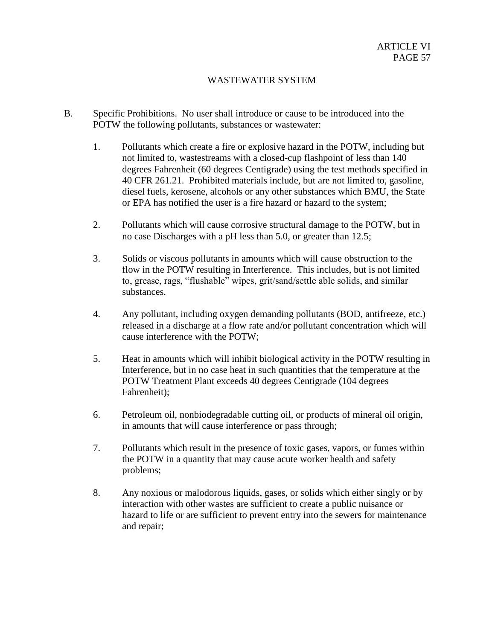- B. Specific Prohibitions. No user shall introduce or cause to be introduced into the POTW the following pollutants, substances or wastewater:
	- 1. Pollutants which create a fire or explosive hazard in the POTW, including but not limited to, wastestreams with a closed-cup flashpoint of less than 140 degrees Fahrenheit (60 degrees Centigrade) using the test methods specified in 40 CFR 261.21. Prohibited materials include, but are not limited to, gasoline, diesel fuels, kerosene, alcohols or any other substances which BMU, the State or EPA has notified the user is a fire hazard or hazard to the system;
	- 2. Pollutants which will cause corrosive structural damage to the POTW, but in no case Discharges with a pH less than 5.0, or greater than 12.5;
	- 3. Solids or viscous pollutants in amounts which will cause obstruction to the flow in the POTW resulting in Interference. This includes, but is not limited to, grease, rags, "flushable" wipes, grit/sand/settle able solids, and similar substances.
	- 4. Any pollutant, including oxygen demanding pollutants (BOD, antifreeze, etc.) released in a discharge at a flow rate and/or pollutant concentration which will cause interference with the POTW;
	- 5. Heat in amounts which will inhibit biological activity in the POTW resulting in Interference, but in no case heat in such quantities that the temperature at the POTW Treatment Plant exceeds 40 degrees Centigrade (104 degrees Fahrenheit);
	- 6. Petroleum oil, nonbiodegradable cutting oil, or products of mineral oil origin, in amounts that will cause interference or pass through;
	- 7. Pollutants which result in the presence of toxic gases, vapors, or fumes within the POTW in a quantity that may cause acute worker health and safety problems;
	- 8. Any noxious or malodorous liquids, gases, or solids which either singly or by interaction with other wastes are sufficient to create a public nuisance or hazard to life or are sufficient to prevent entry into the sewers for maintenance and repair;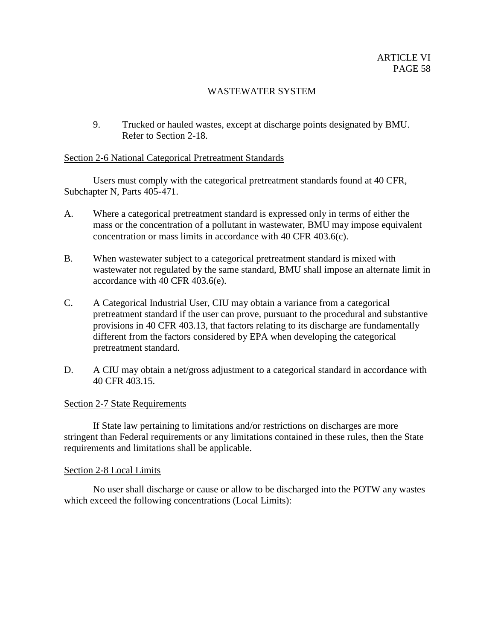9. Trucked or hauled wastes, except at discharge points designated by BMU. Refer to Section 2-18.

# Section 2-6 National Categorical Pretreatment Standards

Users must comply with the categorical pretreatment standards found at 40 CFR, Subchapter N, Parts 405-471.

- A. Where a categorical pretreatment standard is expressed only in terms of either the mass or the concentration of a pollutant in wastewater, BMU may impose equivalent concentration or mass limits in accordance with 40 CFR 403.6(c).
- B. When wastewater subject to a categorical pretreatment standard is mixed with wastewater not regulated by the same standard, BMU shall impose an alternate limit in accordance with 40 CFR 403.6(e).
- C. A Categorical Industrial User, CIU may obtain a variance from a categorical pretreatment standard if the user can prove, pursuant to the procedural and substantive provisions in 40 CFR 403.13, that factors relating to its discharge are fundamentally different from the factors considered by EPA when developing the categorical pretreatment standard.
- D. A CIU may obtain a net/gross adjustment to a categorical standard in accordance with 40 CFR 403.15.

### Section 2-7 State Requirements

If State law pertaining to limitations and/or restrictions on discharges are more stringent than Federal requirements or any limitations contained in these rules, then the State requirements and limitations shall be applicable.

### Section 2-8 Local Limits

No user shall discharge or cause or allow to be discharged into the POTW any wastes which exceed the following concentrations (Local Limits):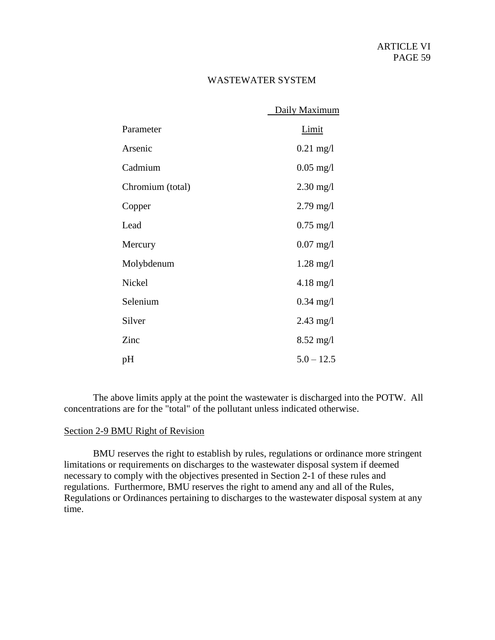|                  | Daily Maximum       |
|------------------|---------------------|
| Parameter        | <b>Limit</b>        |
| Arsenic          | $0.21$ mg/l         |
| Cadmium          | $0.05$ mg/l         |
| Chromium (total) | $2.30 \text{ mg}/1$ |
| Copper           | $2.79 \text{ mg}/1$ |
| Lead             | $0.75 \text{ mg}/1$ |
| Mercury          | $0.07 \text{ mg}/1$ |
| Molybdenum       | $1.28$ mg/l         |
| Nickel           | $4.18 \text{ mg}/1$ |
| Selenium         | $0.34$ mg/l         |
| Silver           | $2.43$ mg/l         |
| Zinc             | $8.52 \text{ mg}/1$ |
| pН               | $5.0 - 12.5$        |

The above limits apply at the point the wastewater is discharged into the POTW. All concentrations are for the "total" of the pollutant unless indicated otherwise.

### Section 2-9 BMU Right of Revision

BMU reserves the right to establish by rules, regulations or ordinance more stringent limitations or requirements on discharges to the wastewater disposal system if deemed necessary to comply with the objectives presented in Section 2-1 of these rules and regulations. Furthermore, BMU reserves the right to amend any and all of the Rules, Regulations or Ordinances pertaining to discharges to the wastewater disposal system at any time.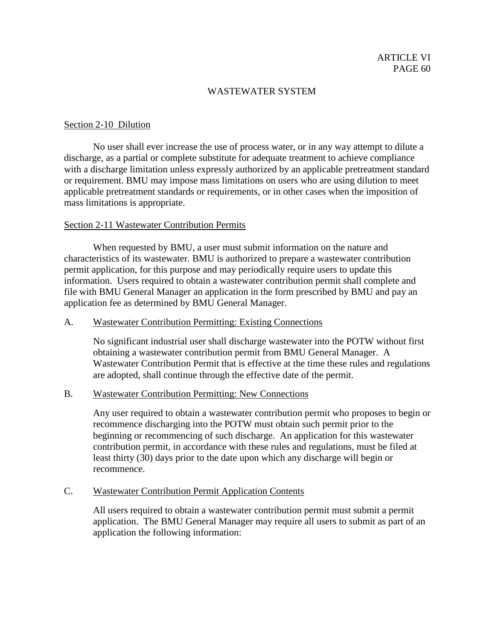### Section 2-10 Dilution

No user shall ever increase the use of process water, or in any way attempt to dilute a discharge, as a partial or complete substitute for adequate treatment to achieve compliance with a discharge limitation unless expressly authorized by an applicable pretreatment standard or requirement. BMU may impose mass limitations on users who are using dilution to meet applicable pretreatment standards or requirements, or in other cases when the imposition of mass limitations is appropriate.

### Section 2-11 Wastewater Contribution Permits

When requested by BMU, a user must submit information on the nature and characteristics of its wastewater. BMU is authorized to prepare a wastewater contribution permit application, for this purpose and may periodically require users to update this information. Users required to obtain a wastewater contribution permit shall complete and file with BMU General Manager an application in the form prescribed by BMU and pay an application fee as determined by BMU General Manager.

### A. Wastewater Contribution Permitting: Existing Connections

No significant industrial user shall discharge wastewater into the POTW without first obtaining a wastewater contribution permit from BMU General Manager. A Wastewater Contribution Permit that is effective at the time these rules and regulations are adopted, shall continue through the effective date of the permit.

### B. Wastewater Contribution Permitting: New Connections

Any user required to obtain a wastewater contribution permit who proposes to begin or recommence discharging into the POTW must obtain such permit prior to the beginning or recommencing of such discharge. An application for this wastewater contribution permit, in accordance with these rules and regulations, must be filed at least thirty (30) days prior to the date upon which any discharge will begin or recommence.

## C. Wastewater Contribution Permit Application Contents

All users required to obtain a wastewater contribution permit must submit a permit application. The BMU General Manager may require all users to submit as part of an application the following information: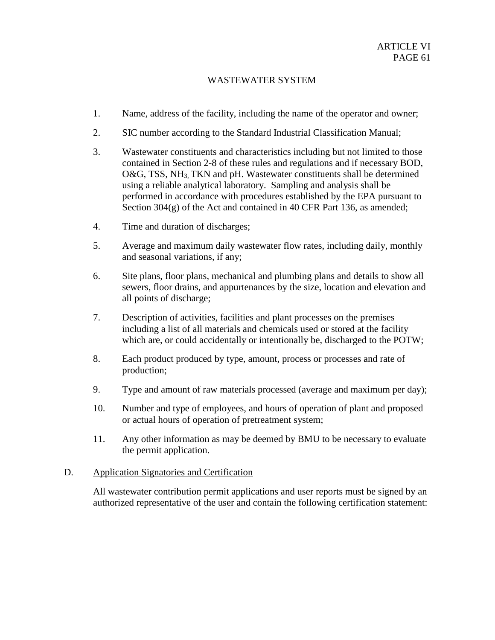- 1. Name, address of the facility, including the name of the operator and owner;
- 2. SIC number according to the Standard Industrial Classification Manual;
- 3. Wastewater constituents and characteristics including but not limited to those contained in Section 2-8 of these rules and regulations and if necessary BOD, O&G, TSS, NH<sub>3</sub> TKN and pH. Wastewater constituents shall be determined using a reliable analytical laboratory. Sampling and analysis shall be performed in accordance with procedures established by the EPA pursuant to Section  $304(g)$  of the Act and contained in 40 CFR Part 136, as amended;
- 4. Time and duration of discharges;
- 5. Average and maximum daily wastewater flow rates, including daily, monthly and seasonal variations, if any;
- 6. Site plans, floor plans, mechanical and plumbing plans and details to show all sewers, floor drains, and appurtenances by the size, location and elevation and all points of discharge;
- 7. Description of activities, facilities and plant processes on the premises including a list of all materials and chemicals used or stored at the facility which are, or could accidentally or intentionally be, discharged to the POTW;
- 8. Each product produced by type, amount, process or processes and rate of production;
- 9. Type and amount of raw materials processed (average and maximum per day);
- 10. Number and type of employees, and hours of operation of plant and proposed or actual hours of operation of pretreatment system;
- 11. Any other information as may be deemed by BMU to be necessary to evaluate the permit application.

### D. Application Signatories and Certification

All wastewater contribution permit applications and user reports must be signed by an authorized representative of the user and contain the following certification statement: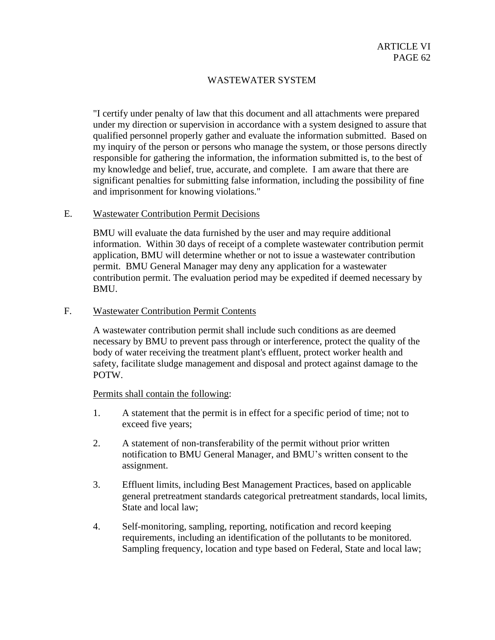"I certify under penalty of law that this document and all attachments were prepared under my direction or supervision in accordance with a system designed to assure that qualified personnel properly gather and evaluate the information submitted. Based on my inquiry of the person or persons who manage the system, or those persons directly responsible for gathering the information, the information submitted is, to the best of my knowledge and belief, true, accurate, and complete. I am aware that there are significant penalties for submitting false information, including the possibility of fine and imprisonment for knowing violations."

### E. Wastewater Contribution Permit Decisions

BMU will evaluate the data furnished by the user and may require additional information. Within 30 days of receipt of a complete wastewater contribution permit application, BMU will determine whether or not to issue a wastewater contribution permit. BMU General Manager may deny any application for a wastewater contribution permit. The evaluation period may be expedited if deemed necessary by BMU.

### F. Wastewater Contribution Permit Contents

A wastewater contribution permit shall include such conditions as are deemed necessary by BMU to prevent pass through or interference, protect the quality of the body of water receiving the treatment plant's effluent, protect worker health and safety, facilitate sludge management and disposal and protect against damage to the POTW.

### Permits shall contain the following:

- 1. A statement that the permit is in effect for a specific period of time; not to exceed five years;
- 2. A statement of non-transferability of the permit without prior written notification to BMU General Manager, and BMU's written consent to the assignment.
- 3. Effluent limits, including Best Management Practices, based on applicable general pretreatment standards categorical pretreatment standards, local limits, State and local law;
- 4. Self-monitoring, sampling, reporting, notification and record keeping requirements, including an identification of the pollutants to be monitored. Sampling frequency, location and type based on Federal, State and local law;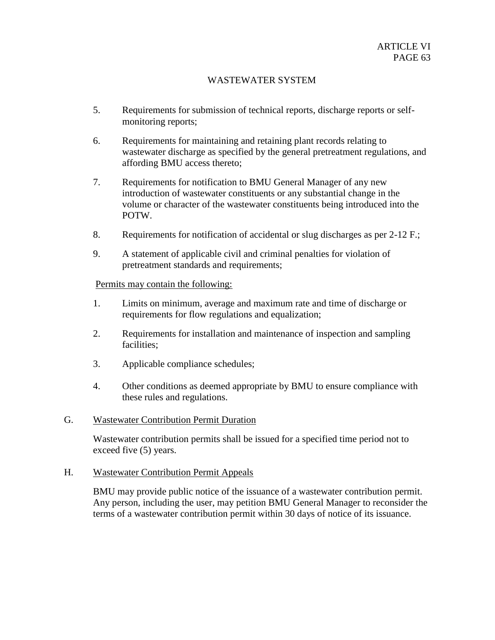- 5. Requirements for submission of technical reports, discharge reports or selfmonitoring reports;
- 6. Requirements for maintaining and retaining plant records relating to wastewater discharge as specified by the general pretreatment regulations, and affording BMU access thereto;
- 7. Requirements for notification to BMU General Manager of any new introduction of wastewater constituents or any substantial change in the volume or character of the wastewater constituents being introduced into the POTW.
- 8. Requirements for notification of accidental or slug discharges as per 2-12 F.;
- 9. A statement of applicable civil and criminal penalties for violation of pretreatment standards and requirements;

### Permits may contain the following:

- 1. Limits on minimum, average and maximum rate and time of discharge or requirements for flow regulations and equalization;
- 2. Requirements for installation and maintenance of inspection and sampling facilities;
- 3. Applicable compliance schedules;
- 4. Other conditions as deemed appropriate by BMU to ensure compliance with these rules and regulations.

### G. Wastewater Contribution Permit Duration

Wastewater contribution permits shall be issued for a specified time period not to exceed five (5) years.

# H. Wastewater Contribution Permit Appeals

BMU may provide public notice of the issuance of a wastewater contribution permit. Any person, including the user, may petition BMU General Manager to reconsider the terms of a wastewater contribution permit within 30 days of notice of its issuance.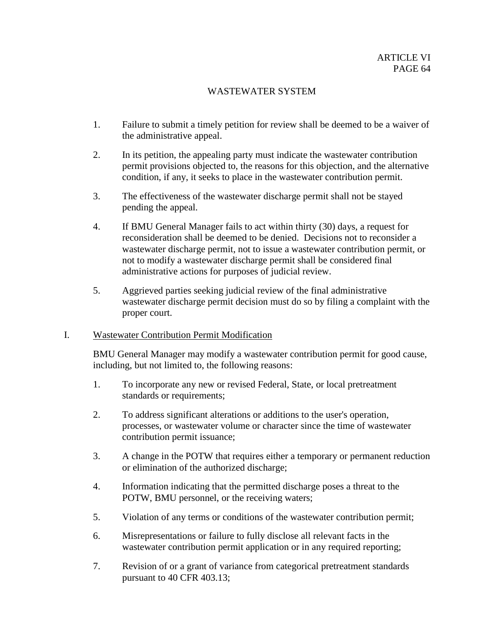- 1. Failure to submit a timely petition for review shall be deemed to be a waiver of the administrative appeal.
- 2. In its petition, the appealing party must indicate the wastewater contribution permit provisions objected to, the reasons for this objection, and the alternative condition, if any, it seeks to place in the wastewater contribution permit.
- 3. The effectiveness of the wastewater discharge permit shall not be stayed pending the appeal.
- 4. If BMU General Manager fails to act within thirty (30) days, a request for reconsideration shall be deemed to be denied. Decisions not to reconsider a wastewater discharge permit, not to issue a wastewater contribution permit, or not to modify a wastewater discharge permit shall be considered final administrative actions for purposes of judicial review.
- 5. Aggrieved parties seeking judicial review of the final administrative wastewater discharge permit decision must do so by filing a complaint with the proper court.

# I. Wastewater Contribution Permit Modification

BMU General Manager may modify a wastewater contribution permit for good cause, including, but not limited to, the following reasons:

- 1. To incorporate any new or revised Federal, State, or local pretreatment standards or requirements;
- 2. To address significant alterations or additions to the user's operation, processes, or wastewater volume or character since the time of wastewater contribution permit issuance;
- 3. A change in the POTW that requires either a temporary or permanent reduction or elimination of the authorized discharge;
- 4. Information indicating that the permitted discharge poses a threat to the POTW, BMU personnel, or the receiving waters;
- 5. Violation of any terms or conditions of the wastewater contribution permit;
- 6. Misrepresentations or failure to fully disclose all relevant facts in the wastewater contribution permit application or in any required reporting;
- 7. Revision of or a grant of variance from categorical pretreatment standards pursuant to 40 CFR 403.13;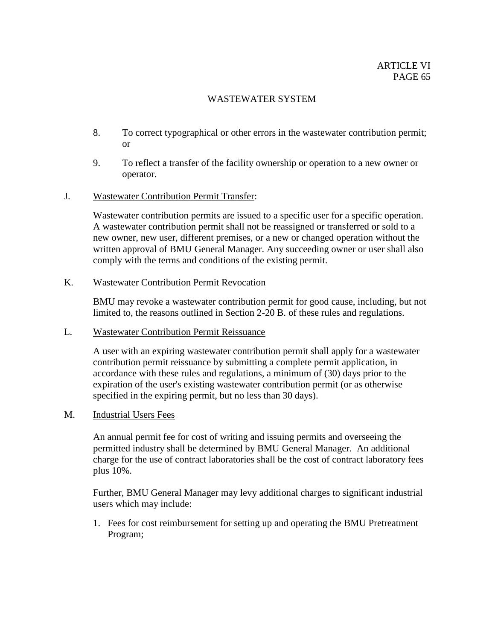- 8. To correct typographical or other errors in the wastewater contribution permit; or
- 9. To reflect a transfer of the facility ownership or operation to a new owner or operator.

### J. Wastewater Contribution Permit Transfer:

Wastewater contribution permits are issued to a specific user for a specific operation. A wastewater contribution permit shall not be reassigned or transferred or sold to a new owner, new user, different premises, or a new or changed operation without the written approval of BMU General Manager. Any succeeding owner or user shall also comply with the terms and conditions of the existing permit.

# K. Wastewater Contribution Permit Revocation

BMU may revoke a wastewater contribution permit for good cause, including, but not limited to, the reasons outlined in Section 2-20 B. of these rules and regulations.

### L. Wastewater Contribution Permit Reissuance

A user with an expiring wastewater contribution permit shall apply for a wastewater contribution permit reissuance by submitting a complete permit application, in accordance with these rules and regulations, a minimum of (30) days prior to the expiration of the user's existing wastewater contribution permit (or as otherwise specified in the expiring permit, but no less than 30 days).

# M. Industrial Users Fees

An annual permit fee for cost of writing and issuing permits and overseeing the permitted industry shall be determined by BMU General Manager. An additional charge for the use of contract laboratories shall be the cost of contract laboratory fees plus 10%.

Further, BMU General Manager may levy additional charges to significant industrial users which may include:

1. Fees for cost reimbursement for setting up and operating the BMU Pretreatment Program;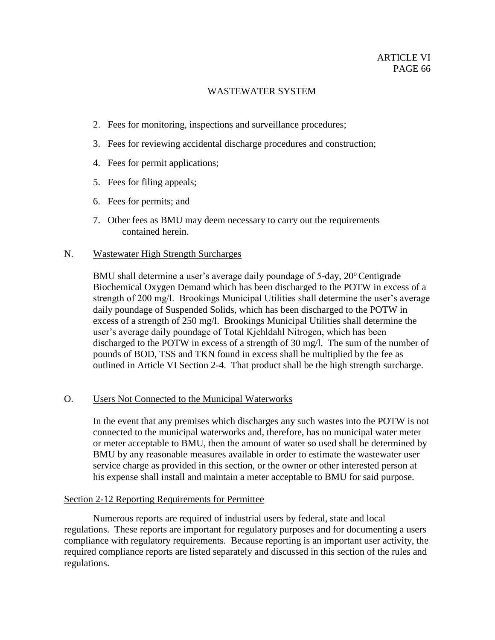- 2. Fees for monitoring, inspections and surveillance procedures;
- 3. Fees for reviewing accidental discharge procedures and construction;
- 4. Fees for permit applications;
- 5. Fees for filing appeals;
- 6. Fees for permits; and
- 7. Other fees as BMU may deem necessary to carry out the requirements contained herein.

# N. Wastewater High Strength Surcharges

BMU shall determine a user's average daily poundage of  $5$ -day,  $20^{\circ}$ Centigrade Biochemical Oxygen Demand which has been discharged to the POTW in excess of a strength of 200 mg/l. Brookings Municipal Utilities shall determine the user's average daily poundage of Suspended Solids, which has been discharged to the POTW in excess of a strength of 250 mg/l. Brookings Municipal Utilities shall determine the user's average daily poundage of Total Kjehldahl Nitrogen, which has been discharged to the POTW in excess of a strength of 30 mg/l. The sum of the number of pounds of BOD, TSS and TKN found in excess shall be multiplied by the fee as outlined in Article VI Section 2-4. That product shall be the high strength surcharge.

# O. Users Not Connected to the Municipal Waterworks

In the event that any premises which discharges any such wastes into the POTW is not connected to the municipal waterworks and, therefore, has no municipal water meter or meter acceptable to BMU, then the amount of water so used shall be determined by BMU by any reasonable measures available in order to estimate the wastewater user service charge as provided in this section, or the owner or other interested person at his expense shall install and maintain a meter acceptable to BMU for said purpose.

# Section 2-12 Reporting Requirements for Permittee

Numerous reports are required of industrial users by federal, state and local regulations. These reports are important for regulatory purposes and for documenting a users compliance with regulatory requirements. Because reporting is an important user activity, the required compliance reports are listed separately and discussed in this section of the rules and regulations.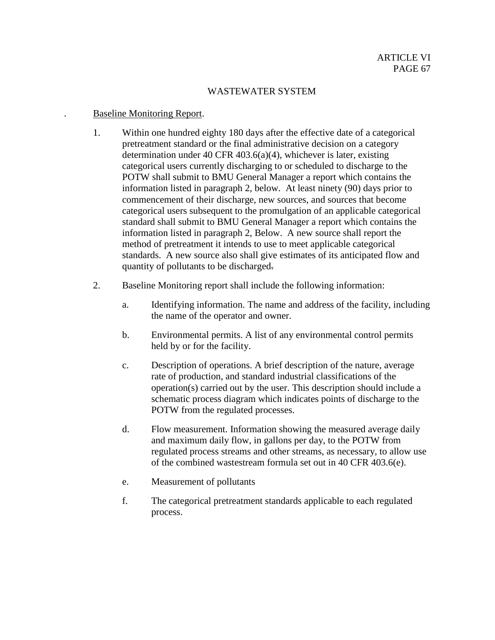## . Baseline Monitoring Report.

- 1. Within one hundred eighty 180 days after the effective date of a categorical pretreatment standard or the final administrative decision on a category determination under 40 CFR 403.6(a)(4), whichever is later, existing categorical users currently discharging to or scheduled to discharge to the POTW shall submit to BMU General Manager a report which contains the information listed in paragraph 2, below. At least ninety (90) days prior to commencement of their discharge, new sources, and sources that become categorical users subsequent to the promulgation of an applicable categorical standard shall submit to BMU General Manager a report which contains the information listed in paragraph 2, Below. A new source shall report the method of pretreatment it intends to use to meet applicable categorical standards. A new source also shall give estimates of its anticipated flow and quantity of pollutants to be discharged.
- 2. Baseline Monitoring report shall include the following information:
	- a. Identifying information. The name and address of the facility, including the name of the operator and owner.
	- b. Environmental permits. A list of any environmental control permits held by or for the facility.
	- c. Description of operations. A brief description of the nature, average rate of production, and standard industrial classifications of the operation(s) carried out by the user. This description should include a schematic process diagram which indicates points of discharge to the POTW from the regulated processes.
	- d. Flow measurement. Information showing the measured average daily and maximum daily flow, in gallons per day, to the POTW from regulated process streams and other streams, as necessary, to allow use of the combined wastestream formula set out in 40 CFR 403.6(e).
	- e. Measurement of pollutants
	- f. The categorical pretreatment standards applicable to each regulated process.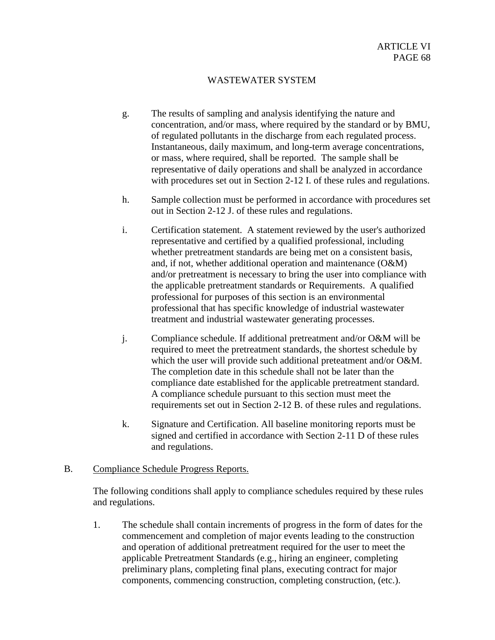- g. The results of sampling and analysis identifying the nature and concentration, and/or mass, where required by the standard or by BMU, of regulated pollutants in the discharge from each regulated process. Instantaneous, daily maximum, and long-term average concentrations, or mass, where required, shall be reported. The sample shall be representative of daily operations and shall be analyzed in accordance with procedures set out in Section 2-12 I. of these rules and regulations.
- h. Sample collection must be performed in accordance with procedures set out in Section 2-12 J. of these rules and regulations.
- i. Certification statement. A statement reviewed by the user's authorized representative and certified by a qualified professional, including whether pretreatment standards are being met on a consistent basis, and, if not, whether additional operation and maintenance (O&M) and/or pretreatment is necessary to bring the user into compliance with the applicable pretreatment standards or Requirements. A qualified professional for purposes of this section is an environmental professional that has specific knowledge of industrial wastewater treatment and industrial wastewater generating processes.
- j. Compliance schedule. If additional pretreatment and/or O&M will be required to meet the pretreatment standards, the shortest schedule by which the user will provide such additional preteatment and/or O&M. The completion date in this schedule shall not be later than the compliance date established for the applicable pretreatment standard. A compliance schedule pursuant to this section must meet the requirements set out in Section 2-12 B. of these rules and regulations.
- k. Signature and Certification. All baseline monitoring reports must be signed and certified in accordance with Section 2-11 D of these rules and regulations.

# B. Compliance Schedule Progress Reports.

The following conditions shall apply to compliance schedules required by these rules and regulations.

1. The schedule shall contain increments of progress in the form of dates for the commencement and completion of major events leading to the construction and operation of additional pretreatment required for the user to meet the applicable Pretreatment Standards (e.g., hiring an engineer, completing preliminary plans, completing final plans, executing contract for major components, commencing construction, completing construction, (etc.).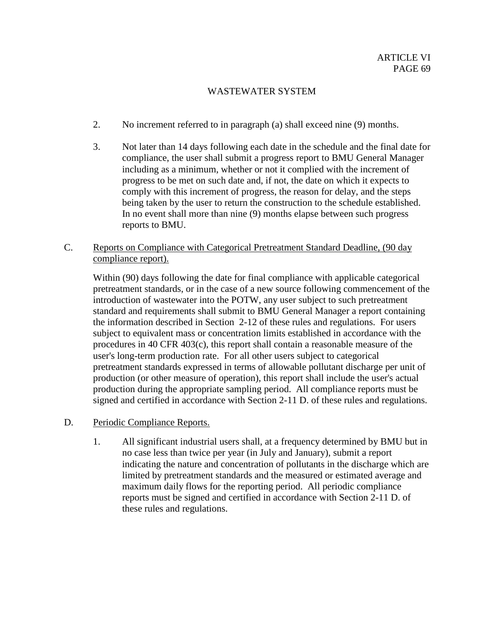- 2. No increment referred to in paragraph (a) shall exceed nine (9) months.
- 3. Not later than 14 days following each date in the schedule and the final date for compliance, the user shall submit a progress report to BMU General Manager including as a minimum, whether or not it complied with the increment of progress to be met on such date and, if not, the date on which it expects to comply with this increment of progress, the reason for delay, and the steps being taken by the user to return the construction to the schedule established. In no event shall more than nine (9) months elapse between such progress reports to BMU.
- C. Reports on Compliance with Categorical Pretreatment Standard Deadline, (90 day compliance report).

Within (90) days following the date for final compliance with applicable categorical pretreatment standards, or in the case of a new source following commencement of the introduction of wastewater into the POTW, any user subject to such pretreatment standard and requirements shall submit to BMU General Manager a report containing the information described in Section 2-12 of these rules and regulations. For users subject to equivalent mass or concentration limits established in accordance with the procedures in 40 CFR 403(c), this report shall contain a reasonable measure of the user's long-term production rate. For all other users subject to categorical pretreatment standards expressed in terms of allowable pollutant discharge per unit of production (or other measure of operation), this report shall include the user's actual production during the appropriate sampling period. All compliance reports must be signed and certified in accordance with Section 2-11 D. of these rules and regulations.

- D. Periodic Compliance Reports.
	- 1. All significant industrial users shall, at a frequency determined by BMU but in no case less than twice per year (in July and January), submit a report indicating the nature and concentration of pollutants in the discharge which are limited by pretreatment standards and the measured or estimated average and maximum daily flows for the reporting period. All periodic compliance reports must be signed and certified in accordance with Section 2-11 D. of these rules and regulations.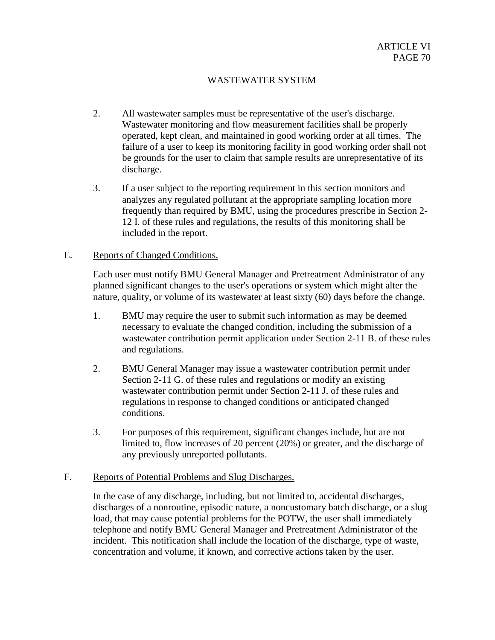- 2. All wastewater samples must be representative of the user's discharge. Wastewater monitoring and flow measurement facilities shall be properly operated, kept clean, and maintained in good working order at all times. The failure of a user to keep its monitoring facility in good working order shall not be grounds for the user to claim that sample results are unrepresentative of its discharge.
- 3. If a user subject to the reporting requirement in this section monitors and analyzes any regulated pollutant at the appropriate sampling location more frequently than required by BMU, using the procedures prescribe in Section 2- 12 I. of these rules and regulations, the results of this monitoring shall be included in the report.

### E. Reports of Changed Conditions.

Each user must notify BMU General Manager and Pretreatment Administrator of any planned significant changes to the user's operations or system which might alter the nature, quality, or volume of its wastewater at least sixty (60) days before the change.

- 1. BMU may require the user to submit such information as may be deemed necessary to evaluate the changed condition, including the submission of a wastewater contribution permit application under Section 2-11 B. of these rules and regulations.
- 2. BMU General Manager may issue a wastewater contribution permit under Section 2-11 G. of these rules and regulations or modify an existing wastewater contribution permit under Section 2-11 J. of these rules and regulations in response to changed conditions or anticipated changed conditions.
- 3. For purposes of this requirement, significant changes include, but are not limited to, flow increases of 20 percent (20%) or greater, and the discharge of any previously unreported pollutants.

# F. Reports of Potential Problems and Slug Discharges.

In the case of any discharge, including, but not limited to, accidental discharges, discharges of a nonroutine, episodic nature, a noncustomary batch discharge, or a slug load, that may cause potential problems for the POTW, the user shall immediately telephone and notify BMU General Manager and Pretreatment Administrator of the incident. This notification shall include the location of the discharge, type of waste, concentration and volume, if known, and corrective actions taken by the user.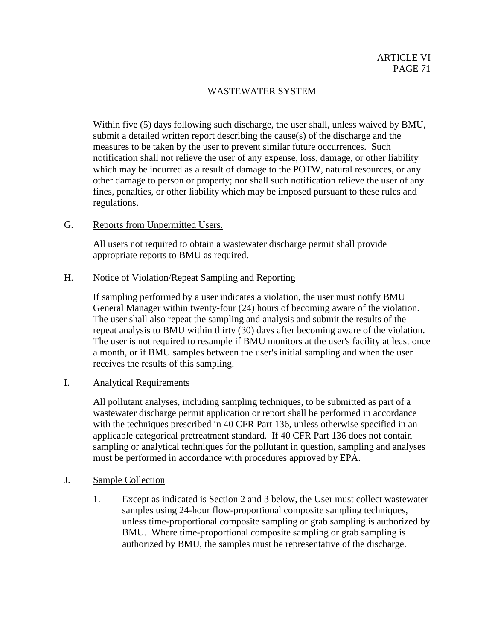Within five (5) days following such discharge, the user shall, unless waived by BMU, submit a detailed written report describing the cause(s) of the discharge and the measures to be taken by the user to prevent similar future occurrences. Such notification shall not relieve the user of any expense, loss, damage, or other liability which may be incurred as a result of damage to the POTW, natural resources, or any other damage to person or property; nor shall such notification relieve the user of any fines, penalties, or other liability which may be imposed pursuant to these rules and regulations.

# G. Reports from Unpermitted Users.

All users not required to obtain a wastewater discharge permit shall provide appropriate reports to BMU as required.

## H. Notice of Violation/Repeat Sampling and Reporting

If sampling performed by a user indicates a violation, the user must notify BMU General Manager within twenty-four (24) hours of becoming aware of the violation. The user shall also repeat the sampling and analysis and submit the results of the repeat analysis to BMU within thirty (30) days after becoming aware of the violation. The user is not required to resample if BMU monitors at the user's facility at least once a month, or if BMU samples between the user's initial sampling and when the user receives the results of this sampling.

# I. Analytical Requirements

All pollutant analyses, including sampling techniques, to be submitted as part of a wastewater discharge permit application or report shall be performed in accordance with the techniques prescribed in 40 CFR Part 136, unless otherwise specified in an applicable categorical pretreatment standard. If 40 CFR Part 136 does not contain sampling or analytical techniques for the pollutant in question, sampling and analyses must be performed in accordance with procedures approved by EPA.

# J. Sample Collection

1. Except as indicated is Section 2 and 3 below, the User must collect wastewater samples using 24-hour flow-proportional composite sampling techniques, unless time-proportional composite sampling or grab sampling is authorized by BMU. Where time-proportional composite sampling or grab sampling is authorized by BMU, the samples must be representative of the discharge.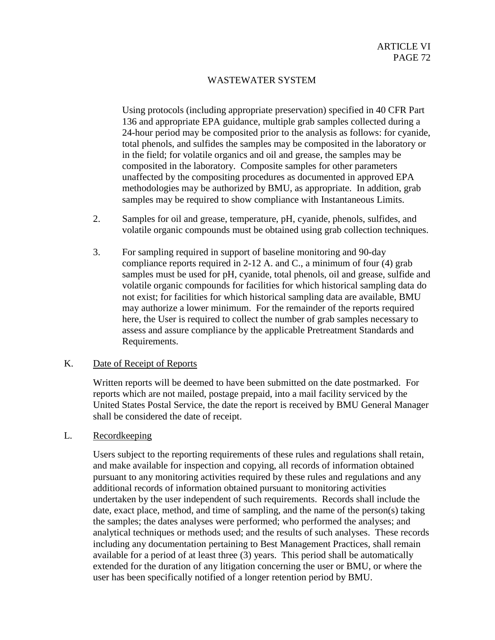Using protocols (including appropriate preservation) specified in 40 CFR Part 136 and appropriate EPA guidance, multiple grab samples collected during a 24-hour period may be composited prior to the analysis as follows: for cyanide, total phenols, and sulfides the samples may be composited in the laboratory or in the field; for volatile organics and oil and grease, the samples may be composited in the laboratory. Composite samples for other parameters unaffected by the compositing procedures as documented in approved EPA methodologies may be authorized by BMU, as appropriate. In addition, grab samples may be required to show compliance with Instantaneous Limits.

- 2. Samples for oil and grease, temperature, pH, cyanide, phenols, sulfides, and volatile organic compounds must be obtained using grab collection techniques.
- 3. For sampling required in support of baseline monitoring and 90-day compliance reports required in 2-12 A. and C., a minimum of four (4) grab samples must be used for pH, cyanide, total phenols, oil and grease, sulfide and volatile organic compounds for facilities for which historical sampling data do not exist; for facilities for which historical sampling data are available, BMU may authorize a lower minimum. For the remainder of the reports required here, the User is required to collect the number of grab samples necessary to assess and assure compliance by the applicable Pretreatment Standards and Requirements.

### K. Date of Receipt of Reports

Written reports will be deemed to have been submitted on the date postmarked. For reports which are not mailed, postage prepaid, into a mail facility serviced by the United States Postal Service, the date the report is received by BMU General Manager shall be considered the date of receipt.

### L. Recordkeeping

Users subject to the reporting requirements of these rules and regulations shall retain, and make available for inspection and copying, all records of information obtained pursuant to any monitoring activities required by these rules and regulations and any additional records of information obtained pursuant to monitoring activities undertaken by the user independent of such requirements. Records shall include the date, exact place, method, and time of sampling, and the name of the person(s) taking the samples; the dates analyses were performed; who performed the analyses; and analytical techniques or methods used; and the results of such analyses. These records including any documentation pertaining to Best Management Practices, shall remain available for a period of at least three (3) years. This period shall be automatically extended for the duration of any litigation concerning the user or BMU, or where the user has been specifically notified of a longer retention period by BMU.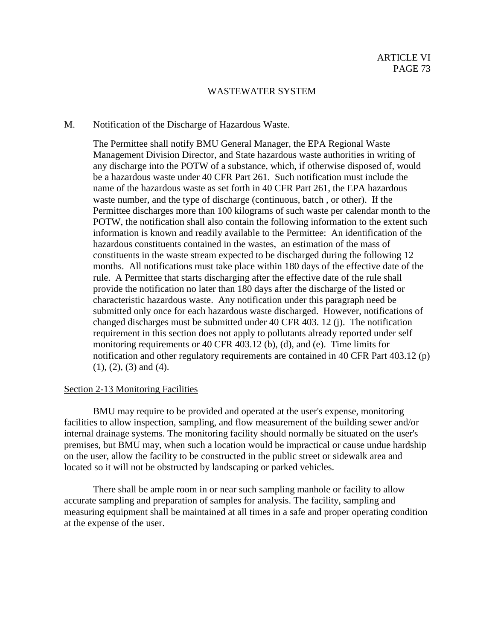### M. Notification of the Discharge of Hazardous Waste.

The Permittee shall notify BMU General Manager, the EPA Regional Waste Management Division Director, and State hazardous waste authorities in writing of any discharge into the POTW of a substance, which, if otherwise disposed of, would be a hazardous waste under 40 CFR Part 261. Such notification must include the name of the hazardous waste as set forth in 40 CFR Part 261, the EPA hazardous waste number, and the type of discharge (continuous, batch , or other). If the Permittee discharges more than 100 kilograms of such waste per calendar month to the POTW, the notification shall also contain the following information to the extent such information is known and readily available to the Permittee: An identification of the hazardous constituents contained in the wastes, an estimation of the mass of constituents in the waste stream expected to be discharged during the following 12 months. All notifications must take place within 180 days of the effective date of the rule. A Permittee that starts discharging after the effective date of the rule shall provide the notification no later than 180 days after the discharge of the listed or characteristic hazardous waste. Any notification under this paragraph need be submitted only once for each hazardous waste discharged. However, notifications of changed discharges must be submitted under 40 CFR 403. 12 (j). The notification requirement in this section does not apply to pollutants already reported under self monitoring requirements or 40 CFR 403.12 (b), (d), and (e). Time limits for notification and other regulatory requirements are contained in 40 CFR Part 403.12 (p) (1), (2), (3) and (4).

#### Section 2-13 Monitoring Facilities

BMU may require to be provided and operated at the user's expense, monitoring facilities to allow inspection, sampling, and flow measurement of the building sewer and/or internal drainage systems. The monitoring facility should normally be situated on the user's premises, but BMU may, when such a location would be impractical or cause undue hardship on the user, allow the facility to be constructed in the public street or sidewalk area and located so it will not be obstructed by landscaping or parked vehicles.

There shall be ample room in or near such sampling manhole or facility to allow accurate sampling and preparation of samples for analysis. The facility, sampling and measuring equipment shall be maintained at all times in a safe and proper operating condition at the expense of the user.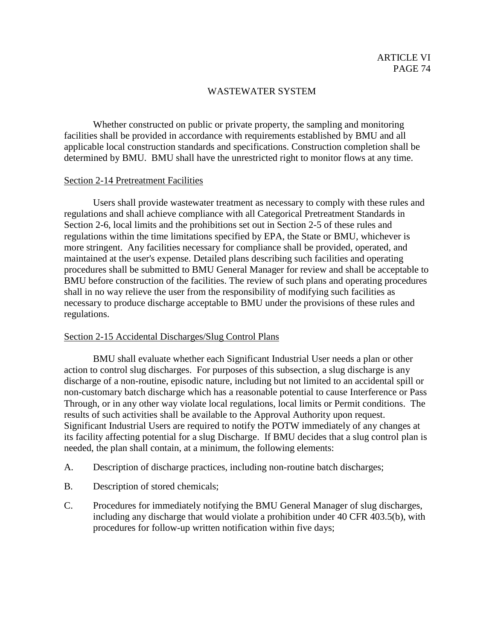Whether constructed on public or private property, the sampling and monitoring facilities shall be provided in accordance with requirements established by BMU and all applicable local construction standards and specifications. Construction completion shall be determined by BMU. BMU shall have the unrestricted right to monitor flows at any time.

#### Section 2-14 Pretreatment Facilities

Users shall provide wastewater treatment as necessary to comply with these rules and regulations and shall achieve compliance with all Categorical Pretreatment Standards in Section 2-6, local limits and the prohibitions set out in Section 2-5 of these rules and regulations within the time limitations specified by EPA, the State or BMU, whichever is more stringent. Any facilities necessary for compliance shall be provided, operated, and maintained at the user's expense. Detailed plans describing such facilities and operating procedures shall be submitted to BMU General Manager for review and shall be acceptable to BMU before construction of the facilities. The review of such plans and operating procedures shall in no way relieve the user from the responsibility of modifying such facilities as necessary to produce discharge acceptable to BMU under the provisions of these rules and regulations.

#### Section 2-15 Accidental Discharges/Slug Control Plans

BMU shall evaluate whether each Significant Industrial User needs a plan or other action to control slug discharges. For purposes of this subsection, a slug discharge is any discharge of a non-routine, episodic nature, including but not limited to an accidental spill or non-customary batch discharge which has a reasonable potential to cause Interference or Pass Through, or in any other way violate local regulations, local limits or Permit conditions. The results of such activities shall be available to the Approval Authority upon request. Significant Industrial Users are required to notify the POTW immediately of any changes at its facility affecting potential for a slug Discharge. If BMU decides that a slug control plan is needed, the plan shall contain, at a minimum, the following elements:

- A. Description of discharge practices, including non-routine batch discharges;
- B. Description of stored chemicals;
- C. Procedures for immediately notifying the BMU General Manager of slug discharges, including any discharge that would violate a prohibition under 40 CFR 403.5(b), with procedures for follow-up written notification within five days;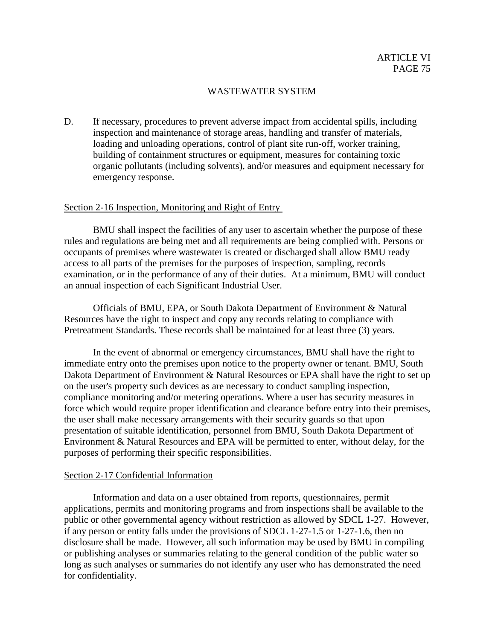D. If necessary, procedures to prevent adverse impact from accidental spills, including inspection and maintenance of storage areas, handling and transfer of materials, loading and unloading operations, control of plant site run-off, worker training, building of containment structures or equipment, measures for containing toxic organic pollutants (including solvents), and/or measures and equipment necessary for emergency response.

### Section 2-16 Inspection, Monitoring and Right of Entry

BMU shall inspect the facilities of any user to ascertain whether the purpose of these rules and regulations are being met and all requirements are being complied with. Persons or occupants of premises where wastewater is created or discharged shall allow BMU ready access to all parts of the premises for the purposes of inspection, sampling, records examination, or in the performance of any of their duties. At a minimum, BMU will conduct an annual inspection of each Significant Industrial User.

Officials of BMU, EPA, or South Dakota Department of Environment & Natural Resources have the right to inspect and copy any records relating to compliance with Pretreatment Standards. These records shall be maintained for at least three (3) years.

In the event of abnormal or emergency circumstances, BMU shall have the right to immediate entry onto the premises upon notice to the property owner or tenant. BMU, South Dakota Department of Environment & Natural Resources or EPA shall have the right to set up on the user's property such devices as are necessary to conduct sampling inspection, compliance monitoring and/or metering operations. Where a user has security measures in force which would require proper identification and clearance before entry into their premises, the user shall make necessary arrangements with their security guards so that upon presentation of suitable identification, personnel from BMU, South Dakota Department of Environment & Natural Resources and EPA will be permitted to enter, without delay, for the purposes of performing their specific responsibilities.

#### Section 2-17 Confidential Information

Information and data on a user obtained from reports, questionnaires, permit applications, permits and monitoring programs and from inspections shall be available to the public or other governmental agency without restriction as allowed by SDCL 1-27. However, if any person or entity falls under the provisions of SDCL 1-27-1.5 or 1-27-1.6, then no disclosure shall be made. However, all such information may be used by BMU in compiling or publishing analyses or summaries relating to the general condition of the public water so long as such analyses or summaries do not identify any user who has demonstrated the need for confidentiality.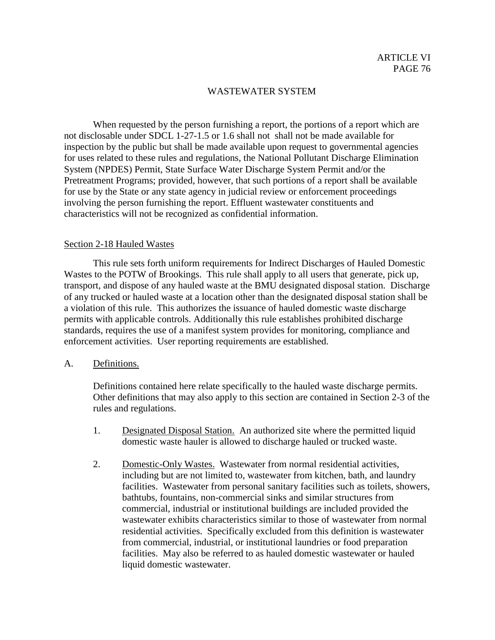When requested by the person furnishing a report, the portions of a report which are not disclosable under SDCL 1-27-1.5 or 1.6 shall not shall not be made available for inspection by the public but shall be made available upon request to governmental agencies for uses related to these rules and regulations, the National Pollutant Discharge Elimination System (NPDES) Permit, State Surface Water Discharge System Permit and/or the Pretreatment Programs; provided, however, that such portions of a report shall be available for use by the State or any state agency in judicial review or enforcement proceedings involving the person furnishing the report. Effluent wastewater constituents and characteristics will not be recognized as confidential information.

#### Section 2-18 Hauled Wastes

This rule sets forth uniform requirements for Indirect Discharges of Hauled Domestic Wastes to the POTW of Brookings. This rule shall apply to all users that generate, pick up, transport, and dispose of any hauled waste at the BMU designated disposal station. Discharge of any trucked or hauled waste at a location other than the designated disposal station shall be a violation of this rule. This authorizes the issuance of hauled domestic waste discharge permits with applicable controls. Additionally this rule establishes prohibited discharge standards, requires the use of a manifest system provides for monitoring, compliance and enforcement activities. User reporting requirements are established.

#### A. Definitions.

Definitions contained here relate specifically to the hauled waste discharge permits. Other definitions that may also apply to this section are contained in Section 2-3 of the rules and regulations.

- 1. Designated Disposal Station. An authorized site where the permitted liquid domestic waste hauler is allowed to discharge hauled or trucked waste.
- 2. Domestic-Only Wastes. Wastewater from normal residential activities, including but are not limited to, wastewater from kitchen, bath, and laundry facilities. Wastewater from personal sanitary facilities such as toilets, showers, bathtubs, fountains, non-commercial sinks and similar structures from commercial, industrial or institutional buildings are included provided the wastewater exhibits characteristics similar to those of wastewater from normal residential activities. Specifically excluded from this definition is wastewater from commercial, industrial, or institutional laundries or food preparation facilities. May also be referred to as hauled domestic wastewater or hauled liquid domestic wastewater.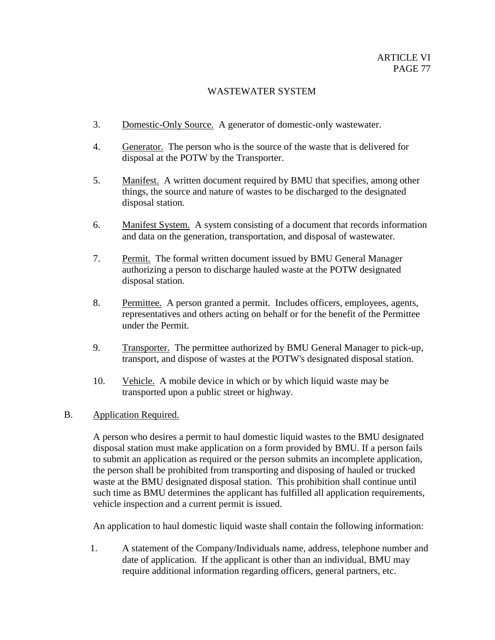- 3. Domestic-Only Source. A generator of domestic-only wastewater.
- 4. Generator. The person who is the source of the waste that is delivered for disposal at the POTW by the Transporter.
- 5. Manifest. A written document required by BMU that specifies, among other things, the source and nature of wastes to be discharged to the designated disposal station.
- 6. Manifest System. A system consisting of a document that records information and data on the generation, transportation, and disposal of wastewater.
- 7. Permit. The formal written document issued by BMU General Manager authorizing a person to discharge hauled waste at the POTW designated disposal station.
- 8. Permittee. A person granted a permit. Includes officers, employees, agents, representatives and others acting on behalf or for the benefit of the Permittee under the Permit.
- 9. Transporter. The permittee authorized by BMU General Manager to pick-up, transport, and dispose of wastes at the POTW's designated disposal station.
- 10. Vehicle. A mobile device in which or by which liquid waste may be transported upon a public street or highway.
- B. Application Required.

A person who desires a permit to haul domestic liquid wastes to the BMU designated disposal station must make application on a form provided by BMU. If a person fails to submit an application as required or the person submits an incomplete application, the person shall be prohibited from transporting and disposing of hauled or trucked waste at the BMU designated disposal station. This prohibition shall continue until such time as BMU determines the applicant has fulfilled all application requirements, vehicle inspection and a current permit is issued.

An application to haul domestic liquid waste shall contain the following information:

1. A statement of the Company/Individuals name, address, telephone number and date of application. If the applicant is other than an individual, BMU may require additional information regarding officers, general partners, etc.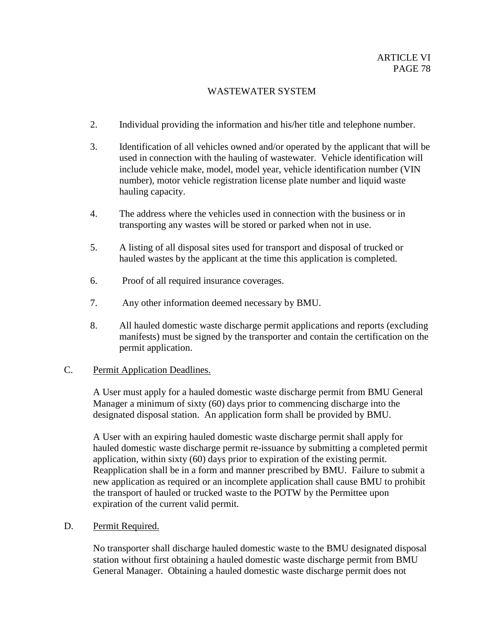- 2. Individual providing the information and his/her title and telephone number.
- 3. Identification of all vehicles owned and/or operated by the applicant that will be used in connection with the hauling of wastewater. Vehicle identification will include vehicle make, model, model year, vehicle identification number (VIN number), motor vehicle registration license plate number and liquid waste hauling capacity.
- 4. The address where the vehicles used in connection with the business or in transporting any wastes will be stored or parked when not in use.
- 5. A listing of all disposal sites used for transport and disposal of trucked or hauled wastes by the applicant at the time this application is completed.
- 6. Proof of all required insurance coverages.
- 7. Any other information deemed necessary by BMU.
- 8. All hauled domestic waste discharge permit applications and reports (excluding manifests) must be signed by the transporter and contain the certification on the permit application.

# C. Permit Application Deadlines.

A User must apply for a hauled domestic waste discharge permit from BMU General Manager a minimum of sixty (60) days prior to commencing discharge into the designated disposal station. An application form shall be provided by BMU.

A User with an expiring hauled domestic waste discharge permit shall apply for hauled domestic waste discharge permit re-issuance by submitting a completed permit application, within sixty (60) days prior to expiration of the existing permit. Reapplication shall be in a form and manner prescribed by BMU. Failure to submit a new application as required or an incomplete application shall cause BMU to prohibit the transport of hauled or trucked waste to the POTW by the Permittee upon expiration of the current valid permit.

D. Permit Required.

No transporter shall discharge hauled domestic waste to the BMU designated disposal station without first obtaining a hauled domestic waste discharge permit from BMU General Manager. Obtaining a hauled domestic waste discharge permit does not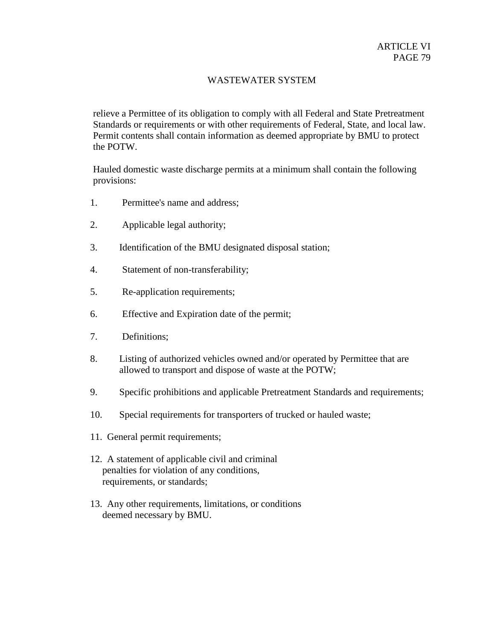relieve a Permittee of its obligation to comply with all Federal and State Pretreatment Standards or requirements or with other requirements of Federal, State, and local law. Permit contents shall contain information as deemed appropriate by BMU to protect the POTW.

Hauled domestic waste discharge permits at a minimum shall contain the following provisions:

- 1. Permittee's name and address;
- 2. Applicable legal authority;
- 3. Identification of the BMU designated disposal station;
- 4. Statement of non-transferability;
- 5. Re-application requirements;
- 6. Effective and Expiration date of the permit;
- 7. Definitions;
- 8. Listing of authorized vehicles owned and/or operated by Permittee that are allowed to transport and dispose of waste at the POTW;
- 9. Specific prohibitions and applicable Pretreatment Standards and requirements;
- 10. Special requirements for transporters of trucked or hauled waste;
- 11. General permit requirements;
- 12. A statement of applicable civil and criminal penalties for violation of any conditions, requirements, or standards;
- 13. Any other requirements, limitations, or conditions deemed necessary by BMU.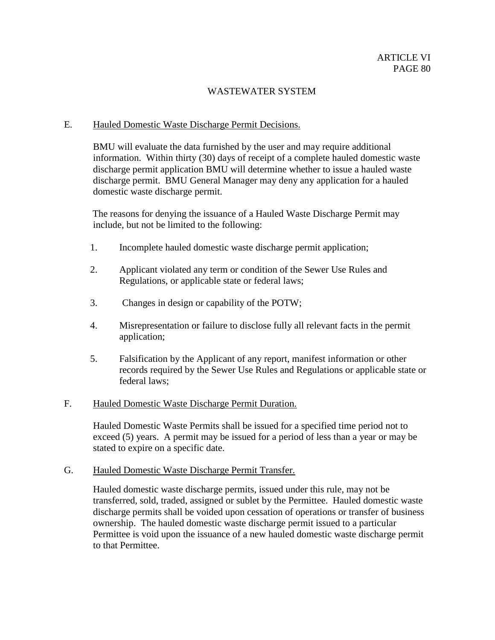# E. Hauled Domestic Waste Discharge Permit Decisions.

BMU will evaluate the data furnished by the user and may require additional information. Within thirty (30) days of receipt of a complete hauled domestic waste discharge permit application BMU will determine whether to issue a hauled waste discharge permit. BMU General Manager may deny any application for a hauled domestic waste discharge permit.

The reasons for denying the issuance of a Hauled Waste Discharge Permit may include, but not be limited to the following:

- 1. Incomplete hauled domestic waste discharge permit application;
- 2. Applicant violated any term or condition of the Sewer Use Rules and Regulations, or applicable state or federal laws;
- 3. Changes in design or capability of the POTW;
- 4. Misrepresentation or failure to disclose fully all relevant facts in the permit application;
- 5. Falsification by the Applicant of any report, manifest information or other records required by the Sewer Use Rules and Regulations or applicable state or federal laws;

#### F. Hauled Domestic Waste Discharge Permit Duration.

Hauled Domestic Waste Permits shall be issued for a specified time period not to exceed (5) years. A permit may be issued for a period of less than a year or may be stated to expire on a specific date.

#### G. Hauled Domestic Waste Discharge Permit Transfer.

Hauled domestic waste discharge permits, issued under this rule, may not be transferred, sold, traded, assigned or sublet by the Permittee. Hauled domestic waste discharge permits shall be voided upon cessation of operations or transfer of business ownership. The hauled domestic waste discharge permit issued to a particular Permittee is void upon the issuance of a new hauled domestic waste discharge permit to that Permittee.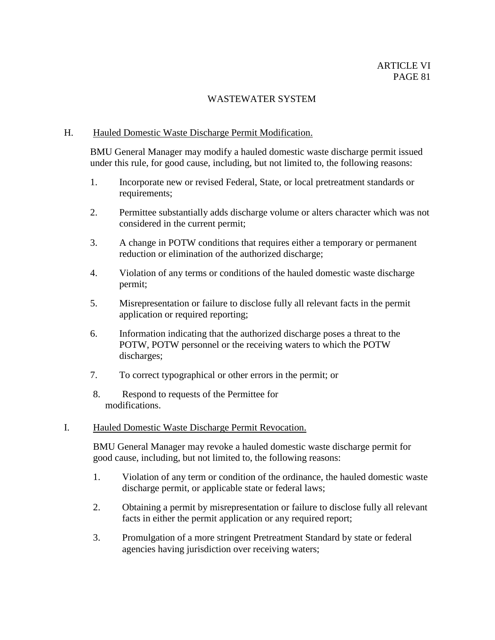### H. Hauled Domestic Waste Discharge Permit Modification.

BMU General Manager may modify a hauled domestic waste discharge permit issued under this rule, for good cause, including, but not limited to, the following reasons:

- 1. Incorporate new or revised Federal, State, or local pretreatment standards or requirements;
- 2. Permittee substantially adds discharge volume or alters character which was not considered in the current permit;
- 3. A change in POTW conditions that requires either a temporary or permanent reduction or elimination of the authorized discharge;
- 4. Violation of any terms or conditions of the hauled domestic waste discharge permit;
- 5. Misrepresentation or failure to disclose fully all relevant facts in the permit application or required reporting;
- 6. Information indicating that the authorized discharge poses a threat to the POTW, POTW personnel or the receiving waters to which the POTW discharges;
- 7. To correct typographical or other errors in the permit; or
- 8. Respond to requests of the Permittee for modifications.

### I. Hauled Domestic Waste Discharge Permit Revocation.

BMU General Manager may revoke a hauled domestic waste discharge permit for good cause, including, but not limited to, the following reasons:

- 1. Violation of any term or condition of the ordinance, the hauled domestic waste discharge permit, or applicable state or federal laws;
- 2. Obtaining a permit by misrepresentation or failure to disclose fully all relevant facts in either the permit application or any required report;
- 3. Promulgation of a more stringent Pretreatment Standard by state or federal agencies having jurisdiction over receiving waters;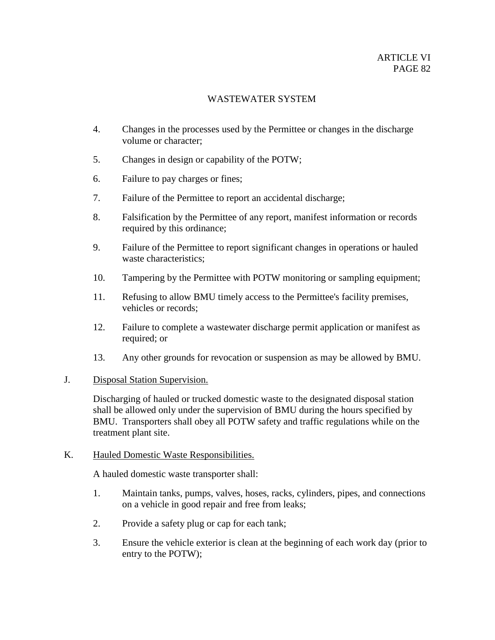- 4. Changes in the processes used by the Permittee or changes in the discharge volume or character;
- 5. Changes in design or capability of the POTW;
- 6. Failure to pay charges or fines;
- 7. Failure of the Permittee to report an accidental discharge;
- 8. Falsification by the Permittee of any report, manifest information or records required by this ordinance;
- 9. Failure of the Permittee to report significant changes in operations or hauled waste characteristics;
- 10. Tampering by the Permittee with POTW monitoring or sampling equipment;
- 11. Refusing to allow BMU timely access to the Permittee's facility premises, vehicles or records;
- 12. Failure to complete a wastewater discharge permit application or manifest as required; or
- 13. Any other grounds for revocation or suspension as may be allowed by BMU.

# J. Disposal Station Supervision.

Discharging of hauled or trucked domestic waste to the designated disposal station shall be allowed only under the supervision of BMU during the hours specified by BMU. Transporters shall obey all POTW safety and traffic regulations while on the treatment plant site.

# K. Hauled Domestic Waste Responsibilities.

A hauled domestic waste transporter shall:

- 1. Maintain tanks, pumps, valves, hoses, racks, cylinders, pipes, and connections on a vehicle in good repair and free from leaks;
- 2. Provide a safety plug or cap for each tank;
- 3. Ensure the vehicle exterior is clean at the beginning of each work day (prior to entry to the POTW);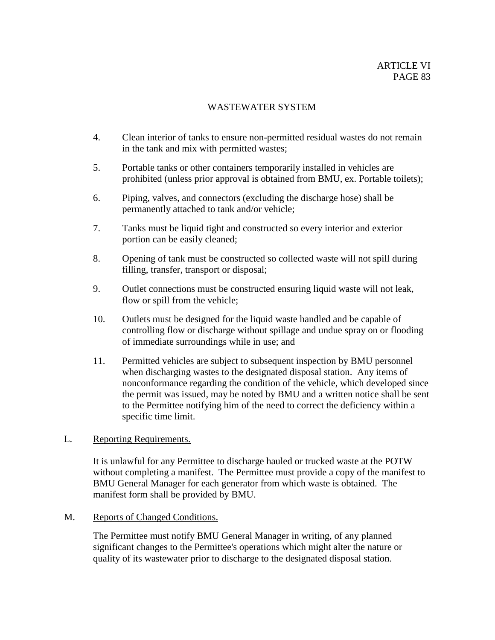- 4. Clean interior of tanks to ensure non-permitted residual wastes do not remain in the tank and mix with permitted wastes;
- 5. Portable tanks or other containers temporarily installed in vehicles are prohibited (unless prior approval is obtained from BMU, ex. Portable toilets);
- 6. Piping, valves, and connectors (excluding the discharge hose) shall be permanently attached to tank and/or vehicle;
- 7. Tanks must be liquid tight and constructed so every interior and exterior portion can be easily cleaned;
- 8. Opening of tank must be constructed so collected waste will not spill during filling, transfer, transport or disposal;
- 9. Outlet connections must be constructed ensuring liquid waste will not leak, flow or spill from the vehicle;
- 10. Outlets must be designed for the liquid waste handled and be capable of controlling flow or discharge without spillage and undue spray on or flooding of immediate surroundings while in use; and
- 11. Permitted vehicles are subject to subsequent inspection by BMU personnel when discharging wastes to the designated disposal station. Any items of nonconformance regarding the condition of the vehicle, which developed since the permit was issued, may be noted by BMU and a written notice shall be sent to the Permittee notifying him of the need to correct the deficiency within a specific time limit.

# L. Reporting Requirements.

It is unlawful for any Permittee to discharge hauled or trucked waste at the POTW without completing a manifest. The Permittee must provide a copy of the manifest to BMU General Manager for each generator from which waste is obtained. The manifest form shall be provided by BMU.

# M. Reports of Changed Conditions.

The Permittee must notify BMU General Manager in writing, of any planned significant changes to the Permittee's operations which might alter the nature or quality of its wastewater prior to discharge to the designated disposal station.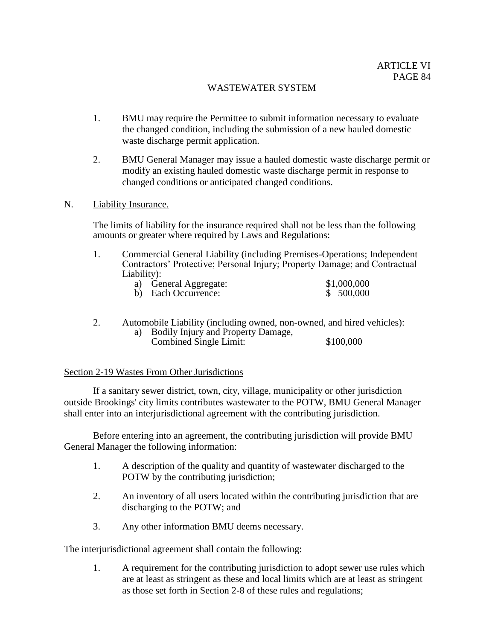- 1. BMU may require the Permittee to submit information necessary to evaluate the changed condition, including the submission of a new hauled domestic waste discharge permit application.
- 2. BMU General Manager may issue a hauled domestic waste discharge permit or modify an existing hauled domestic waste discharge permit in response to changed conditions or anticipated changed conditions.

#### N. Liability Insurance.

The limits of liability for the insurance required shall not be less than the following amounts or greater where required by Laws and Regulations:

1. Commercial General Liability (including Premises-Operations; Independent Contractors' Protective; Personal Injury; Property Damage; and Contractual Liability):

| a) General Aggregate: | \$1,000,000 |
|-----------------------|-------------|
| b) Each Occurrence:   | \$ 500,000  |

2. Automobile Liability (including owned, non-owned, and hired vehicles): a) Bodily Injury and Property Damage,

# Combined Single Limit: \$100,000

#### Section 2-19 Wastes From Other Jurisdictions

If a sanitary sewer district, town, city, village, municipality or other jurisdiction outside Brookings' city limits contributes wastewater to the POTW, BMU General Manager shall enter into an interjurisdictional agreement with the contributing jurisdiction.

Before entering into an agreement, the contributing jurisdiction will provide BMU General Manager the following information:

- 1. A description of the quality and quantity of wastewater discharged to the POTW by the contributing jurisdiction;
- 2. An inventory of all users located within the contributing jurisdiction that are discharging to the POTW; and
- 3. Any other information BMU deems necessary.

The interjurisdictional agreement shall contain the following:

1. A requirement for the contributing jurisdiction to adopt sewer use rules which are at least as stringent as these and local limits which are at least as stringent as those set forth in Section 2-8 of these rules and regulations;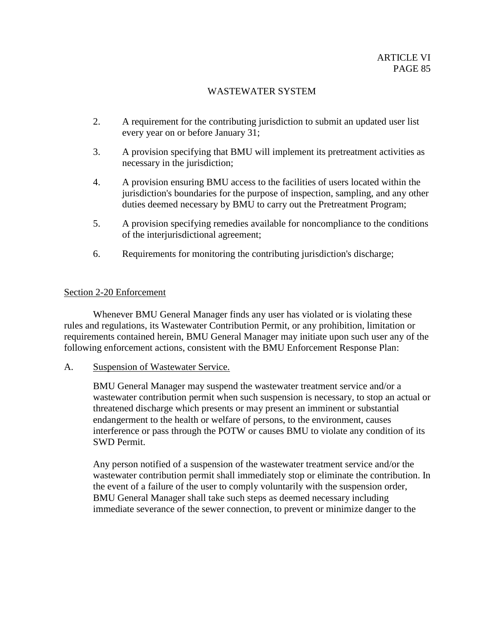- 2. A requirement for the contributing jurisdiction to submit an updated user list every year on or before January 31;
- 3. A provision specifying that BMU will implement its pretreatment activities as necessary in the jurisdiction;
- 4. A provision ensuring BMU access to the facilities of users located within the jurisdiction's boundaries for the purpose of inspection, sampling, and any other duties deemed necessary by BMU to carry out the Pretreatment Program;
- 5. A provision specifying remedies available for noncompliance to the conditions of the interjurisdictional agreement;
- 6. Requirements for monitoring the contributing jurisdiction's discharge;

# Section 2-20 Enforcement

Whenever BMU General Manager finds any user has violated or is violating these rules and regulations, its Wastewater Contribution Permit, or any prohibition, limitation or requirements contained herein, BMU General Manager may initiate upon such user any of the following enforcement actions, consistent with the BMU Enforcement Response Plan:

A. Suspension of Wastewater Service.

BMU General Manager may suspend the wastewater treatment service and/or a wastewater contribution permit when such suspension is necessary, to stop an actual or threatened discharge which presents or may present an imminent or substantial endangerment to the health or welfare of persons, to the environment, causes interference or pass through the POTW or causes BMU to violate any condition of its SWD Permit.

Any person notified of a suspension of the wastewater treatment service and/or the wastewater contribution permit shall immediately stop or eliminate the contribution. In the event of a failure of the user to comply voluntarily with the suspension order, BMU General Manager shall take such steps as deemed necessary including immediate severance of the sewer connection, to prevent or minimize danger to the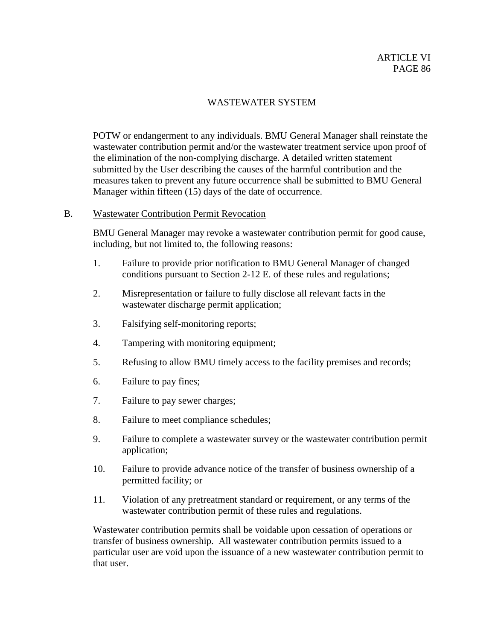POTW or endangerment to any individuals. BMU General Manager shall reinstate the wastewater contribution permit and/or the wastewater treatment service upon proof of the elimination of the non-complying discharge. A detailed written statement submitted by the User describing the causes of the harmful contribution and the measures taken to prevent any future occurrence shall be submitted to BMU General Manager within fifteen (15) days of the date of occurrence.

### B. Wastewater Contribution Permit Revocation

BMU General Manager may revoke a wastewater contribution permit for good cause, including, but not limited to, the following reasons:

- 1. Failure to provide prior notification to BMU General Manager of changed conditions pursuant to Section 2-12 E. of these rules and regulations;
- 2. Misrepresentation or failure to fully disclose all relevant facts in the wastewater discharge permit application;
- 3. Falsifying self-monitoring reports;
- 4. Tampering with monitoring equipment;
- 5. Refusing to allow BMU timely access to the facility premises and records;
- 6. Failure to pay fines;
- 7. Failure to pay sewer charges;
- 8. Failure to meet compliance schedules;
- 9. Failure to complete a wastewater survey or the wastewater contribution permit application;
- 10. Failure to provide advance notice of the transfer of business ownership of a permitted facility; or
- 11. Violation of any pretreatment standard or requirement, or any terms of the wastewater contribution permit of these rules and regulations.

Wastewater contribution permits shall be voidable upon cessation of operations or transfer of business ownership. All wastewater contribution permits issued to a particular user are void upon the issuance of a new wastewater contribution permit to that user.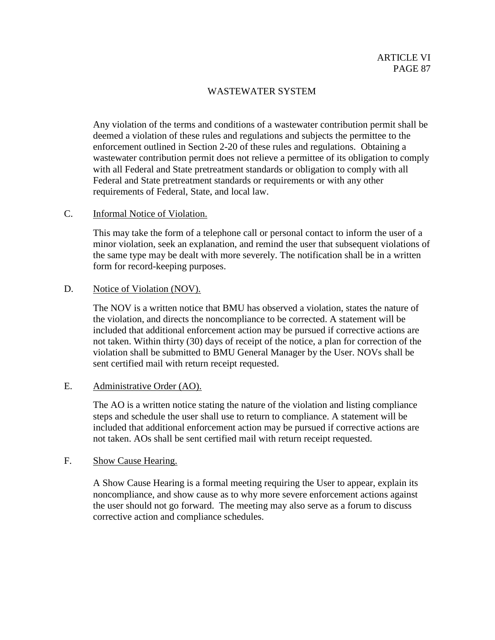Any violation of the terms and conditions of a wastewater contribution permit shall be deemed a violation of these rules and regulations and subjects the permittee to the enforcement outlined in Section 2-20 of these rules and regulations. Obtaining a wastewater contribution permit does not relieve a permittee of its obligation to comply with all Federal and State pretreatment standards or obligation to comply with all Federal and State pretreatment standards or requirements or with any other requirements of Federal, State, and local law.

## C. Informal Notice of Violation.

This may take the form of a telephone call or personal contact to inform the user of a minor violation, seek an explanation, and remind the user that subsequent violations of the same type may be dealt with more severely. The notification shall be in a written form for record-keeping purposes.

### D. Notice of Violation (NOV).

The NOV is a written notice that BMU has observed a violation, states the nature of the violation, and directs the noncompliance to be corrected. A statement will be included that additional enforcement action may be pursued if corrective actions are not taken. Within thirty (30) days of receipt of the notice, a plan for correction of the violation shall be submitted to BMU General Manager by the User. NOVs shall be sent certified mail with return receipt requested.

# E. Administrative Order (AO).

The AO is a written notice stating the nature of the violation and listing compliance steps and schedule the user shall use to return to compliance. A statement will be included that additional enforcement action may be pursued if corrective actions are not taken. AOs shall be sent certified mail with return receipt requested.

# F. Show Cause Hearing.

A Show Cause Hearing is a formal meeting requiring the User to appear, explain its noncompliance, and show cause as to why more severe enforcement actions against the user should not go forward. The meeting may also serve as a forum to discuss corrective action and compliance schedules.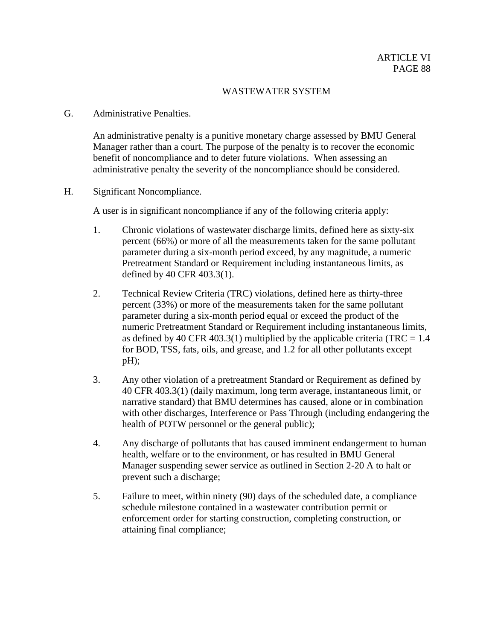### G. Administrative Penalties.

An administrative penalty is a punitive monetary charge assessed by BMU General Manager rather than a court. The purpose of the penalty is to recover the economic benefit of noncompliance and to deter future violations. When assessing an administrative penalty the severity of the noncompliance should be considered.

# H. Significant Noncompliance.

A user is in significant noncompliance if any of the following criteria apply:

- 1. Chronic violations of wastewater discharge limits, defined here as sixty-six percent (66%) or more of all the measurements taken for the same pollutant parameter during a six-month period exceed, by any magnitude, a numeric Pretreatment Standard or Requirement including instantaneous limits, as defined by 40 CFR 403.3(1).
- 2. Technical Review Criteria (TRC) violations, defined here as thirty-three percent (33%) or more of the measurements taken for the same pollutant parameter during a six-month period equal or exceed the product of the numeric Pretreatment Standard or Requirement including instantaneous limits, as defined by 40 CFR 403.3(1) multiplied by the applicable criteria (TRC =  $1.4$ ) for BOD, TSS, fats, oils, and grease, and 1.2 for all other pollutants except pH);
- 3. Any other violation of a pretreatment Standard or Requirement as defined by 40 CFR 403.3(1) (daily maximum, long term average, instantaneous limit, or narrative standard) that BMU determines has caused, alone or in combination with other discharges, Interference or Pass Through (including endangering the health of POTW personnel or the general public);
- 4. Any discharge of pollutants that has caused imminent endangerment to human health, welfare or to the environment, or has resulted in BMU General Manager suspending sewer service as outlined in Section 2-20 A to halt or prevent such a discharge;
- 5. Failure to meet, within ninety (90) days of the scheduled date, a compliance schedule milestone contained in a wastewater contribution permit or enforcement order for starting construction, completing construction, or attaining final compliance;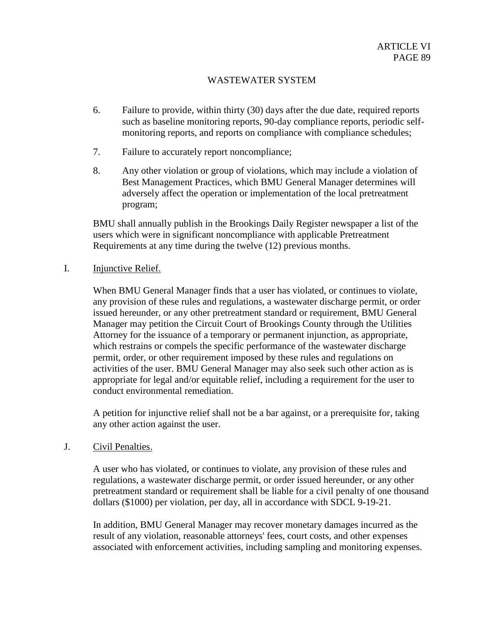- 6. Failure to provide, within thirty (30) days after the due date, required reports such as baseline monitoring reports, 90-day compliance reports, periodic selfmonitoring reports, and reports on compliance with compliance schedules;
- 7. Failure to accurately report noncompliance;
- 8. Any other violation or group of violations, which may include a violation of Best Management Practices, which BMU General Manager determines will adversely affect the operation or implementation of the local pretreatment program;

BMU shall annually publish in the Brookings Daily Register newspaper a list of the users which were in significant noncompliance with applicable Pretreatment Requirements at any time during the twelve (12) previous months.

I. Injunctive Relief.

When BMU General Manager finds that a user has violated, or continues to violate, any provision of these rules and regulations, a wastewater discharge permit, or order issued hereunder, or any other pretreatment standard or requirement, BMU General Manager may petition the Circuit Court of Brookings County through the Utilities Attorney for the issuance of a temporary or permanent injunction, as appropriate, which restrains or compels the specific performance of the wastewater discharge permit, order, or other requirement imposed by these rules and regulations on activities of the user. BMU General Manager may also seek such other action as is appropriate for legal and/or equitable relief, including a requirement for the user to conduct environmental remediation.

A petition for injunctive relief shall not be a bar against, or a prerequisite for, taking any other action against the user.

# J. Civil Penalties.

A user who has violated, or continues to violate, any provision of these rules and regulations, a wastewater discharge permit, or order issued hereunder, or any other pretreatment standard or requirement shall be liable for a civil penalty of one thousand dollars (\$1000) per violation, per day, all in accordance with SDCL 9-19-21.

In addition, BMU General Manager may recover monetary damages incurred as the result of any violation, reasonable attorneys' fees, court costs, and other expenses associated with enforcement activities, including sampling and monitoring expenses.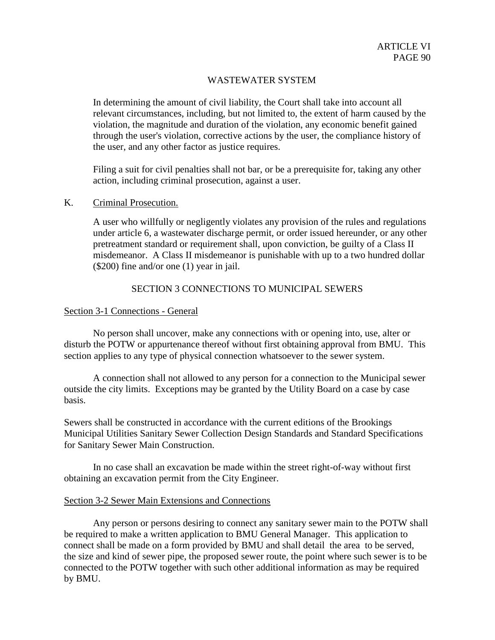In determining the amount of civil liability, the Court shall take into account all relevant circumstances, including, but not limited to, the extent of harm caused by the violation, the magnitude and duration of the violation, any economic benefit gained through the user's violation, corrective actions by the user, the compliance history of the user, and any other factor as justice requires.

Filing a suit for civil penalties shall not bar, or be a prerequisite for, taking any other action, including criminal prosecution, against a user.

### K. Criminal Prosecution.

A user who willfully or negligently violates any provision of the rules and regulations under article 6, a wastewater discharge permit, or order issued hereunder, or any other pretreatment standard or requirement shall, upon conviction, be guilty of a Class II misdemeanor. A Class II misdemeanor is punishable with up to a two hundred dollar (\$200) fine and/or one (1) year in jail.

# SECTION 3 CONNECTIONS TO MUNICIPAL SEWERS

### Section 3-1 Connections - General

No person shall uncover, make any connections with or opening into, use, alter or disturb the POTW or appurtenance thereof without first obtaining approval from BMU. This section applies to any type of physical connection whatsoever to the sewer system.

A connection shall not allowed to any person for a connection to the Municipal sewer outside the city limits. Exceptions may be granted by the Utility Board on a case by case basis.

Sewers shall be constructed in accordance with the current editions of the Brookings Municipal Utilities Sanitary Sewer Collection Design Standards and Standard Specifications for Sanitary Sewer Main Construction.

In no case shall an excavation be made within the street right-of-way without first obtaining an excavation permit from the City Engineer.

#### Section 3-2 Sewer Main Extensions and Connections

Any person or persons desiring to connect any sanitary sewer main to the POTW shall be required to make a written application to BMU General Manager. This application to connect shall be made on a form provided by BMU and shall detail the area to be served, the size and kind of sewer pipe, the proposed sewer route, the point where such sewer is to be connected to the POTW together with such other additional information as may be required by BMU.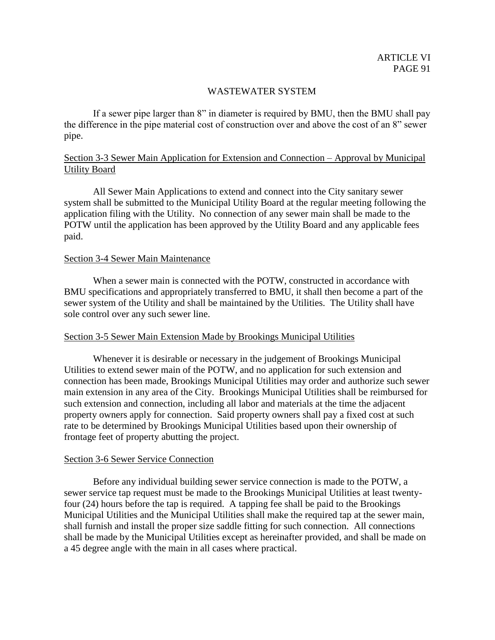If a sewer pipe larger than 8" in diameter is required by BMU, then the BMU shall pay the difference in the pipe material cost of construction over and above the cost of an 8" sewer pipe.

# Section 3-3 Sewer Main Application for Extension and Connection – Approval by Municipal Utility Board

All Sewer Main Applications to extend and connect into the City sanitary sewer system shall be submitted to the Municipal Utility Board at the regular meeting following the application filing with the Utility. No connection of any sewer main shall be made to the POTW until the application has been approved by the Utility Board and any applicable fees paid.

#### Section 3-4 Sewer Main Maintenance

When a sewer main is connected with the POTW, constructed in accordance with BMU specifications and appropriately transferred to BMU, it shall then become a part of the sewer system of the Utility and shall be maintained by the Utilities. The Utility shall have sole control over any such sewer line.

#### Section 3-5 Sewer Main Extension Made by Brookings Municipal Utilities

Whenever it is desirable or necessary in the judgement of Brookings Municipal Utilities to extend sewer main of the POTW, and no application for such extension and connection has been made, Brookings Municipal Utilities may order and authorize such sewer main extension in any area of the City. Brookings Municipal Utilities shall be reimbursed for such extension and connection, including all labor and materials at the time the adjacent property owners apply for connection. Said property owners shall pay a fixed cost at such rate to be determined by Brookings Municipal Utilities based upon their ownership of frontage feet of property abutting the project.

#### Section 3-6 Sewer Service Connection

Before any individual building sewer service connection is made to the POTW, a sewer service tap request must be made to the Brookings Municipal Utilities at least twentyfour (24) hours before the tap is required. A tapping fee shall be paid to the Brookings Municipal Utilities and the Municipal Utilities shall make the required tap at the sewer main, shall furnish and install the proper size saddle fitting for such connection. All connections shall be made by the Municipal Utilities except as hereinafter provided, and shall be made on a 45 degree angle with the main in all cases where practical.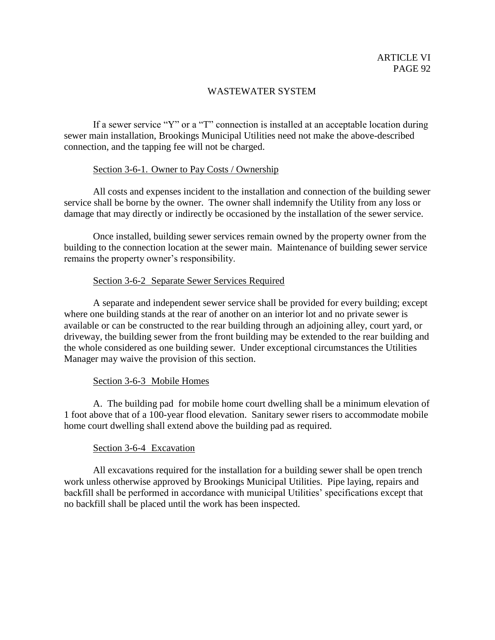If a sewer service "Y" or a "T" connection is installed at an acceptable location during sewer main installation, Brookings Municipal Utilities need not make the above-described connection, and the tapping fee will not be charged.

# Section 3-6-1. Owner to Pay Costs / Ownership

All costs and expenses incident to the installation and connection of the building sewer service shall be borne by the owner. The owner shall indemnify the Utility from any loss or damage that may directly or indirectly be occasioned by the installation of the sewer service.

Once installed, building sewer services remain owned by the property owner from the building to the connection location at the sewer main. Maintenance of building sewer service remains the property owner's responsibility.

# Section 3-6-2 Separate Sewer Services Required

A separate and independent sewer service shall be provided for every building; except where one building stands at the rear of another on an interior lot and no private sewer is available or can be constructed to the rear building through an adjoining alley, court yard, or driveway, the building sewer from the front building may be extended to the rear building and the whole considered as one building sewer. Under exceptional circumstances the Utilities Manager may waive the provision of this section.

# Section 3-6-3 Mobile Homes

A. The building pad for mobile home court dwelling shall be a minimum elevation of 1 foot above that of a 100-year flood elevation. Sanitary sewer risers to accommodate mobile home court dwelling shall extend above the building pad as required.

# Section 3-6-4 Excavation

All excavations required for the installation for a building sewer shall be open trench work unless otherwise approved by Brookings Municipal Utilities. Pipe laying, repairs and backfill shall be performed in accordance with municipal Utilities' specifications except that no backfill shall be placed until the work has been inspected.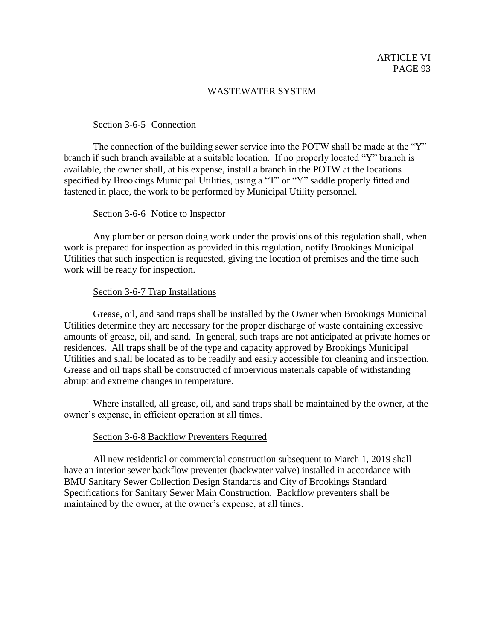### Section 3-6-5 Connection

The connection of the building sewer service into the POTW shall be made at the "Y" branch if such branch available at a suitable location. If no properly located "Y" branch is available, the owner shall, at his expense, install a branch in the POTW at the locations specified by Brookings Municipal Utilities, using a "T" or "Y" saddle properly fitted and fastened in place, the work to be performed by Municipal Utility personnel.

#### Section 3-6-6 Notice to Inspector

Any plumber or person doing work under the provisions of this regulation shall, when work is prepared for inspection as provided in this regulation, notify Brookings Municipal Utilities that such inspection is requested, giving the location of premises and the time such work will be ready for inspection.

#### Section 3-6-7 Trap Installations

Grease, oil, and sand traps shall be installed by the Owner when Brookings Municipal Utilities determine they are necessary for the proper discharge of waste containing excessive amounts of grease, oil, and sand. In general, such traps are not anticipated at private homes or residences. All traps shall be of the type and capacity approved by Brookings Municipal Utilities and shall be located as to be readily and easily accessible for cleaning and inspection. Grease and oil traps shall be constructed of impervious materials capable of withstanding abrupt and extreme changes in temperature.

Where installed, all grease, oil, and sand traps shall be maintained by the owner, at the owner's expense, in efficient operation at all times.

#### Section 3-6-8 Backflow Preventers Required

All new residential or commercial construction subsequent to March 1, 2019 shall have an interior sewer backflow preventer (backwater valve) installed in accordance with BMU Sanitary Sewer Collection Design Standards and City of Brookings Standard Specifications for Sanitary Sewer Main Construction. Backflow preventers shall be maintained by the owner, at the owner's expense, at all times.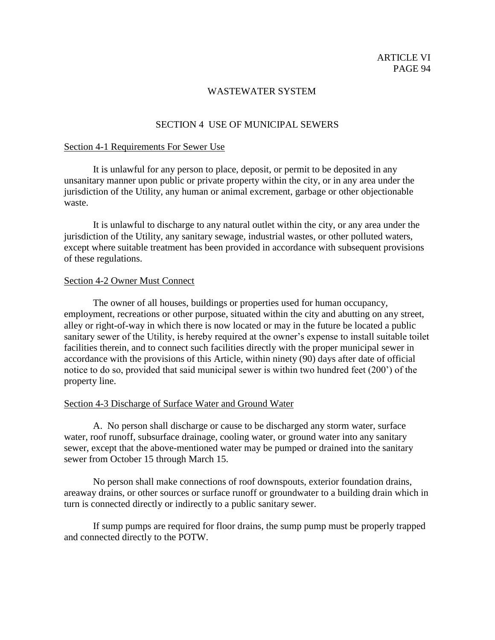# SECTION 4 USE OF MUNICIPAL SEWERS

#### Section 4-1 Requirements For Sewer Use

It is unlawful for any person to place, deposit, or permit to be deposited in any unsanitary manner upon public or private property within the city, or in any area under the jurisdiction of the Utility, any human or animal excrement, garbage or other objectionable waste.

It is unlawful to discharge to any natural outlet within the city, or any area under the jurisdiction of the Utility, any sanitary sewage, industrial wastes, or other polluted waters, except where suitable treatment has been provided in accordance with subsequent provisions of these regulations.

#### Section 4-2 Owner Must Connect

 The owner of all houses, buildings or properties used for human occupancy, employment, recreations or other purpose, situated within the city and abutting on any street, alley or right-of-way in which there is now located or may in the future be located a public sanitary sewer of the Utility, is hereby required at the owner's expense to install suitable toilet facilities therein, and to connect such facilities directly with the proper municipal sewer in accordance with the provisions of this Article, within ninety (90) days after date of official notice to do so, provided that said municipal sewer is within two hundred feet (200') of the property line.

#### Section 4-3 Discharge of Surface Water and Ground Water

A. No person shall discharge or cause to be discharged any storm water, surface water, roof runoff, subsurface drainage, cooling water, or ground water into any sanitary sewer, except that the above-mentioned water may be pumped or drained into the sanitary sewer from October 15 through March 15.

No person shall make connections of roof downspouts, exterior foundation drains, areaway drains, or other sources or surface runoff or groundwater to a building drain which in turn is connected directly or indirectly to a public sanitary sewer.

If sump pumps are required for floor drains, the sump pump must be properly trapped and connected directly to the POTW.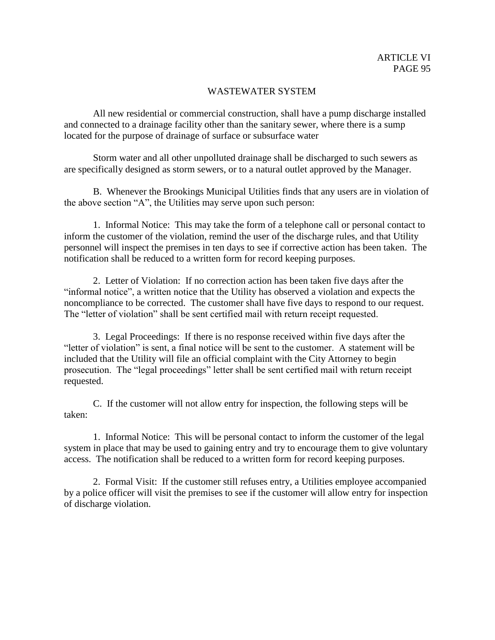All new residential or commercial construction, shall have a pump discharge installed and connected to a drainage facility other than the sanitary sewer, where there is a sump located for the purpose of drainage of surface or subsurface water

Storm water and all other unpolluted drainage shall be discharged to such sewers as are specifically designed as storm sewers, or to a natural outlet approved by the Manager.

B. Whenever the Brookings Municipal Utilities finds that any users are in violation of the above section "A", the Utilities may serve upon such person:

1. Informal Notice: This may take the form of a telephone call or personal contact to inform the customer of the violation, remind the user of the discharge rules, and that Utility personnel will inspect the premises in ten days to see if corrective action has been taken. The notification shall be reduced to a written form for record keeping purposes.

2. Letter of Violation: If no correction action has been taken five days after the "informal notice", a written notice that the Utility has observed a violation and expects the noncompliance to be corrected. The customer shall have five days to respond to our request. The "letter of violation" shall be sent certified mail with return receipt requested.

3. Legal Proceedings: If there is no response received within five days after the "letter of violation" is sent, a final notice will be sent to the customer. A statement will be included that the Utility will file an official complaint with the City Attorney to begin prosecution. The "legal proceedings" letter shall be sent certified mail with return receipt requested.

C. If the customer will not allow entry for inspection, the following steps will be taken:

1. Informal Notice: This will be personal contact to inform the customer of the legal system in place that may be used to gaining entry and try to encourage them to give voluntary access. The notification shall be reduced to a written form for record keeping purposes.

2. Formal Visit: If the customer still refuses entry, a Utilities employee accompanied by a police officer will visit the premises to see if the customer will allow entry for inspection of discharge violation.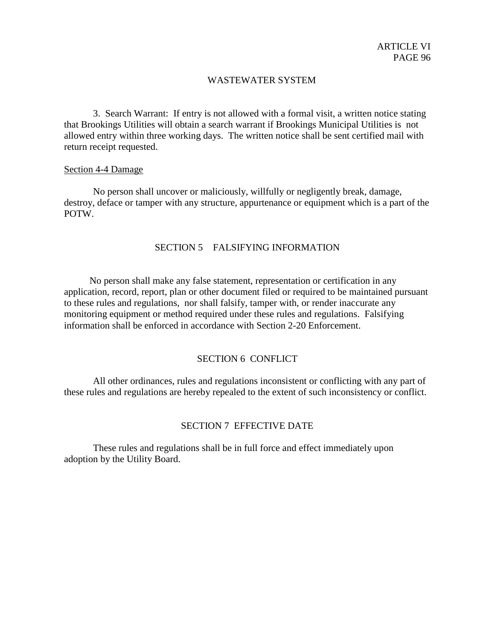3. Search Warrant: If entry is not allowed with a formal visit, a written notice stating that Brookings Utilities will obtain a search warrant if Brookings Municipal Utilities is not allowed entry within three working days. The written notice shall be sent certified mail with return receipt requested.

#### Section 4-4 Damage

No person shall uncover or maliciously, willfully or negligently break, damage, destroy, deface or tamper with any structure, appurtenance or equipment which is a part of the POTW.

## SECTION 5 FALSIFYING INFORMATION

No person shall make any false statement, representation or certification in any application, record, report, plan or other document filed or required to be maintained pursuant to these rules and regulations, nor shall falsify, tamper with, or render inaccurate any monitoring equipment or method required under these rules and regulations. Falsifying information shall be enforced in accordance with Section 2-20 Enforcement.

#### SECTION 6 CONFLICT

All other ordinances, rules and regulations inconsistent or conflicting with any part of these rules and regulations are hereby repealed to the extent of such inconsistency or conflict.

#### SECTION 7 EFFECTIVE DATE

These rules and regulations shall be in full force and effect immediately upon adoption by the Utility Board.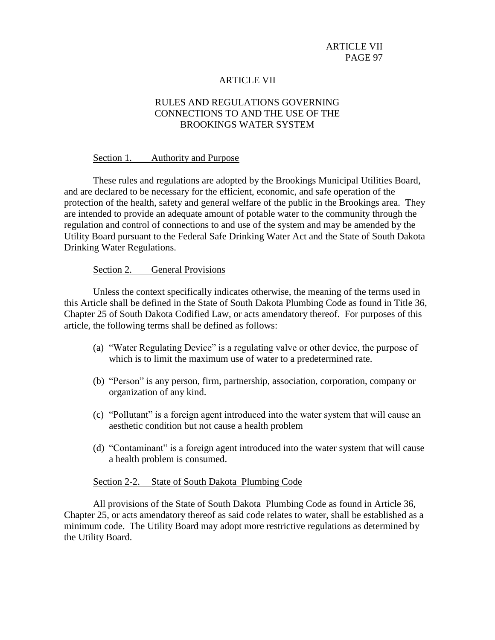# ARTICLE VII

# RULES AND REGULATIONS GOVERNING CONNECTIONS TO AND THE USE OF THE BROOKINGS WATER SYSTEM

#### Section 1. Authority and Purpose

These rules and regulations are adopted by the Brookings Municipal Utilities Board, and are declared to be necessary for the efficient, economic, and safe operation of the protection of the health, safety and general welfare of the public in the Brookings area. They are intended to provide an adequate amount of potable water to the community through the regulation and control of connections to and use of the system and may be amended by the Utility Board pursuant to the Federal Safe Drinking Water Act and the State of South Dakota Drinking Water Regulations.

#### Section 2. General Provisions

Unless the context specifically indicates otherwise, the meaning of the terms used in this Article shall be defined in the State of South Dakota Plumbing Code as found in Title 36, Chapter 25 of South Dakota Codified Law, or acts amendatory thereof. For purposes of this article, the following terms shall be defined as follows:

- (a) "Water Regulating Device" is a regulating valve or other device, the purpose of which is to limit the maximum use of water to a predetermined rate.
- (b) "Person" is any person, firm, partnership, association, corporation, company or organization of any kind.
- (c) "Pollutant" is a foreign agent introduced into the water system that will cause an aesthetic condition but not cause a health problem
- (d) "Contaminant" is a foreign agent introduced into the water system that will cause a health problem is consumed.

#### Section 2-2. State of South Dakota Plumbing Code

All provisions of the State of South Dakota Plumbing Code as found in Article 36, Chapter 25, or acts amendatory thereof as said code relates to water, shall be established as a minimum code. The Utility Board may adopt more restrictive regulations as determined by the Utility Board.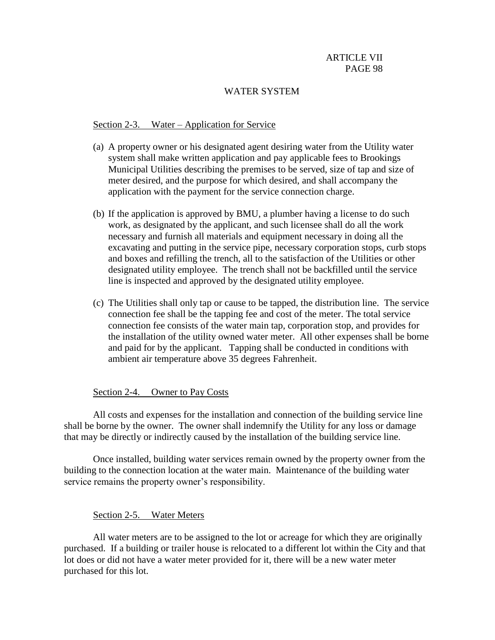### WATER SYSTEM

### Section 2-3. Water – Application for Service

- (a) A property owner or his designated agent desiring water from the Utility water system shall make written application and pay applicable fees to Brookings Municipal Utilities describing the premises to be served, size of tap and size of meter desired, and the purpose for which desired, and shall accompany the application with the payment for the service connection charge.
- (b) If the application is approved by BMU, a plumber having a license to do such work, as designated by the applicant, and such licensee shall do all the work necessary and furnish all materials and equipment necessary in doing all the excavating and putting in the service pipe, necessary corporation stops, curb stops and boxes and refilling the trench, all to the satisfaction of the Utilities or other designated utility employee. The trench shall not be backfilled until the service line is inspected and approved by the designated utility employee.
- (c) The Utilities shall only tap or cause to be tapped, the distribution line. The service connection fee shall be the tapping fee and cost of the meter. The total service connection fee consists of the water main tap, corporation stop, and provides for the installation of the utility owned water meter. All other expenses shall be borne and paid for by the applicant. Tapping shall be conducted in conditions with ambient air temperature above 35 degrees Fahrenheit.

#### Section 2-4. Owner to Pay Costs

All costs and expenses for the installation and connection of the building service line shall be borne by the owner. The owner shall indemnify the Utility for any loss or damage that may be directly or indirectly caused by the installation of the building service line.

Once installed, building water services remain owned by the property owner from the building to the connection location at the water main. Maintenance of the building water service remains the property owner's responsibility.

#### Section 2-5. Water Meters

All water meters are to be assigned to the lot or acreage for which they are originally purchased. If a building or trailer house is relocated to a different lot within the City and that lot does or did not have a water meter provided for it, there will be a new water meter purchased for this lot.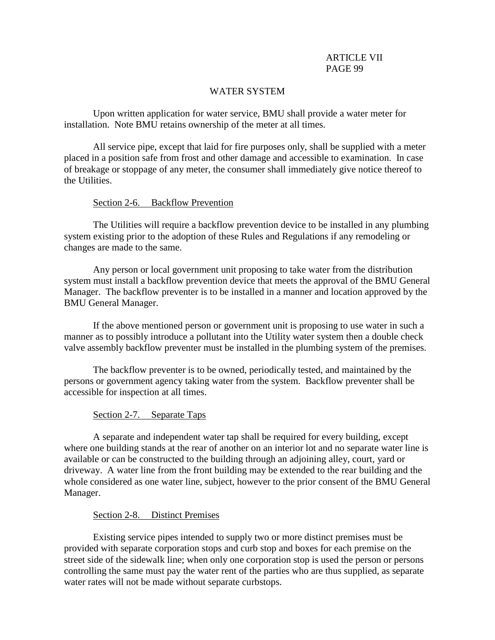### WATER SYSTEM

Upon written application for water service, BMU shall provide a water meter for installation. Note BMU retains ownership of the meter at all times.

All service pipe, except that laid for fire purposes only, shall be supplied with a meter placed in a position safe from frost and other damage and accessible to examination. In case of breakage or stoppage of any meter, the consumer shall immediately give notice thereof to the Utilities.

### Section 2-6. Backflow Prevention

The Utilities will require a backflow prevention device to be installed in any plumbing system existing prior to the adoption of these Rules and Regulations if any remodeling or changes are made to the same.

Any person or local government unit proposing to take water from the distribution system must install a backflow prevention device that meets the approval of the BMU General Manager. The backflow preventer is to be installed in a manner and location approved by the BMU General Manager.

If the above mentioned person or government unit is proposing to use water in such a manner as to possibly introduce a pollutant into the Utility water system then a double check valve assembly backflow preventer must be installed in the plumbing system of the premises.

The backflow preventer is to be owned, periodically tested, and maintained by the persons or government agency taking water from the system. Backflow preventer shall be accessible for inspection at all times.

# Section 2-7. Separate Taps

A separate and independent water tap shall be required for every building, except where one building stands at the rear of another on an interior lot and no separate water line is available or can be constructed to the building through an adjoining alley, court, yard or driveway. A water line from the front building may be extended to the rear building and the whole considered as one water line, subject, however to the prior consent of the BMU General Manager.

# Section 2-8. Distinct Premises

Existing service pipes intended to supply two or more distinct premises must be provided with separate corporation stops and curb stop and boxes for each premise on the street side of the sidewalk line; when only one corporation stop is used the person or persons controlling the same must pay the water rent of the parties who are thus supplied, as separate water rates will not be made without separate curbstops.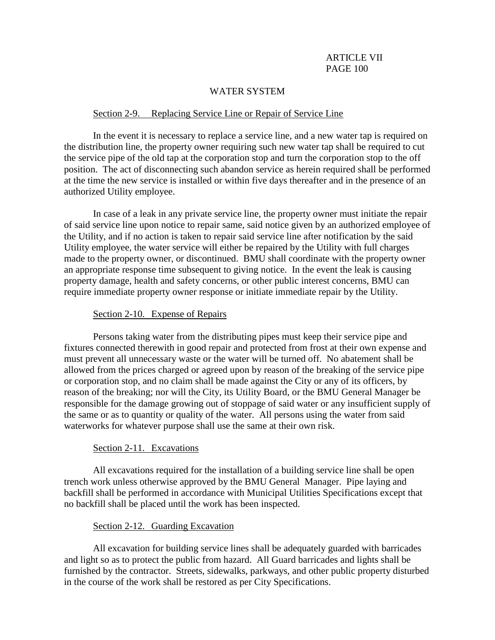### WATER SYSTEM

#### Section 2-9. Replacing Service Line or Repair of Service Line

In the event it is necessary to replace a service line, and a new water tap is required on the distribution line, the property owner requiring such new water tap shall be required to cut the service pipe of the old tap at the corporation stop and turn the corporation stop to the off position. The act of disconnecting such abandon service as herein required shall be performed at the time the new service is installed or within five days thereafter and in the presence of an authorized Utility employee.

In case of a leak in any private service line, the property owner must initiate the repair of said service line upon notice to repair same, said notice given by an authorized employee of the Utility, and if no action is taken to repair said service line after notification by the said Utility employee, the water service will either be repaired by the Utility with full charges made to the property owner, or discontinued. BMU shall coordinate with the property owner an appropriate response time subsequent to giving notice. In the event the leak is causing property damage, health and safety concerns, or other public interest concerns, BMU can require immediate property owner response or initiate immediate repair by the Utility.

#### Section 2-10. Expense of Repairs

Persons taking water from the distributing pipes must keep their service pipe and fixtures connected therewith in good repair and protected from frost at their own expense and must prevent all unnecessary waste or the water will be turned off. No abatement shall be allowed from the prices charged or agreed upon by reason of the breaking of the service pipe or corporation stop, and no claim shall be made against the City or any of its officers, by reason of the breaking; nor will the City, its Utility Board, or the BMU General Manager be responsible for the damage growing out of stoppage of said water or any insufficient supply of the same or as to quantity or quality of the water. All persons using the water from said waterworks for whatever purpose shall use the same at their own risk.

#### Section 2-11. Excavations

 All excavations required for the installation of a building service line shall be open trench work unless otherwise approved by the BMU General Manager. Pipe laying and backfill shall be performed in accordance with Municipal Utilities Specifications except that no backfill shall be placed until the work has been inspected.

### Section 2-12. Guarding Excavation

 All excavation for building service lines shall be adequately guarded with barricades and light so as to protect the public from hazard. All Guard barricades and lights shall be furnished by the contractor. Streets, sidewalks, parkways, and other public property disturbed in the course of the work shall be restored as per City Specifications.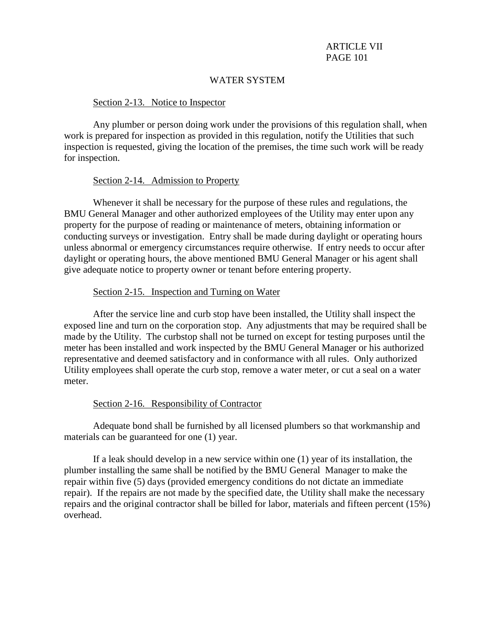### WATER SYSTEM

### Section 2-13. Notice to Inspector

Any plumber or person doing work under the provisions of this regulation shall, when work is prepared for inspection as provided in this regulation, notify the Utilities that such inspection is requested, giving the location of the premises, the time such work will be ready for inspection.

### Section 2-14. Admission to Property

Whenever it shall be necessary for the purpose of these rules and regulations, the BMU General Manager and other authorized employees of the Utility may enter upon any property for the purpose of reading or maintenance of meters, obtaining information or conducting surveys or investigation. Entry shall be made during daylight or operating hours unless abnormal or emergency circumstances require otherwise. If entry needs to occur after daylight or operating hours, the above mentioned BMU General Manager or his agent shall give adequate notice to property owner or tenant before entering property.

### Section 2-15. Inspection and Turning on Water

After the service line and curb stop have been installed, the Utility shall inspect the exposed line and turn on the corporation stop. Any adjustments that may be required shall be made by the Utility. The curbstop shall not be turned on except for testing purposes until the meter has been installed and work inspected by the BMU General Manager or his authorized representative and deemed satisfactory and in conformance with all rules. Only authorized Utility employees shall operate the curb stop, remove a water meter, or cut a seal on a water meter.

#### Section 2-16. Responsibility of Contractor

Adequate bond shall be furnished by all licensed plumbers so that workmanship and materials can be guaranteed for one (1) year.

If a leak should develop in a new service within one (1) year of its installation, the plumber installing the same shall be notified by the BMU General Manager to make the repair within five (5) days (provided emergency conditions do not dictate an immediate repair). If the repairs are not made by the specified date, the Utility shall make the necessary repairs and the original contractor shall be billed for labor, materials and fifteen percent (15%) overhead.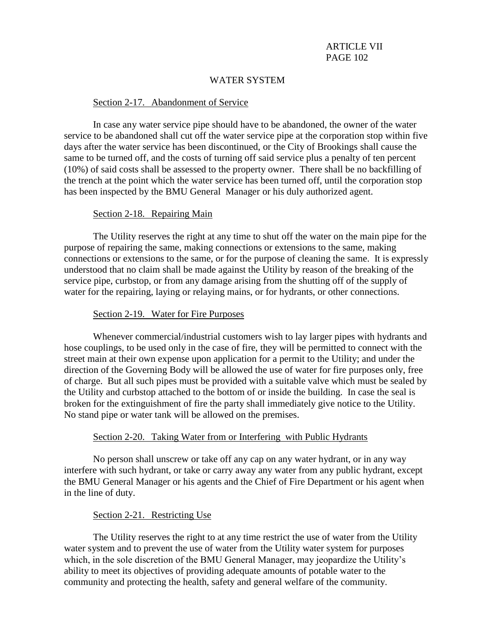### WATER SYSTEM

#### Section 2-17. Abandonment of Service

In case any water service pipe should have to be abandoned, the owner of the water service to be abandoned shall cut off the water service pipe at the corporation stop within five days after the water service has been discontinued, or the City of Brookings shall cause the same to be turned off, and the costs of turning off said service plus a penalty of ten percent (10%) of said costs shall be assessed to the property owner. There shall be no backfilling of the trench at the point which the water service has been turned off, until the corporation stop has been inspected by the BMU General Manager or his duly authorized agent.

#### Section 2-18. Repairing Main

The Utility reserves the right at any time to shut off the water on the main pipe for the purpose of repairing the same, making connections or extensions to the same, making connections or extensions to the same, or for the purpose of cleaning the same. It is expressly understood that no claim shall be made against the Utility by reason of the breaking of the service pipe, curbstop, or from any damage arising from the shutting off of the supply of water for the repairing, laying or relaying mains, or for hydrants, or other connections.

#### Section 2-19. Water for Fire Purposes

Whenever commercial/industrial customers wish to lay larger pipes with hydrants and hose couplings, to be used only in the case of fire, they will be permitted to connect with the street main at their own expense upon application for a permit to the Utility; and under the direction of the Governing Body will be allowed the use of water for fire purposes only, free of charge. But all such pipes must be provided with a suitable valve which must be sealed by the Utility and curbstop attached to the bottom of or inside the building. In case the seal is broken for the extinguishment of fire the party shall immediately give notice to the Utility. No stand pipe or water tank will be allowed on the premises.

#### Section 2-20. Taking Water from or Interfering with Public Hydrants

No person shall unscrew or take off any cap on any water hydrant, or in any way interfere with such hydrant, or take or carry away any water from any public hydrant, except the BMU General Manager or his agents and the Chief of Fire Department or his agent when in the line of duty.

#### Section 2-21. Restricting Use

The Utility reserves the right to at any time restrict the use of water from the Utility water system and to prevent the use of water from the Utility water system for purposes which, in the sole discretion of the BMU General Manager, may jeopardize the Utility's ability to meet its objectives of providing adequate amounts of potable water to the community and protecting the health, safety and general welfare of the community.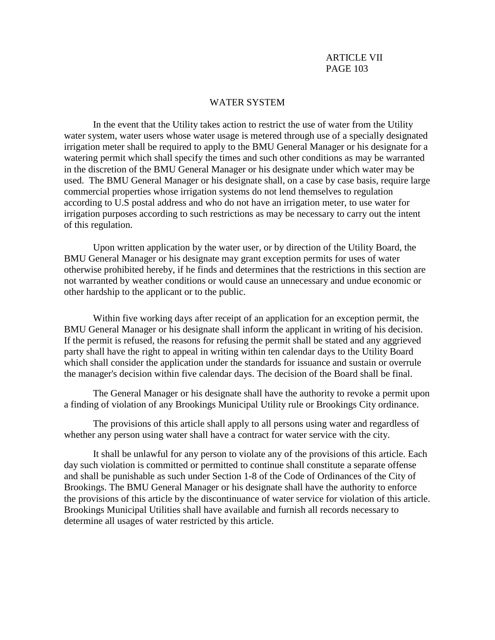#### WATER SYSTEM

In the event that the Utility takes action to restrict the use of water from the Utility water system, water users whose water usage is metered through use of a specially designated irrigation meter shall be required to apply to the BMU General Manager or his designate for a watering permit which shall specify the times and such other conditions as may be warranted in the discretion of the BMU General Manager or his designate under which water may be used. The BMU General Manager or his designate shall, on a case by case basis, require large commercial properties whose irrigation systems do not lend themselves to regulation according to U.S postal address and who do not have an irrigation meter, to use water for irrigation purposes according to such restrictions as may be necessary to carry out the intent of this regulation.

Upon written application by the water user, or by direction of the Utility Board, the BMU General Manager or his designate may grant exception permits for uses of water otherwise prohibited hereby, if he finds and determines that the restrictions in this section are not warranted by weather conditions or would cause an unnecessary and undue economic or other hardship to the applicant or to the public.

Within five working days after receipt of an application for an exception permit, the BMU General Manager or his designate shall inform the applicant in writing of his decision. If the permit is refused, the reasons for refusing the permit shall be stated and any aggrieved party shall have the right to appeal in writing within ten calendar days to the Utility Board which shall consider the application under the standards for issuance and sustain or overrule the manager's decision within five calendar days. The decision of the Board shall be final.

The General Manager or his designate shall have the authority to revoke a permit upon a finding of violation of any Brookings Municipal Utility rule or Brookings City ordinance.

The provisions of this article shall apply to all persons using water and regardless of whether any person using water shall have a contract for water service with the city.

It shall be unlawful for any person to violate any of the provisions of this article. Each day such violation is committed or permitted to continue shall constitute a separate offense and shall be punishable as such under Section 1-8 of the Code of Ordinances of the City of Brookings. The BMU General Manager or his designate shall have the authority to enforce the provisions of this article by the discontinuance of water service for violation of this article. Brookings Municipal Utilities shall have available and furnish all records necessary to determine all usages of water restricted by this article.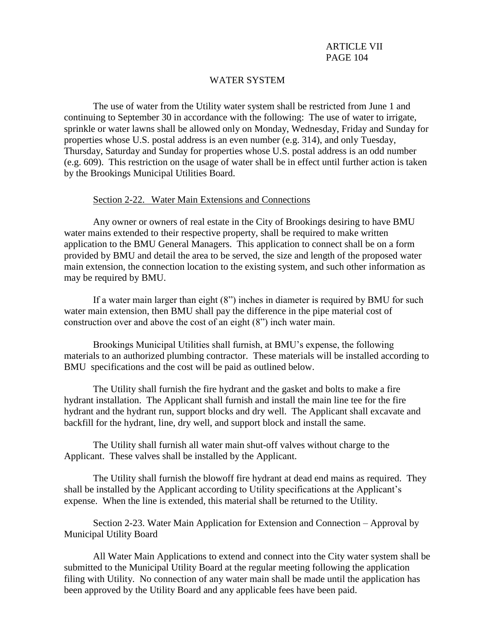### WATER SYSTEM

The use of water from the Utility water system shall be restricted from June 1 and continuing to September 30 in accordance with the following: The use of water to irrigate, sprinkle or water lawns shall be allowed only on Monday, Wednesday, Friday and Sunday for properties whose U.S. postal address is an even number (e.g. 314), and only Tuesday, Thursday, Saturday and Sunday for properties whose U.S. postal address is an odd number (e.g. 609). This restriction on the usage of water shall be in effect until further action is taken by the Brookings Municipal Utilities Board.

### Section 2-22. Water Main Extensions and Connections

Any owner or owners of real estate in the City of Brookings desiring to have BMU water mains extended to their respective property, shall be required to make written application to the BMU General Managers. This application to connect shall be on a form provided by BMU and detail the area to be served, the size and length of the proposed water main extension, the connection location to the existing system, and such other information as may be required by BMU.

If a water main larger than eight (8") inches in diameter is required by BMU for such water main extension, then BMU shall pay the difference in the pipe material cost of construction over and above the cost of an eight (8") inch water main.

Brookings Municipal Utilities shall furnish, at BMU's expense, the following materials to an authorized plumbing contractor. These materials will be installed according to BMU specifications and the cost will be paid as outlined below.

The Utility shall furnish the fire hydrant and the gasket and bolts to make a fire hydrant installation. The Applicant shall furnish and install the main line tee for the fire hydrant and the hydrant run, support blocks and dry well. The Applicant shall excavate and backfill for the hydrant, line, dry well, and support block and install the same.

The Utility shall furnish all water main shut-off valves without charge to the Applicant. These valves shall be installed by the Applicant.

The Utility shall furnish the blowoff fire hydrant at dead end mains as required. They shall be installed by the Applicant according to Utility specifications at the Applicant's expense. When the line is extended, this material shall be returned to the Utility.

Section 2-23. Water Main Application for Extension and Connection – Approval by Municipal Utility Board

All Water Main Applications to extend and connect into the City water system shall be submitted to the Municipal Utility Board at the regular meeting following the application filing with Utility. No connection of any water main shall be made until the application has been approved by the Utility Board and any applicable fees have been paid.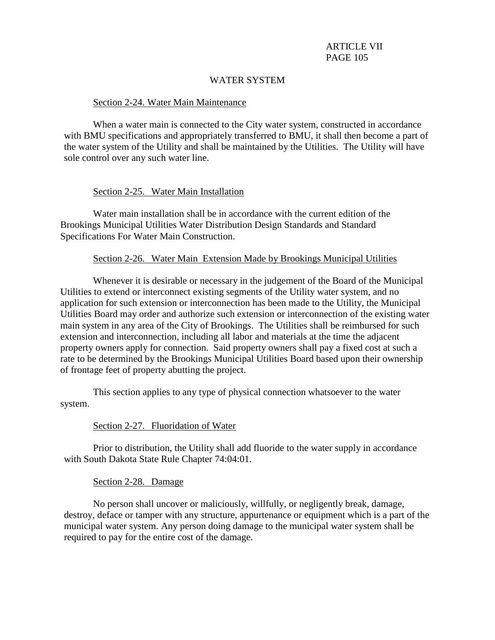### WATER SYSTEM

#### Section 2-24. Water Main Maintenance

When a water main is connected to the City water system, constructed in accordance with BMU specifications and appropriately transferred to BMU, it shall then become a part of the water system of the Utility and shall be maintained by the Utilities. The Utility will have sole control over any such water line.

### Section 2-25. Water Main Installation

Water main installation shall be in accordance with the current edition of the Brookings Municipal Utilities Water Distribution Design Standards and Standard Specifications For Water Main Construction.

#### Section 2-26. Water Main Extension Made by Brookings Municipal Utilities

Whenever it is desirable or necessary in the judgement of the Board of the Municipal Utilities to extend or interconnect existing segments of the Utility water system, and no application for such extension or interconnection has been made to the Utility, the Municipal Utilities Board may order and authorize such extension or interconnection of the existing water main system in any area of the City of Brookings. The Utilities shall be reimbursed for such extension and interconnection, including all labor and materials at the time the adjacent property owners apply for connection. Said property owners shall pay a fixed cost at such a rate to be determined by the Brookings Municipal Utilities Board based upon their ownership of frontage feet of property abutting the project.

This section applies to any type of physical connection whatsoever to the water system.

#### Section 2-27. Fluoridation of Water

Prior to distribution, the Utility shall add fluoride to the water supply in accordance with South Dakota State Rule Chapter 74:04:01.

#### Section 2-28. Damage

No person shall uncover or maliciously, willfully, or negligently break, damage, destroy, deface or tamper with any structure, appurtenance or equipment which is a part of the municipal water system. Any person doing damage to the municipal water system shall be required to pay for the entire cost of the damage.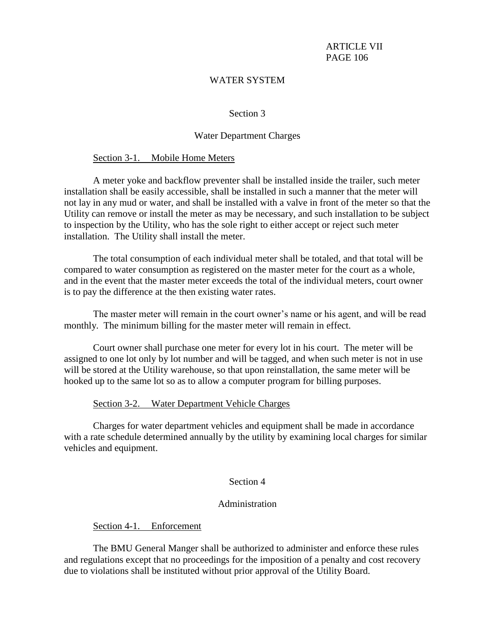### WATER SYSTEM

#### Section 3

#### Water Department Charges

#### Section 3-1. Mobile Home Meters

A meter yoke and backflow preventer shall be installed inside the trailer, such meter installation shall be easily accessible, shall be installed in such a manner that the meter will not lay in any mud or water, and shall be installed with a valve in front of the meter so that the Utility can remove or install the meter as may be necessary, and such installation to be subject to inspection by the Utility, who has the sole right to either accept or reject such meter installation. The Utility shall install the meter.

The total consumption of each individual meter shall be totaled, and that total will be compared to water consumption as registered on the master meter for the court as a whole, and in the event that the master meter exceeds the total of the individual meters, court owner is to pay the difference at the then existing water rates.

The master meter will remain in the court owner's name or his agent, and will be read monthly. The minimum billing for the master meter will remain in effect.

Court owner shall purchase one meter for every lot in his court. The meter will be assigned to one lot only by lot number and will be tagged, and when such meter is not in use will be stored at the Utility warehouse, so that upon reinstallation, the same meter will be hooked up to the same lot so as to allow a computer program for billing purposes.

#### Section 3-2. Water Department Vehicle Charges

 Charges for water department vehicles and equipment shall be made in accordance with a rate schedule determined annually by the utility by examining local charges for similar vehicles and equipment.

### Section 4

#### Administration

Section 4-1. Enforcement

The BMU General Manger shall be authorized to administer and enforce these rules and regulations except that no proceedings for the imposition of a penalty and cost recovery due to violations shall be instituted without prior approval of the Utility Board.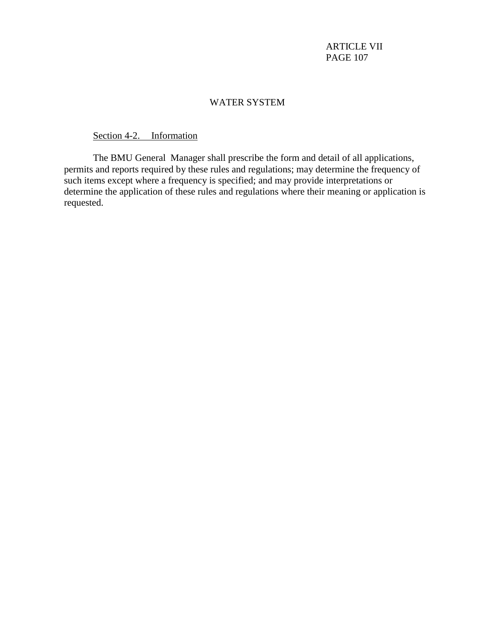## WATER SYSTEM

# Section 4-2. Information

The BMU General Manager shall prescribe the form and detail of all applications, permits and reports required by these rules and regulations; may determine the frequency of such items except where a frequency is specified; and may provide interpretations or determine the application of these rules and regulations where their meaning or application is requested.